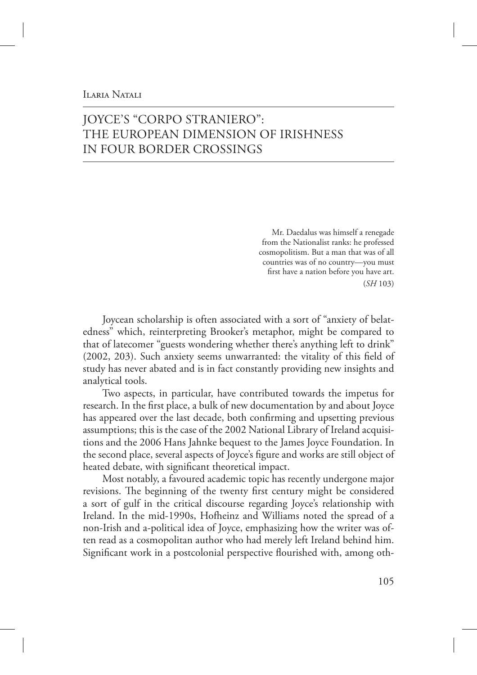## **ILARIA NATALI**

# JOYCE'S "CORPO STRANIERO": THE EUROPEAN DIMENSION OF IRISHNESS IN FOUR BORDER CROSSINGS

Mr. Daedalus was himself a renegade from the Nationalist ranks: he professed cosmopolitism. But a man that was of all countries was of no country—you must first have a nation before you have art. (*SH* 103)

Joycean scholarship is often associated with a sort of "anxiety of belatedness" which, reinterpreting Brooker's metaphor, might be compared to that of latecomer "guests wondering whether there's anything left to drink" (2002, 203). Such anxiety seems unwarranted: the vitality of this field of study has never abated and is in fact constantly providing new insights and analytical tools.

Two aspects, in particular, have contributed towards the impetus for research. In the first place, a bulk of new documentation by and about Joyce has appeared over the last decade, both confirming and upsetting previous assumptions; this is the case of the 2002 National Library of Ireland acquisitions and the 2006 Hans Jahnke bequest to the James Joyce Foundation. In the second place, several aspects of Joyce's figure and works are still object of heated debate, with significant theoretical impact.

Most notably, a favoured academic topic has recently undergone major revisions. The beginning of the twenty first century might be considered a sort of gulf in the critical discourse regarding Joyce's relationship with Ireland. In the mid-1990s, Hofheinz and Williams noted the spread of a non-Irish and a-political idea of Joyce, emphasizing how the writer was often read as a cosmopolitan author who had merely left Ireland behind him. Significant work in a postcolonial perspective flourished with, among oth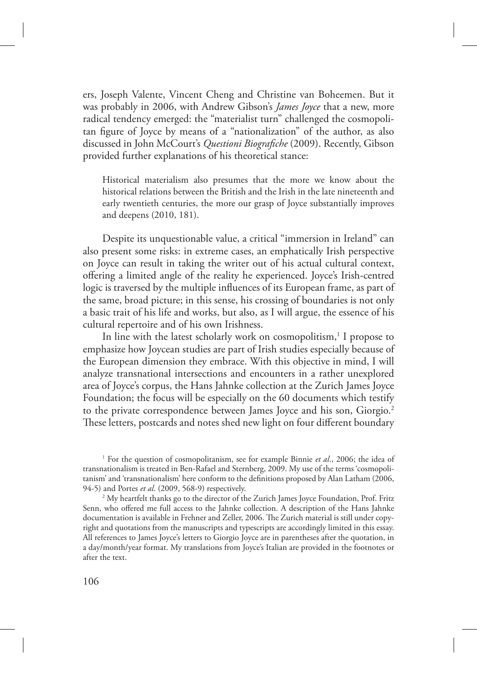ers, Joseph Valente, Vincent Cheng and Christine van Boheemen. But it was probably in 2006, with Andrew Gibson's *James Joyce* that a new, more radical tendency emerged: the "materialist turn" challenged the cosmopolitan figure of Joyce by means of a "nationalization" of the author, as also discussed in John McCourt's *Questioni Biografiche* (2009). Recently, Gibson provided further explanations of his theoretical stance:

Historical materialism also presumes that the more we know about the historical relations between the British and the Irish in the late nineteenth and early twentieth centuries, the more our grasp of Joyce substantially improves and deepens (2010, 181).

Despite its unquestionable value, a critical "immersion in Ireland" can also present some risks: in extreme cases, an emphatically Irish perspective on Joyce can result in taking the writer out of his actual cultural context, offering a limited angle of the reality he experienced. Joyce's Irish-centred logic is traversed by the multiple influences of its European frame, as part of the same, broad picture; in this sense, his crossing of boundaries is not only a basic trait of his life and works, but also, as I will argue, the essence of his cultural repertoire and of his own Irishness.

In line with the latest scholarly work on cosmopolitism,<sup>1</sup> I propose to emphasize how Joycean studies are part of Irish studies especially because of the European dimension they embrace. With this objective in mind, I will analyze transnational intersections and encounters in a rather unexplored area of Joyce's corpus, the Hans Jahnke collection at the Zurich James Joyce Foundation; the focus will be especially on the 60 documents which testify to the private correspondence between James Joyce and his son, Giorgio.<sup>2</sup> These letters, postcards and notes shed new light on four different boundary

<sup>1</sup> For the question of cosmopolitanism, see for example Binnie et al., 2006; the idea of transnationalism is treated in Ben-Rafael and Sternberg, 2009. My use of the terms 'cosmopolitanism' and 'transnationalism' here conform to the definitions proposed by Alan Latham (2006, 94-5) and Portes *et al*. (2009, 568-9) respectively.

<sup>2</sup> My heartfelt thanks go to the director of the Zurich James Joyce Foundation, Prof. Fritz Senn, who offered me full access to the Jahnke collection. A description of the Hans Jahnke documentation is available in Frehner and Zeller, 2006. The Zurich material is still under copyright and quotations from the manuscripts and typescripts are accordingly limited in this essay. All references to James Joyce's letters to Giorgio Joyce are in parentheses after the quotation, in a day/month/year format. My translations from Joyce's Italian are provided in the footnotes or after the text.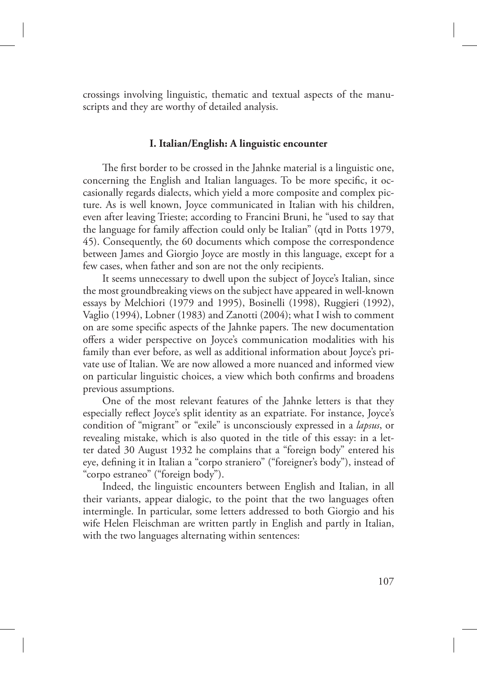crossings involving linguistic, thematic and textual aspects of the manuscripts and they are worthy of detailed analysis.

#### **I. Italian/English: A linguistic encounter**

The first border to be crossed in the Jahnke material is a linguistic one, concerning the English and Italian languages. To be more specific, it occasionally regards dialects, which yield a more composite and complex picture. As is well known, Joyce communicated in Italian with his children, even after leaving Trieste; according to Francini Bruni, he "used to say that the language for family affection could only be Italian" (qtd in Potts 1979, 45). Consequently, the 60 documents which compose the correspondence between James and Giorgio Joyce are mostly in this language, except for a few cases, when father and son are not the only recipients.

It seems unnecessary to dwell upon the subject of Joyce's Italian, since the most groundbreaking views on the subject have appeared in well-known essays by Melchiori (1979 and 1995), Bosinelli (1998), Ruggieri (1992), Vaglio (1994), Lobner (1983) and Zanotti (2004); what I wish to comment on are some specific aspects of the Jahnke papers. The new documentation offers a wider perspective on Joyce's communication modalities with his family than ever before, as well as additional information about Joyce's private use of Italian. We are now allowed a more nuanced and informed view on particular linguistic choices, a view which both confirms and broadens previous assumptions.

One of the most relevant features of the Jahnke letters is that they especially reflect Joyce's split identity as an expatriate. For instance, Joyce's condition of "migrant" or "exile" is unconsciously expressed in a *lapsus*, or revealing mistake, which is also quoted in the title of this essay: in a letter dated 30 August 1932 he complains that a "foreign body" entered his eye, defining it in Italian a "corpo straniero" ("foreigner's body"), instead of "corpo estraneo" ("foreign body").

Indeed, the linguistic encounters between English and Italian, in all their variants, appear dialogic, to the point that the two languages often intermingle. In particular, some letters addressed to both Giorgio and his wife Helen Fleischman are written partly in English and partly in Italian, with the two languages alternating within sentences: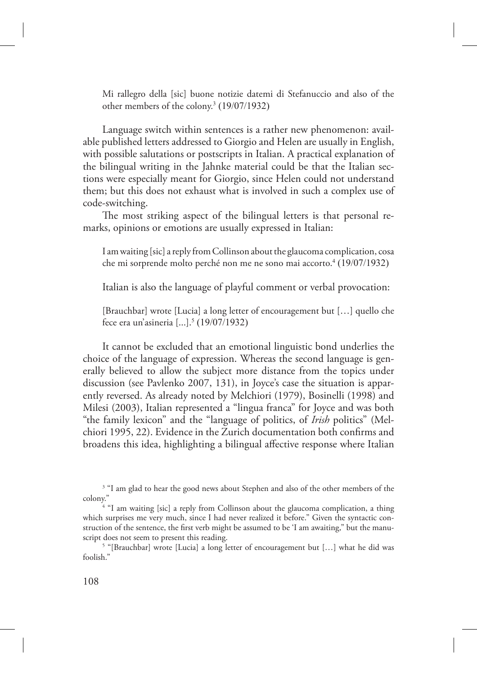Mi rallegro della [sic] buone notizie datemi di Stefanuccio and also of the other members of the colony.<sup>3</sup> (19/07/1932)

Language switch within sentences is a rather new phenomenon: available published letters addressed to Giorgio and Helen are usually in English, with possible salutations or postscripts in Italian. A practical explanation of the bilingual writing in the Jahnke material could be that the Italian sections were especially meant for Giorgio, since Helen could not understand them; but this does not exhaust what is involved in such a complex use of code-switching.

The most striking aspect of the bilingual letters is that personal remarks, opinions or emotions are usually expressed in Italian:

I am waiting [sic] a reply from Collinson about the glaucoma complication, cosa che mi sorprende molto perché non me ne sono mai accorto.<sup>4</sup> (19/07/1932)

Italian is also the language of playful comment or verbal provocation:

[Brauchbar] wrote [Lucia] a long letter of encouragement but […] quello che fece era un'asineria [...].<sup>5</sup> (19/07/1932)

It cannot be excluded that an emotional linguistic bond underlies the choice of the language of expression. Whereas the second language is generally believed to allow the subject more distance from the topics under discussion (see Pavlenko 2007, 131), in Joyce's case the situation is apparently reversed. As already noted by Melchiori (1979), Bosinelli (1998) and Milesi (2003), Italian represented a "lingua franca" for Joyce and was both "the family lexicon" and the "language of politics, of *Irish* politics" (Melchiori 1995, 22). Evidence in the Zurich documentation both confirms and broadens this idea, highlighting a bilingual affective response where Italian

<sup>&</sup>lt;sup>3</sup> "I am glad to hear the good news about Stephen and also of the other members of the colony.

<sup>&</sup>lt;sup>4</sup> "I am waiting [sic] a reply from Collinson about the glaucoma complication, a thing which surprises me very much, since I had never realized it before." Given the syntactic construction of the sentence, the first verb might be assumed to be 'I am awaiting," but the manuscript does not seem to present this reading.

<sup>&</sup>lt;sup>5</sup> "[Brauchbar] wrote [Lucia] a long letter of encouragement but [...] what he did was foolish."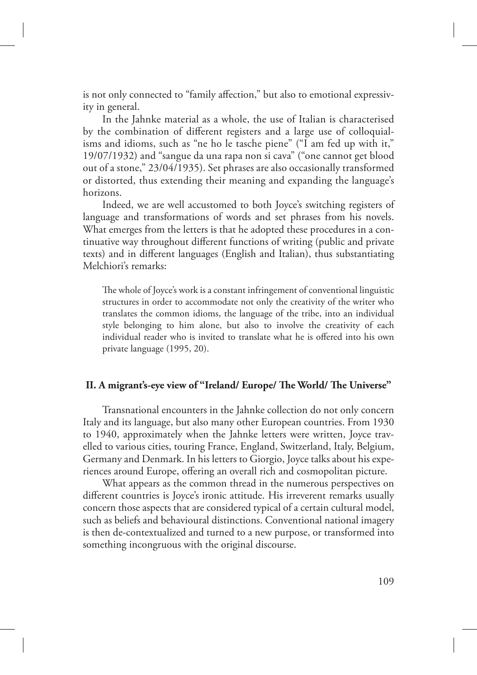is not only connected to "family affection," but also to emotional expressivity in general.

In the Jahnke material as a whole, the use of Italian is characterised by the combination of different registers and a large use of colloquialisms and idioms, such as "ne ho le tasche piene" ("I am fed up with it," 19/07/1932) and "sangue da una rapa non si cava" ("one cannot get blood out of a stone," 23/04/1935). Set phrases are also occasionally transformed or distorted, thus extending their meaning and expanding the language's horizons.

Indeed, we are well accustomed to both Joyce's switching registers of language and transformations of words and set phrases from his novels. What emerges from the letters is that he adopted these procedures in a continuative way throughout different functions of writing (public and private texts) and in different languages (English and Italian), thus substantiating Melchiori's remarks:

The whole of Joyce's work is a constant infringement of conventional linguistic structures in order to accommodate not only the creativity of the writer who translates the common idioms, the language of the tribe, into an individual style belonging to him alone, but also to involve the creativity of each individual reader who is invited to translate what he is offered into his own private language (1995, 20).

### **II. A migrant's-eye view of "Ireland/ Europe/ The World/ The Universe"**

Transnational encounters in the Jahnke collection do not only concern Italy and its language, but also many other European countries. From 1930 to 1940, approximately when the Jahnke letters were written, Joyce travelled to various cities, touring France, England, Switzerland, Italy, Belgium, Germany and Denmark. In his letters to Giorgio, Joyce talks about his experiences around Europe, offering an overall rich and cosmopolitan picture.

What appears as the common thread in the numerous perspectives on different countries is Joyce's ironic attitude. His irreverent remarks usually concern those aspects that are considered typical of a certain cultural model, such as beliefs and behavioural distinctions. Conventional national imagery is then de-contextualized and turned to a new purpose, or transformed into something incongruous with the original discourse.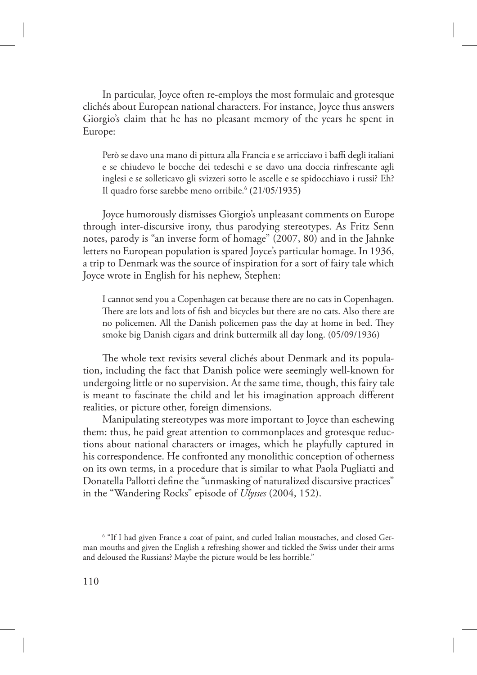In particular, Joyce often re-employs the most formulaic and grotesque clichés about European national characters. For instance, Joyce thus answers Giorgio's claim that he has no pleasant memory of the years he spent in Europe:

Però se davo una mano di pittura alla Francia e se arricciavo i baffi degli italiani e se chiudevo le bocche dei tedeschi e se davo una doccia rinfrescante agli inglesi e se solleticavo gli svizzeri sotto le ascelle e se spidocchiavo i russi? Eh? Il quadro forse sarebbe meno orribile.<sup>6</sup> (21/05/1935)

Joyce humorously dismisses Giorgio's unpleasant comments on Europe through inter-discursive irony, thus parodying stereotypes. As Fritz Senn notes, parody is "an inverse form of homage" (2007, 80) and in the Jahnke letters no European population is spared Joyce's particular homage. In 1936, a trip to Denmark was the source of inspiration for a sort of fairy tale which Joyce wrote in English for his nephew, Stephen:

I cannot send you a Copenhagen cat because there are no cats in Copenhagen. There are lots and lots of fish and bicycles but there are no cats. Also there are no policemen. All the Danish policemen pass the day at home in bed. They smoke big Danish cigars and drink buttermilk all day long. (05/09/1936)

The whole text revisits several clichés about Denmark and its population, including the fact that Danish police were seemingly well-known for undergoing little or no supervision. At the same time, though, this fairy tale is meant to fascinate the child and let his imagination approach different realities, or picture other, foreign dimensions.

Manipulating stereotypes was more important to Joyce than eschewing them: thus, he paid great attention to commonplaces and grotesque reductions about national characters or images, which he playfully captured in his correspondence. He confronted any monolithic conception of otherness on its own terms, in a procedure that is similar to what Paola Pugliatti and Donatella Pallotti define the "unmasking of naturalized discursive practices" in the "Wandering Rocks" episode of *Ulysses* (2004, 152).

<sup>6</sup> "If I had given France a coat of paint, and curled Italian moustaches, and closed German mouths and given the English a refreshing shower and tickled the Swiss under their arms and deloused the Russians? Maybe the picture would be less horrible."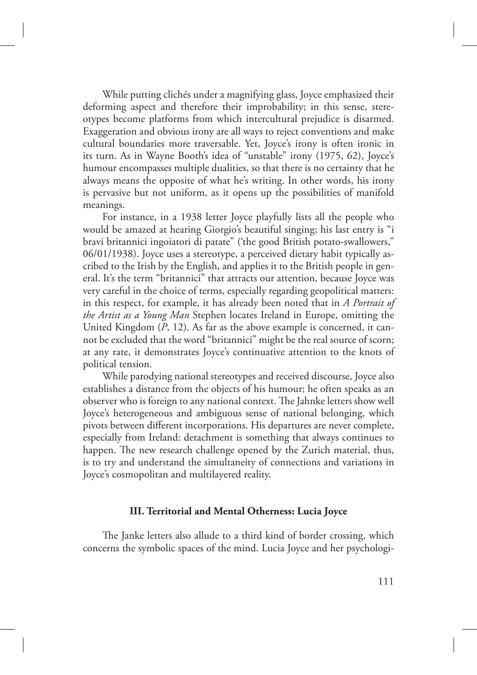While putting clichés under a magnifying glass, Joyce emphasized their deforming aspect and therefore their improbability; in this sense, stereotypes become platforms from which intercultural prejudice is disarmed. Exaggeration and obvious irony are all ways to reject conventions and make cultural boundaries more traversable. Yet, Joyce's irony is often ironic in its turn. As in Wayne Booth's idea of "unstable" irony (1975, 62), Joyce's humour encompasses multiple dualities, so that there is no certainty that he always means the opposite of what he's writing. In other words, his irony is pervasive but not uniform, as it opens up the possibilities of manifold meanings.

For instance, in a 1938 letter Joyce playfully lists all the people who would be amazed at hearing Giorgio's beautiful singing; his last entry is "i bravi britannici ingoiatori di patate" ('the good British potato-swallowers," 06/01/1938). Joyce uses a stereotype, a perceived dietary habit typically ascribed to the Irish by the English, and applies it to the British people in general. It's the term "britannici" that attracts our attention, because Joyce was very careful in the choice of terms, especially regarding geopolitical matters: in this respect, for example, it has already been noted that in *A Portrait of the Artist as a Young Man* Stephen locates Ireland in Europe, omitting the United Kingdom (*P*, 12). As far as the above example is concerned, it cannot be excluded that the word "britannici" might be the real source of scorn; at any rate, it demonstrates Joyce's continuative attention to the knots of political tension.

While parodying national stereotypes and received discourse, Joyce also establishes a distance from the objects of his humour; he often speaks as an observer who is foreign to any national context. The Jahnke letters show well Joyce's heterogeneous and ambiguous sense of national belonging, which pivots between different incorporations. His departures are never complete, especially from Ireland: detachment is something that always continues to happen. The new research challenge opened by the Zurich material, thus, is to try and understand the simultaneity of connections and variations in Joyce's cosmopolitan and multilayered reality.

### **III. Territorial and Mental Otherness: Lucia Joyce**

The Janke letters also allude to a third kind of border crossing, which concerns the symbolic spaces of the mind. Lucia Joyce and her psychologi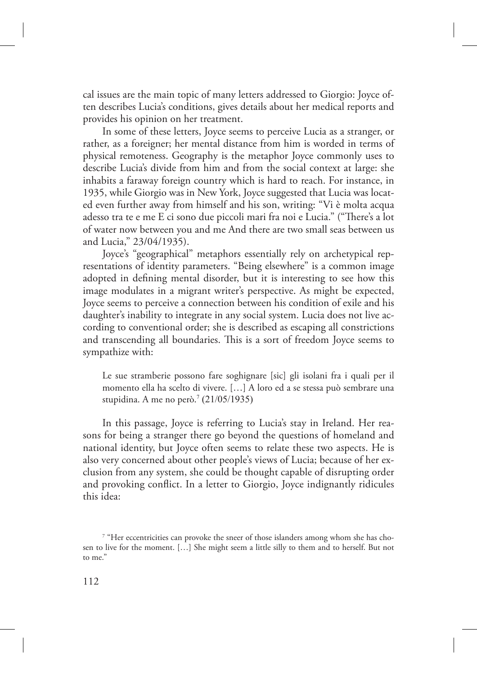cal issues are the main topic of many letters addressed to Giorgio: Joyce often describes Lucia's conditions, gives details about her medical reports and provides his opinion on her treatment.

In some of these letters, Joyce seems to perceive Lucia as a stranger, or rather, as a foreigner; her mental distance from him is worded in terms of physical remoteness. Geography is the metaphor Joyce commonly uses to describe Lucia's divide from him and from the social context at large: she inhabits a faraway foreign country which is hard to reach. For instance, in 1935, while Giorgio was in New York, Joyce suggested that Lucia was located even further away from himself and his son, writing: "Vi è molta acqua adesso tra te e me E ci sono due piccoli mari fra noi e Lucia." ("There's a lot of water now between you and me And there are two small seas between us and Lucia," 23/04/1935).

Joyce's "geographical" metaphors essentially rely on archetypical representations of identity parameters. "Being elsewhere" is a common image adopted in defining mental disorder, but it is interesting to see how this image modulates in a migrant writer's perspective. As might be expected, Joyce seems to perceive a connection between his condition of exile and his daughter's inability to integrate in any social system. Lucia does not live according to conventional order; she is described as escaping all constrictions and transcending all boundaries. This is a sort of freedom Joyce seems to sympathize with:

Le sue stramberie possono fare soghignare [sic] gli isolani fra i quali per il momento ella ha scelto di vivere. […] A loro ed a se stessa può sembrare una stupidina. A me no però.<sup>7</sup> (21/05/1935)

In this passage, Joyce is referring to Lucia's stay in Ireland. Her reasons for being a stranger there go beyond the questions of homeland and national identity, but Joyce often seems to relate these two aspects. He is also very concerned about other people's views of Lucia; because of her exclusion from any system, she could be thought capable of disrupting order and provoking conflict. In a letter to Giorgio, Joyce indignantly ridicules this idea:

<sup>&</sup>lt;sup>7</sup> "Her eccentricities can provoke the sneer of those islanders among whom she has chosen to live for the moment. […] She might seem a little silly to them and to herself. But not to me."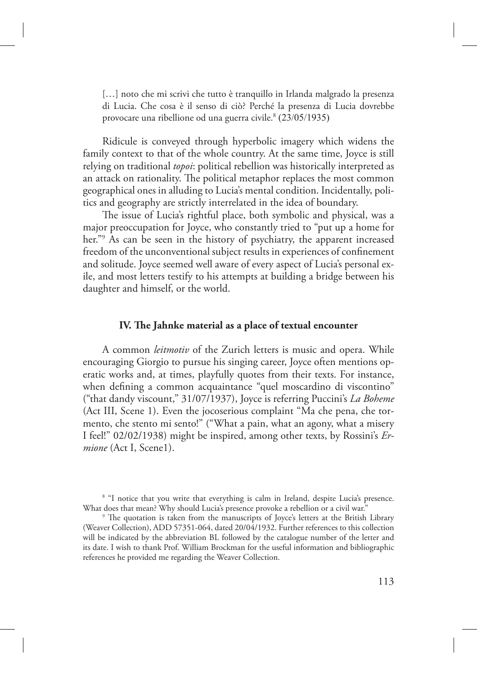[...] noto che mi scrivi che tutto è tranquillo in Irlanda malgrado la presenza di Lucia. Che cosa è il senso di ciò? Perché la presenza di Lucia dovrebbe provocare una ribellione od una guerra civile.<sup>8</sup> (23/05/1935)

Ridicule is conveyed through hyperbolic imagery which widens the family context to that of the whole country. At the same time, Joyce is still relying on traditional *topoi*: political rebellion was historically interpreted as an attack on rationality. The political metaphor replaces the most common geographical ones in alluding to Lucia's mental condition. Incidentally, politics and geography are strictly interrelated in the idea of boundary.

The issue of Lucia's rightful place, both symbolic and physical, was a major preoccupation for Joyce, who constantly tried to "put up a home for her."<sup>9</sup> As can be seen in the history of psychiatry, the apparent increased freedom of the unconventional subject results in experiences of confinement and solitude. Joyce seemed well aware of every aspect of Lucia's personal exile, and most letters testify to his attempts at building a bridge between his daughter and himself, or the world.

#### **IV. The Jahnke material as a place of textual encounter**

A common *leitmotiv* of the Zurich letters is music and opera. While encouraging Giorgio to pursue his singing career, Joyce often mentions operatic works and, at times, playfully quotes from their texts. For instance, when defining a common acquaintance "quel moscardino di viscontino" ("that dandy viscount," 31/07/1937), Joyce is referring Puccini's *La Boheme* (Act III, Scene 1). Even the jocoserious complaint "Ma che pena, che tormento, che stento mi sento!" ("What a pain, what an agony, what a misery I feel!" 02/02/1938) might be inspired, among other texts, by Rossini's *Ermione* (Act I, Scene1).

<sup>8</sup> "I notice that you write that everything is calm in Ireland, despite Lucia's presence. What does that mean? Why should Lucia's presence provoke a rebellion or a civil war.'

 $9$  The quotation is taken from the manuscripts of Joyce's letters at the British Library (Weaver Collection), ADD 57351-064, dated 20/04/1932. Further references to this collection will be indicated by the abbreviation BL followed by the catalogue number of the letter and its date. I wish to thank Prof. William Brockman for the useful information and bibliographic references he provided me regarding the Weaver Collection.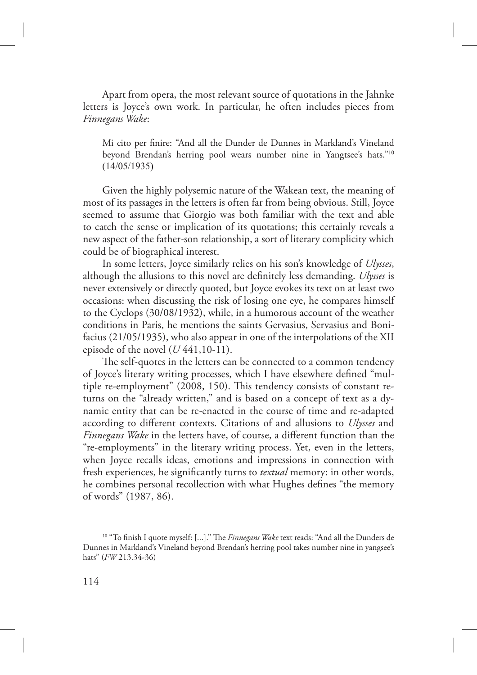Apart from opera, the most relevant source of quotations in the Jahnke letters is Joyce's own work. In particular, he often includes pieces from *Finnegans Wake*:

Mi cito per finire: "And all the Dunder de Dunnes in Markland's Vineland beyond Brendan's herring pool wears number nine in Yangtsee's hats."<sup>10</sup> (14/05/1935)

Given the highly polysemic nature of the Wakean text, the meaning of most of its passages in the letters is often far from being obvious. Still, Joyce seemed to assume that Giorgio was both familiar with the text and able to catch the sense or implication of its quotations; this certainly reveals a new aspect of the father-son relationship, a sort of literary complicity which could be of biographical interest.

In some letters, Joyce similarly relies on his son's knowledge of *Ulysses*, although the allusions to this novel are definitely less demanding. *Ulysses* is never extensively or directly quoted, but Joyce evokes its text on at least two occasions: when discussing the risk of losing one eye, he compares himself to the Cyclops (30/08/1932), while, in a humorous account of the weather conditions in Paris, he mentions the saints Gervasius, Servasius and Bonifacius (21/05/1935), who also appear in one of the interpolations of the XII episode of the novel  $(U441, 10-11)$ .

The self-quotes in the letters can be connected to a common tendency of Joyce's literary writing processes, which I have elsewhere defined "multiple re-employment" (2008, 150). This tendency consists of constant returns on the "already written," and is based on a concept of text as a dynamic entity that can be re-enacted in the course of time and re-adapted according to different contexts. Citations of and allusions to *Ulysses* and *Finnegans Wake* in the letters have, of course, a different function than the "re-employments" in the literary writing process. Yet, even in the letters, when Joyce recalls ideas, emotions and impressions in connection with fresh experiences, he significantly turns to *textual* memory: in other words, he combines personal recollection with what Hughes defines "the memory of words" (1987, 86).

<sup>&</sup>lt;sup>10</sup> "To finish I quote myself: [...]." The *Finnegans Wake* text reads: "And all the Dunders de Dunnes in Markland's Vineland beyond Brendan's herring pool takes number nine in yangsee's hats" (*FW* 213.34-36)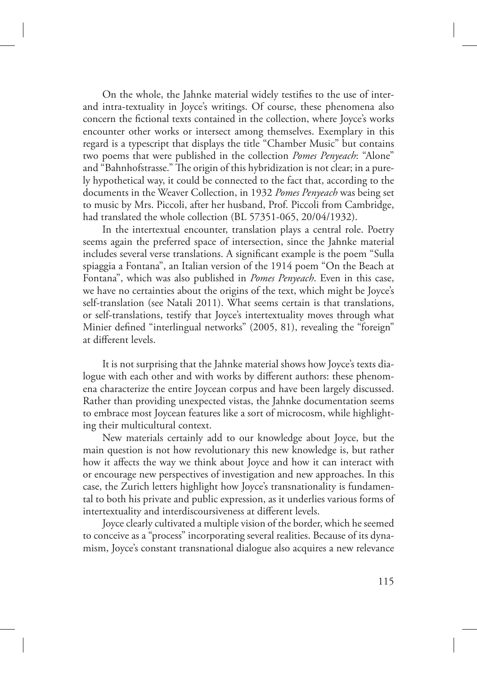On the whole, the Jahnke material widely testifies to the use of interand intra-textuality in Joyce's writings. Of course, these phenomena also concern the fictional texts contained in the collection, where Joyce's works encounter other works or intersect among themselves. Exemplary in this regard is a typescript that displays the title "Chamber Music" but contains two poems that were published in the collection *Pomes Penyeach*: "Alone" and "Bahnhofstrasse." The origin of this hybridization is not clear; in a purely hypothetical way, it could be connected to the fact that, according to the documents in the Weaver Collection, in 1932 *Pomes Penyeach* was being set to music by Mrs. Piccoli, after her husband, Prof. Piccoli from Cambridge, had translated the whole collection (BL 57351-065, 20/04/1932).

In the intertextual encounter, translation plays a central role. Poetry seems again the preferred space of intersection, since the Jahnke material includes several verse translations. A significant example is the poem "Sulla spiaggia a Fontana", an Italian version of the 1914 poem "On the Beach at Fontana", which was also published in *Pomes Penyeach*. Even in this case, we have no certainties about the origins of the text, which might be Joyce's self-translation (see Natali 2011). What seems certain is that translations, or self-translations, testify that Joyce's intertextuality moves through what Minier defined "interlingual networks" (2005, 81), revealing the "foreign" at different levels.

It is not surprising that the Jahnke material shows how Joyce's texts dialogue with each other and with works by different authors: these phenomena characterize the entire Joycean corpus and have been largely discussed. Rather than providing unexpected vistas, the Jahnke documentation seems to embrace most Joycean features like a sort of microcosm, while highlighting their multicultural context.

New materials certainly add to our knowledge about Joyce, but the main question is not how revolutionary this new knowledge is, but rather how it affects the way we think about Joyce and how it can interact with or encourage new perspectives of investigation and new approaches. In this case, the Zurich letters highlight how Joyce's transnationality is fundamental to both his private and public expression, as it underlies various forms of intertextuality and interdiscoursiveness at different levels.

Joyce clearly cultivated a multiple vision of the border, which he seemed to conceive as a "process" incorporating several realities. Because of its dynamism, Joyce's constant transnational dialogue also acquires a new relevance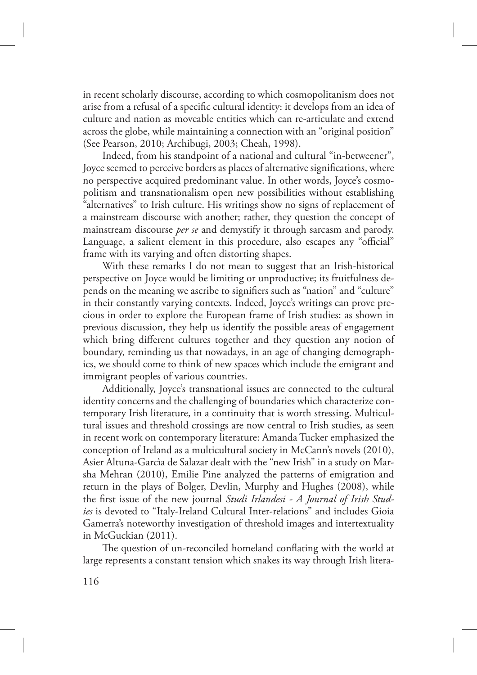in recent scholarly discourse, according to which cosmopolitanism does not arise from a refusal of a specific cultural identity: it develops from an idea of culture and nation as moveable entities which can re-articulate and extend across the globe, while maintaining a connection with an "original position" (See Pearson, 2010; Archibugi, 2003; Cheah, 1998).

Indeed, from his standpoint of a national and cultural "in-betweener", Joyce seemed to perceive borders as places of alternative significations, where no perspective acquired predominant value. In other words, Joyce's cosmopolitism and transnationalism open new possibilities without establishing "alternatives" to Irish culture. His writings show no signs of replacement of a mainstream discourse with another; rather, they question the concept of mainstream discourse *per se* and demystify it through sarcasm and parody. Language, a salient element in this procedure, also escapes any "official" frame with its varying and often distorting shapes.

With these remarks I do not mean to suggest that an Irish-historical perspective on Joyce would be limiting or unproductive; its fruitfulness depends on the meaning we ascribe to signifiers such as "nation" and "culture" in their constantly varying contexts. Indeed, Joyce's writings can prove precious in order to explore the European frame of Irish studies: as shown in previous discussion, they help us identify the possible areas of engagement which bring different cultures together and they question any notion of boundary, reminding us that nowadays, in an age of changing demographics, we should come to think of new spaces which include the emigrant and immigrant peoples of various countries.

Additionally, Joyce's transnational issues are connected to the cultural identity concerns and the challenging of boundaries which characterize contemporary Irish literature, in a continuity that is worth stressing. Multicultural issues and threshold crossings are now central to Irish studies, as seen in recent work on contemporary literature: Amanda Tucker emphasized the conception of Ireland as a multicultural society in McCann's novels (2010), Asier Altuna-Garcìa de Salazar dealt with the "new Irish" in a study on Marsha Mehran (2010), Emilie Pine analyzed the patterns of emigration and return in the plays of Bolger, Devlin, Murphy and Hughes (2008), while the first issue of the new journal *Studi Irlandesi - A Journal of Irish Studies* is devoted to "Italy-Ireland Cultural Inter-relations" and includes Gioia Gamerra's noteworthy investigation of threshold images and intertextuality in McGuckian (2011).

The question of un-reconciled homeland conflating with the world at large represents a constant tension which snakes its way through Irish litera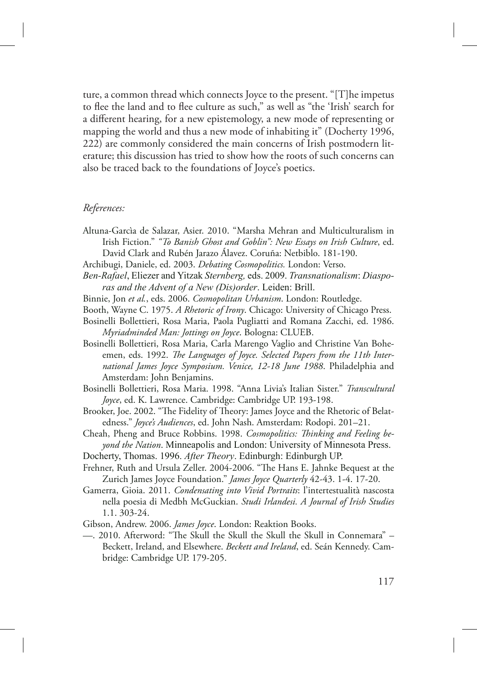ture, a common thread which connects Joyce to the present. "[T]he impetus to flee the land and to flee culture as such," as well as "the 'Irish' search for a different hearing, for a new epistemology, a new mode of representing or mapping the world and thus a new mode of inhabiting it" (Docherty 1996, 222) are commonly considered the main concerns of Irish postmodern literature; this discussion has tried to show how the roots of such concerns can also be traced back to the foundations of Joyce's poetics.

## *References:*

- Altuna-Garcìa de Salazar, Asier. 2010. "Marsha Mehran and Multiculturalism in Irish Fiction." *"To Banish Ghost and Goblin": New Essays on Irish Culture*, ed. David Clark and Rubén Jarazo Álavez. Coruña: Netbiblo. 181-190.
- Archibugi, Daniele, ed. 2003. *Debating Cosmopolitics.* London: Verso.
- *Ben-Rafael*, Eliezer and Yitzak *Sternberg,* eds. 2009. *Transnationalism*: *Diasporas and the Advent of a New (Dis)order*. Leiden: Brill.
- Binnie, Jon *et al.*, eds. 2006. *Cosmopolitan Urbanism*. London: Routledge.
- Booth, Wayne C. 1975. *A Rhetoric of Irony*. Chicago: University of Chicago Press.
- Bosinelli Bollettieri, Rosa Maria, Paola Pugliatti and Romana Zacchi, ed. 1986. *Myriadminded Man: Jottings on Joyce*. Bologna: CLUEB.
- Bosinelli Bollettieri, Rosa Maria, Carla Marengo Vaglio and Christine Van Boheemen, eds. 1992. *The Languages of Joyce. Selected Papers from the 11th International James Joyce Symposium. Venice, 12-18 June 1988*. Philadelphia and Amsterdam: John Benjamins.
- Bosinelli Bollettieri, Rosa Maria. 1998. "Anna Livia's Italian Sister." *Transcultural Joyce*, ed. K. Lawrence. Cambridge: Cambridge UP. 193-198.
- Brooker, Joe. 2002. "The Fidelity of Theory: James Joyce and the Rhetoric of Belatedness." *Joyce's Audiences*, ed. John Nash. Amsterdam: Rodopi. 201–21.
- Cheah, Pheng and Bruce Robbins. 1998. *Cosmopolitics: Thinking and Feeling beyond the Nation*. Minneapolis and London: University of Minnesota Press.
- Docherty, Thomas. 1996. *After Theory*. Edinburgh: Edinburgh UP.
- Frehner, Ruth and Ursula Zeller. 2004-2006. "The Hans E. Jahnke Bequest at the Zurich James Joyce Foundation." *James Joyce Quarterly* 42-43. 1-4. 17-20.
- Gamerra, Gioia. 2011. *Condensating into Vivid Portraits*: l'intertestualità nascosta nella poesia di Medbh McGuckian. *Studi Irlandesi. A Journal of Irish Studies* 1.1. 303-24.
- Gibson, Andrew. 2006. *James Joyce*. London: Reaktion Books.
- —. 2010. Afterword: "The Skull the Skull the Skull the Skull in Connemara" Beckett, Ireland, and Elsewhere. *Beckett and Ireland*, ed. Seán Kennedy. Cambridge: Cambridge UP. 179-205.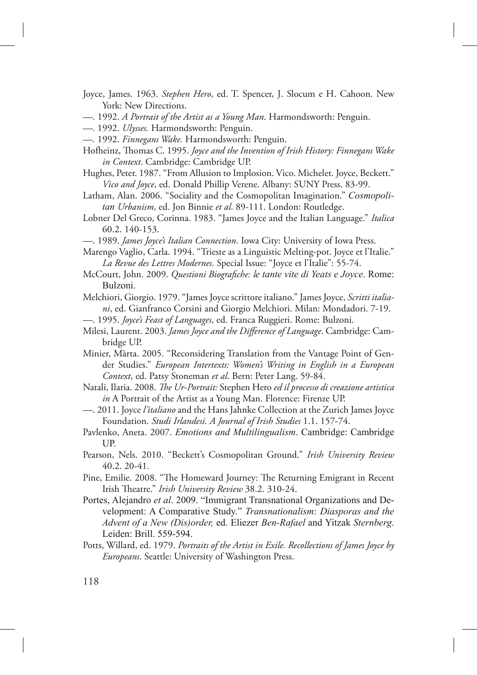Joyce, James. 1963. *Stephen Hero*, ed. T. Spencer, J. Slocum e H. Cahoon. New York: New Directions.

- *—.* 1992. *A Portrait of the Artist as a Young Man*. Harmondsworth: Penguin.
- *—.* 1992. *Ulysses.* Harmondsworth: Penguin.
- *—.* 1992. *Finnegans Wake.* Harmondsworth: Penguin.
- Hofheinz, Thomas C. 1995. *Joyce and the Invention of Irish History: Finnegans Wake in Context*. Cambridge: Cambridge UP.
- Hughes, Peter. 1987. "From Allusion to Implosion. Vico. Michelet. Joyce, Beckett." *Vico and Joyce*, ed. Donald Phillip Verene. Albany: SUNY Press. 83-99.

Latham, Alan. 2006. "Sociality and the Cosmopolitan Imagination." *Cosmopolitan Urbanism*, ed. Jon Binnie *et al*. 89-111. London: Routledge.

- Lobner Del Greco, Corinna. 1983. "James Joyce and the Italian Language." *Italica* 60.2. 140-153.
- —. 1989. *James Joyce's Italian Connection*. Iowa City: University of Iowa Press.
- Marengo Vaglio, Carla. 1994. "Trieste as a Linguistic Melting-pot. Joyce et l'Italie." *La Revue des Lettres Modernes*. Special Issue: "Joyce et l'Italie": 55-74.
- McCourt, John. 2009. *Questioni Biografiche: le tante vite di Yeats e Joyce*. Rome: Bulzoni.
- Melchiori, Giorgio. 1979. "James Joyce scrittore italiano." James Joyce, *Scritti italiani*, ed. Gianfranco Corsini and Giorgio Melchiori. Milan: Mondadori. 7-19.
- —. 1995. *Joyce's Feast of Languages*, ed. Franca Ruggieri. Rome: Bulzoni.
- Milesi, Laurent. 2003. *James Joyce and the Difference of Language*. Cambridge: Cambridge UP.
- Minier, Màrta. 2005. "Reconsidering Translation from the Vantage Point of Gender Studies." *European Intertexts: Women's Writing in English in a European Context*, ed. Patsy Stoneman *et al*. Bern: Peter Lang. 59-84.
- Natali, Ilaria. 2008. *"e Ur-Portrait:* Stephen Hero *ed il processo di creazione artistica in* A Portrait of the Artist as a Young Man. Florence: Firenze UP.
- —. 2011. Joyce *l'italiano* and the Hans Jahnke Collection at the Zurich James Joyce Foundation. *Studi Irlandesi. A Journal of Irish Studies* 1.1. 157-74.
- Pavlenko, Aneta. 2007. *Emotions and Multilingualism*. Cambridge: Cambridge UP.
- Pearson, Nels. 2010. "Beckett's Cosmopolitan Ground." *Irish University Review* 40.2. 20-41.
- Pine, Emilie. 2008. "The Homeward Journey: The Returning Emigrant in Recent Irish Theatre." Irish University Review 38.2. 310-24.
- Portes, Alejandro *et al*. 2009. "Immigrant Transnational Organizations and Development: A Comparative Study." *Transnationalism*: *Diasporas and the Advent of a New (Dis)order,* ed. Eliezer *Ben-Rafael* and Yitzak *Sternberg*. Leiden: Brill. 559-594.
- Potts, Willard, ed. 1979. *Portraits of the Artist in Exile. Recollections of James Joyce by Europeans*. Seattle: University of Washington Press.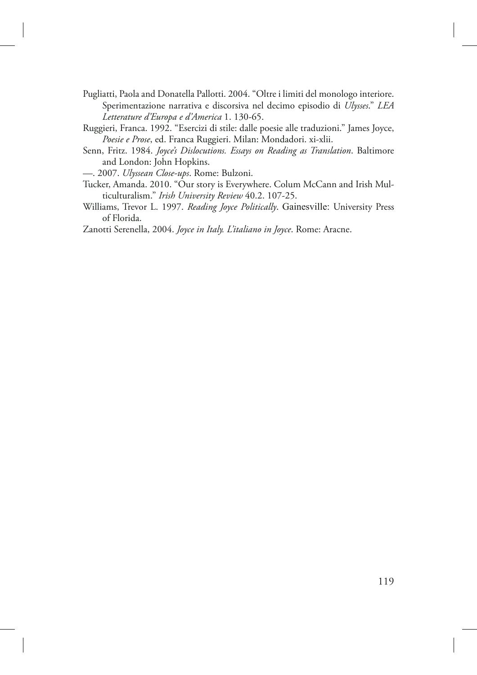- Pugliatti, Paola and Donatella Pallotti. 2004. "Oltre i limiti del monologo interiore. Sperimentazione narrativa e discorsiva nel decimo episodio di *Ulysses*." *LEA Letterature d'Europa e d'America* 1. 130-65.
- Ruggieri, Franca. 1992. "Esercizi di stile: dalle poesie alle traduzioni." James Joyce, *Poesie e Prose*, ed. Franca Ruggieri. Milan: Mondadori. xi-xlii.
- Senn, Fritz. 1984. *Joyce's Dislocutions. Essays on Reading as Translation*. Baltimore and London: John Hopkins.

—. 2007. *Ulyssean Close-ups*. Rome: Bulzoni.

- Tucker, Amanda. 2010. "Our story is Everywhere. Colum McCann and Irish Multiculturalism." *Irish University Review* 40.2. 107-25.
- Williams, Trevor L. 1997. *Reading Joyce Politically*. Gainesville: University Press of Florida.
- Zanotti Serenella, 2004. *Joyce in Italy. L'italiano in Joyce*. Rome: Aracne.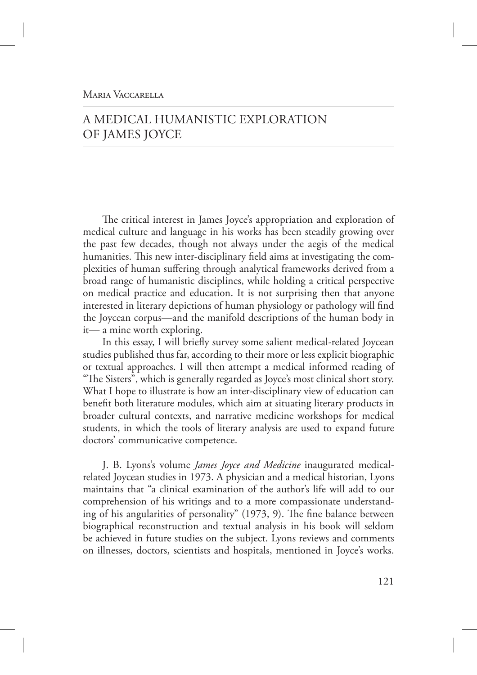## MARIA VACCARELLA

# A MEDICAL HUMANISTIC EXPLORATION OF JAMES JOYCE

The critical interest in James Joyce's appropriation and exploration of medical culture and language in his works has been steadily growing over the past few decades, though not always under the aegis of the medical humanities. This new inter-disciplinary field aims at investigating the complexities of human suffering through analytical frameworks derived from a broad range of humanistic disciplines, while holding a critical perspective on medical practice and education. It is not surprising then that anyone interested in literary depictions of human physiology or pathology will find the Joycean corpus—and the manifold descriptions of the human body in it— a mine worth exploring.

In this essay, I will briefly survey some salient medical-related Joycean studies published thus far, according to their more or less explicit biographic or textual approaches. I will then attempt a medical informed reading of "The Sisters", which is generally regarded as Joyce's most clinical short story. What I hope to illustrate is how an inter-disciplinary view of education can benefit both literature modules, which aim at situating literary products in broader cultural contexts, and narrative medicine workshops for medical students, in which the tools of literary analysis are used to expand future doctors' communicative competence.

J. B. Lyons's volume *James Joyce and Medicine* inaugurated medicalrelated Joycean studies in 1973. A physician and a medical historian, Lyons maintains that "a clinical examination of the author's life will add to our comprehension of his writings and to a more compassionate understanding of his angularities of personality"  $(1973, 9)$ . The fine balance between biographical reconstruction and textual analysis in his book will seldom be achieved in future studies on the subject. Lyons reviews and comments on illnesses, doctors, scientists and hospitals, mentioned in Joyce's works.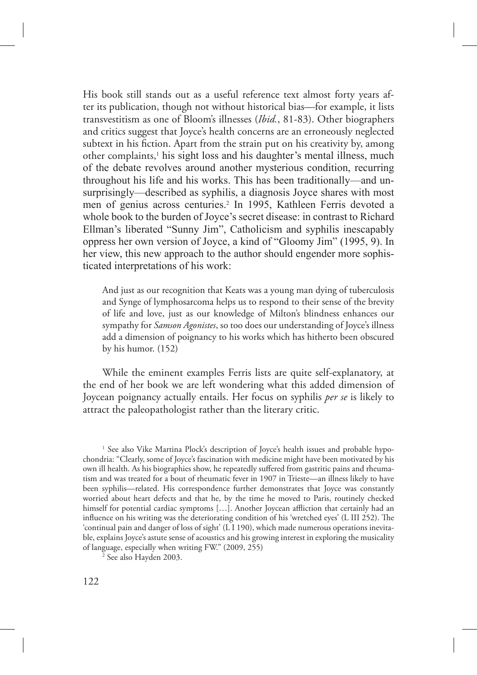His book still stands out as a useful reference text almost forty years after its publication, though not without historical bias—for example, it lists transvestitism as one of Bloom's illnesses (*Ibid.*, 81-83). Other biographers and critics suggest that Joyce's health concerns are an erroneously neglected subtext in his fiction. Apart from the strain put on his creativity by, among other complaints,<sup>1</sup> his sight loss and his daughter's mental illness, much of the debate revolves around another mysterious condition, recurring throughout his life and his works. This has been traditionally—and unsurprisingly—described as syphilis, a diagnosis Joyce shares with most men of genius across centuries.<sup>2</sup> In 1995, Kathleen Ferris devoted a whole book to the burden of Joyce's secret disease: in contrast to Richard Ellman's liberated "Sunny Jim", Catholicism and syphilis inescapably oppress her own version of Joyce, a kind of "Gloomy Jim" (1995, 9). In her view, this new approach to the author should engender more sophisticated interpretations of his work:

And just as our recognition that Keats was a young man dying of tuberculosis and Synge of lymphosarcoma helps us to respond to their sense of the brevity of life and love, just as our knowledge of Milton's blindness enhances our sympathy for *Samson Agonistes*, so too does our understanding of Joyce's illness add a dimension of poignancy to his works which has hitherto been obscured by his humor. (152)

While the eminent examples Ferris lists are quite self-explanatory, at the end of her book we are left wondering what this added dimension of Joycean poignancy actually entails. Her focus on syphilis *per se* is likely to attract the paleopathologist rather than the literary critic.

<sup>1</sup> See also Vike Martina Plock's description of Joyce's health issues and probable hypochondria: "Clearly, some of Joyce's fascination with medicine might have been motivated by his own ill health. As his biographies show, he repeatedly suffered from gastritic pains and rheumatism and was treated for a bout of rheumatic fever in 1907 in Trieste—an illness likely to have been syphilis—related. His correspondence further demonstrates that Joyce was constantly worried about heart defects and that he, by the time he moved to Paris, routinely checked himself for potential cardiac symptoms [...]. Another Joycean affliction that certainly had an influence on his writing was the deteriorating condition of his 'wretched eyes' (L III 252). The 'continual pain and danger of loss of sight' (L I 190), which made numerous operations inevitable, explains Joyce's astute sense of acoustics and his growing interest in exploring the musicality of language, especially when writing FW." (2009, 255)

2 See also Hayden 2003.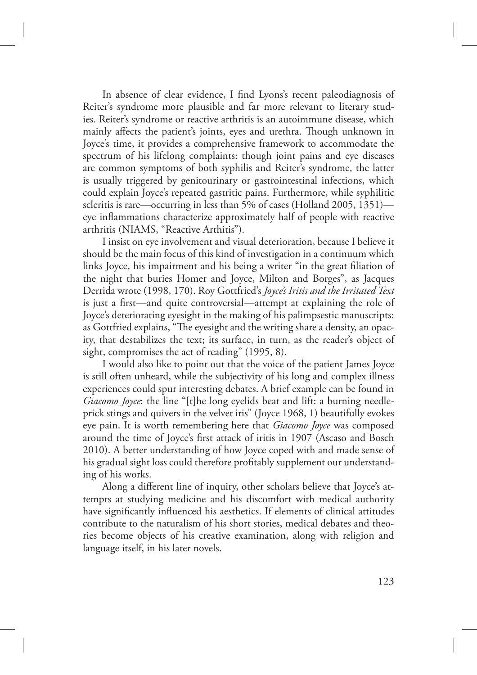In absence of clear evidence, I find Lyons's recent paleodiagnosis of Reiter's syndrome more plausible and far more relevant to literary studies. Reiter's syndrome or reactive arthritis is an autoimmune disease, which mainly affects the patient's joints, eyes and urethra. Though unknown in Joyce's time, it provides a comprehensive framework to accommodate the spectrum of his lifelong complaints: though joint pains and eye diseases are common symptoms of both syphilis and Reiter's syndrome, the latter is usually triggered by genitourinary or gastrointestinal infections, which could explain Joyce's repeated gastritic pains. Furthermore, while syphilitic scleritis is rare—occurring in less than 5% of cases (Holland 2005, 1351) eye inflammations characterize approximately half of people with reactive arthritis (NIAMS, "Reactive Arthitis").

I insist on eye involvement and visual deterioration, because I believe it should be the main focus of this kind of investigation in a continuum which links Joyce, his impairment and his being a writer "in the great filiation of the night that buries Homer and Joyce, Milton and Borges", as Jacques Derrida wrote (1998, 170). Roy Gottfried's *Joyce's Iritis and the Irritated Text* is just a first—and quite controversial—attempt at explaining the role of Joyce's deteriorating eyesight in the making of his palimpsestic manuscripts: as Gottfried explains, "The eyesight and the writing share a density, an opacity, that destabilizes the text; its surface, in turn, as the reader's object of sight, compromises the act of reading" (1995, 8).

I would also like to point out that the voice of the patient James Joyce is still often unheard, while the subjectivity of his long and complex illness experiences could spur interesting debates. A brief example can be found in *Giacomo Joyce*: the line "[t]he long eyelids beat and lift: a burning needleprick stings and quivers in the velvet iris" (Joyce 1968, 1) beautifully evokes eye pain. It is worth remembering here that *Giacomo Joyce* was composed around the time of Joyce's first attack of iritis in 1907 (Ascaso and Bosch 2010). A better understanding of how Joyce coped with and made sense of his gradual sight loss could therefore profitably supplement our understanding of his works.

Along a different line of inquiry, other scholars believe that Joyce's attempts at studying medicine and his discomfort with medical authority have significantly influenced his aesthetics. If elements of clinical attitudes contribute to the naturalism of his short stories, medical debates and theories become objects of his creative examination, along with religion and language itself, in his later novels.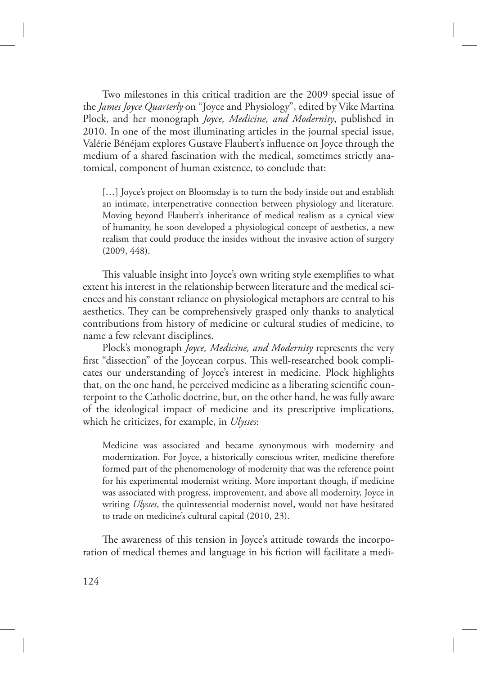Two milestones in this critical tradition are the 2009 special issue of the *James Joyce Quarterly* on "Joyce and Physiology", edited by Vike Martina Plock, and her monograph *Joyce, Medicine, and Modernity*, published in 2010. In one of the most illuminating articles in the journal special issue, Valérie Bénéjam explores Gustave Flaubert's influence on Joyce through the medium of a shared fascination with the medical, sometimes strictly anatomical, component of human existence, to conclude that:

[…] Joyce's project on Bloomsday is to turn the body inside out and establish an intimate, interpenetrative connection between physiology and literature. Moving beyond Flaubert's inheritance of medical realism as a cynical view of humanity, he soon developed a physiological concept of aesthetics, a new realism that could produce the insides without the invasive action of surgery (2009, 448).

This valuable insight into Joyce's own writing style exemplifies to what extent his interest in the relationship between literature and the medical sciences and his constant reliance on physiological metaphors are central to his aesthetics. They can be comprehensively grasped only thanks to analytical contributions from history of medicine or cultural studies of medicine, to name a few relevant disciplines.

Plock's monograph *Joyce, Medicine, and Modernity* represents the very first "dissection" of the Joycean corpus. This well-researched book complicates our understanding of Joyce's interest in medicine. Plock highlights that, on the one hand, he perceived medicine as a liberating scientific counterpoint to the Catholic doctrine, but, on the other hand, he was fully aware of the ideological impact of medicine and its prescriptive implications, which he criticizes, for example, in *Ulysses*:

Medicine was associated and became synonymous with modernity and modernization. For Joyce, a historically conscious writer, medicine therefore formed part of the phenomenology of modernity that was the reference point for his experimental modernist writing. More important though, if medicine was associated with progress, improvement, and above all modernity, Joyce in writing *Ulysses*, the quintessential modernist novel, would not have hesitated to trade on medicine's cultural capital (2010, 23).

The awareness of this tension in Joyce's attitude towards the incorporation of medical themes and language in his fiction will facilitate a medi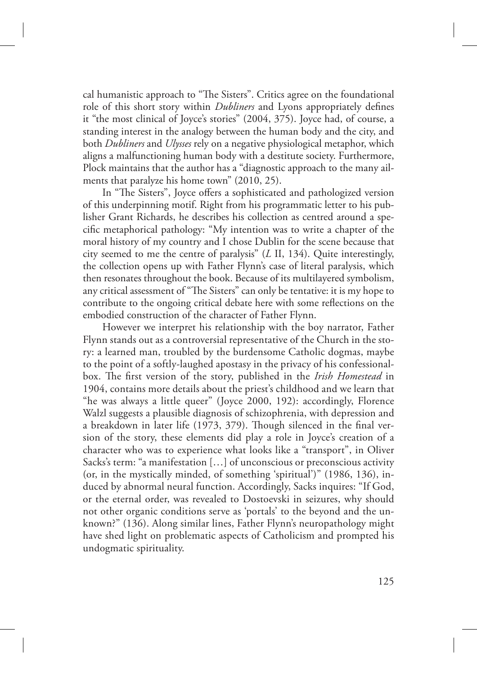cal humanistic approach to "The Sisters". Critics agree on the foundational role of this short story within *Dubliners* and Lyons appropriately defines it "the most clinical of Joyce's stories" (2004, 375). Joyce had, of course, a standing interest in the analogy between the human body and the city, and both *Dubliners* and *Ulysses* rely on a negative physiological metaphor, which aligns a malfunctioning human body with a destitute society. Furthermore, Plock maintains that the author has a "diagnostic approach to the many ailments that paralyze his home town" (2010, 25).

In "The Sisters", Joyce offers a sophisticated and pathologized version of this underpinning motif. Right from his programmatic letter to his publisher Grant Richards, he describes his collection as centred around a specific metaphorical pathology: "My intention was to write a chapter of the moral history of my country and I chose Dublin for the scene because that city seemed to me the centre of paralysis" (*L* II, 134). Quite interestingly, the collection opens up with Father Flynn's case of literal paralysis, which then resonates throughout the book. Because of its multilayered symbolism, any critical assessment of "The Sisters" can only be tentative: it is my hope to contribute to the ongoing critical debate here with some reflections on the embodied construction of the character of Father Flynn.

However we interpret his relationship with the boy narrator, Father Flynn stands out as a controversial representative of the Church in the story: a learned man, troubled by the burdensome Catholic dogmas, maybe to the point of a softly-laughed apostasy in the privacy of his confessionalbox. The first version of the story, published in the *Irish Homestead* in 1904, contains more details about the priest's childhood and we learn that "he was always a little queer" (Joyce 2000, 192): accordingly, Florence Walzl suggests a plausible diagnosis of schizophrenia, with depression and a breakdown in later life (1973, 379). Though silenced in the final version of the story, these elements did play a role in Joyce's creation of a character who was to experience what looks like a "transport", in Oliver Sacks's term: "a manifestation […] of unconscious or preconscious activity (or, in the mystically minded, of something 'spiritual')" (1986, 136), induced by abnormal neural function. Accordingly, Sacks inquires: "If God, or the eternal order, was revealed to Dostoevski in seizures, why should not other organic conditions serve as 'portals' to the beyond and the unknown?" (136). Along similar lines, Father Flynn's neuropathology might have shed light on problematic aspects of Catholicism and prompted his undogmatic spirituality.

125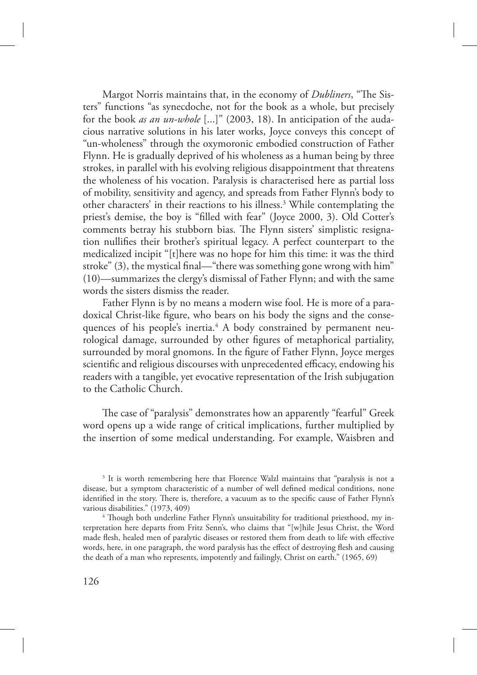Margot Norris maintains that, in the economy of *Dubliners*, "The Sisters" functions "as synecdoche, not for the book as a whole, but precisely for the book *as an un-whole* [...]" (2003, 18). In anticipation of the audacious narrative solutions in his later works, Joyce conveys this concept of "un-wholeness" through the oxymoronic embodied construction of Father Flynn. He is gradually deprived of his wholeness as a human being by three strokes, in parallel with his evolving religious disappointment that threatens the wholeness of his vocation. Paralysis is characterised here as partial loss of mobility, sensitivity and agency, and spreads from Father Flynn's body to other characters' in their reactions to his illness.<sup>3</sup> While contemplating the priest's demise, the boy is "filled with fear" (Joyce 2000, 3). Old Cotter's comments betray his stubborn bias. The Flynn sisters' simplistic resignation nullifies their brother's spiritual legacy. A perfect counterpart to the medicalized incipit "[t]here was no hope for him this time: it was the third stroke" (3), the mystical final—"there was something gone wrong with him" (10)—summarizes the clergy's dismissal of Father Flynn; and with the same words the sisters dismiss the reader.

Father Flynn is by no means a modern wise fool. He is more of a paradoxical Christ-like figure, who bears on his body the signs and the consequences of his people's inertia.<sup>4</sup> A body constrained by permanent neurological damage, surrounded by other figures of metaphorical partiality, surrounded by moral gnomons. In the figure of Father Flynn, Joyce merges scientific and religious discourses with unprecedented efficacy, endowing his readers with a tangible, yet evocative representation of the Irish subjugation to the Catholic Church.

The case of "paralysis" demonstrates how an apparently "fearful" Greek word opens up a wide range of critical implications, further multiplied by the insertion of some medical understanding. For example, Waisbren and

<sup>&</sup>lt;sup>3</sup> It is worth remembering here that Florence Walzl maintains that "paralysis is not a disease, but a symptom characteristic of a number of well defined medical conditions, none identified in the story. There is, therefore, a vacuum as to the specific cause of Father Flynn's various disabilities." (1973, 409)

<sup>&</sup>lt;sup>4</sup> Though both underline Father Flynn's unsuitability for traditional priesthood, my interpretation here departs from Fritz Senn's, who claims that "[w]hile Jesus Christ, the Word made flesh, healed men of paralytic diseases or restored them from death to life with effective words, here, in one paragraph, the word paralysis has the effect of destroying flesh and causing the death of a man who represents, impotently and failingly, Christ on earth." (1965, 69)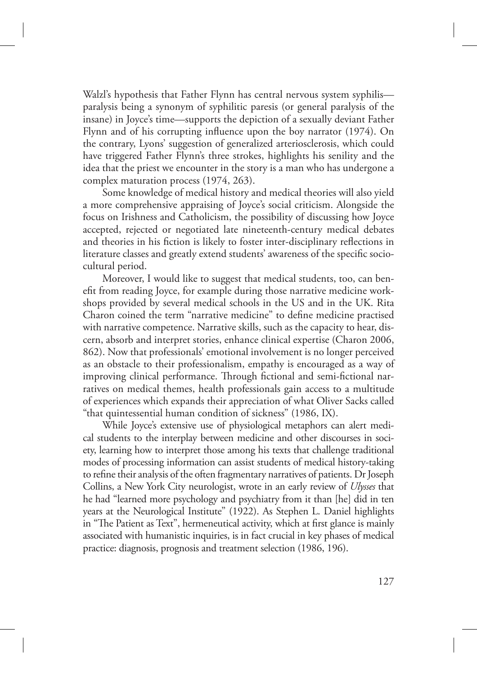Walzl's hypothesis that Father Flynn has central nervous system syphilis paralysis being a synonym of syphilitic paresis (or general paralysis of the insane) in Joyce's time—supports the depiction of a sexually deviant Father Flynn and of his corrupting influence upon the boy narrator (1974). On the contrary, Lyons' suggestion of generalized arteriosclerosis, which could have triggered Father Flynn's three strokes, highlights his senility and the idea that the priest we encounter in the story is a man who has undergone a complex maturation process (1974, 263).

Some knowledge of medical history and medical theories will also yield a more comprehensive appraising of Joyce's social criticism. Alongside the focus on Irishness and Catholicism, the possibility of discussing how Joyce accepted, rejected or negotiated late nineteenth-century medical debates and theories in his fiction is likely to foster inter-disciplinary reflections in literature classes and greatly extend students' awareness of the specific sociocultural period.

Moreover, I would like to suggest that medical students, too, can benefit from reading Joyce, for example during those narrative medicine workshops provided by several medical schools in the US and in the UK. Rita Charon coined the term "narrative medicine" to define medicine practised with narrative competence. Narrative skills, such as the capacity to hear, discern, absorb and interpret stories, enhance clinical expertise (Charon 2006, 862). Now that professionals' emotional involvement is no longer perceived as an obstacle to their professionalism, empathy is encouraged as a way of improving clinical performance. Through fictional and semi-fictional narratives on medical themes, health professionals gain access to a multitude of experiences which expands their appreciation of what Oliver Sacks called "that quintessential human condition of sickness" (1986, IX).

While Joyce's extensive use of physiological metaphors can alert medical students to the interplay between medicine and other discourses in society, learning how to interpret those among his texts that challenge traditional modes of processing information can assist students of medical history-taking to refine their analysis of the often fragmentary narratives of patients. Dr Joseph Collins, a New York City neurologist, wrote in an early review of *Ulysses* that he had "learned more psychology and psychiatry from it than [he] did in ten years at the Neurological Institute" (1922). As Stephen L. Daniel highlights in "The Patient as Text", hermeneutical activity, which at first glance is mainly associated with humanistic inquiries, is in fact crucial in key phases of medical practice: diagnosis, prognosis and treatment selection (1986, 196).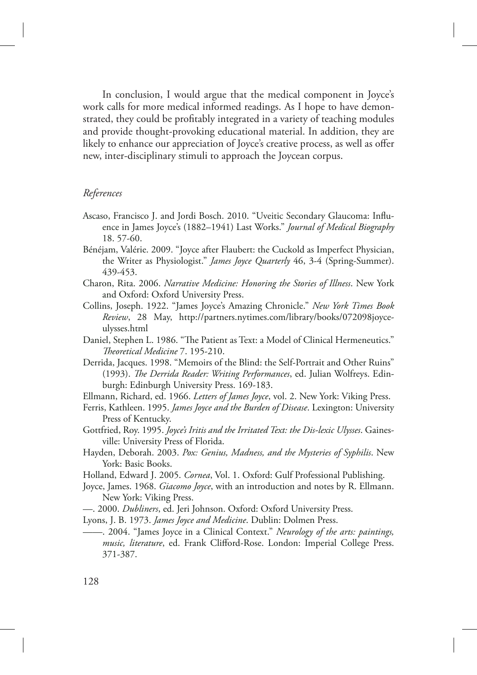In conclusion, I would argue that the medical component in Joyce's work calls for more medical informed readings. As I hope to have demonstrated, they could be profitably integrated in a variety of teaching modules and provide thought-provoking educational material. In addition, they are likely to enhance our appreciation of Joyce's creative process, as well as offer new, inter-disciplinary stimuli to approach the Joycean corpus.

### *References*

- Ascaso, Francisco J. and Jordi Bosch. 2010. "Uveitic Secondary Glaucoma: Influence in James Joyce's (1882–1941) Last Works." *Journal of Medical Biography* 18. 57-60.
- Bénéjam, Valérie. 2009. "Joyce after Flaubert: the Cuckold as Imperfect Physician, the Writer as Physiologist." *James Joyce Quarterly* 46, 3-4 (Spring-Summer). 439-453.
- Charon, Rita. 2006. *Narrative Medicine: Honoring the Stories of Illness*. New York and Oxford: Oxford University Press.
- Collins, Joseph. 1922. "James Joyce's Amazing Chronicle." *New York Times Book Review*, 28 May, http://partners.nytimes.com/library/books/072098joyceulysses.html
- Daniel, Stephen L. 1986. "The Patient as Text: a Model of Clinical Hermeneutics." *!eoretical Medicine* 7. 195-210.
- Derrida, Jacques. 1998. "Memoirs of the Blind: the Self-Portrait and Other Ruins" (1993). *The Derrida Reader: Writing Performances*, ed. Julian Wolfreys. Edinburgh: Edinburgh University Press. 169-183.
- Ellmann, Richard, ed. 1966. *Letters of James Joyce*, vol. 2. New York: Viking Press.
- Ferris, Kathleen. 1995. *James Joyce and the Burden of Disease*. Lexington: University Press of Kentucky.
- Gottfried, Roy. 1995. *Joyce's Iritis and the Irritated Text: the Dis-lexic Ulysses*. Gainesville: University Press of Florida.
- Hayden, Deborah. 2003. *Pox: Genius, Madness, and the Mysteries of Syphilis*. New York: Basic Books.
- Holland, Edward J. 2005. *Cornea*, Vol. 1. Oxford: Gulf Professional Publishing.
- Joyce, James. 1968. *Giacomo Joyce*, with an introduction and notes by R. Ellmann. New York: Viking Press.
- —. 2000. *Dubliners*, ed. Jeri Johnson. Oxford: Oxford University Press.
- Lyons, J. B. 1973. *James Joyce and Medicine*. Dublin: Dolmen Press.
- ——. 2004. "James Joyce in a Clinical Context." *Neurology of the arts: paintings, music, literature*, ed. Frank Clifford-Rose. London: Imperial College Press. 371-387.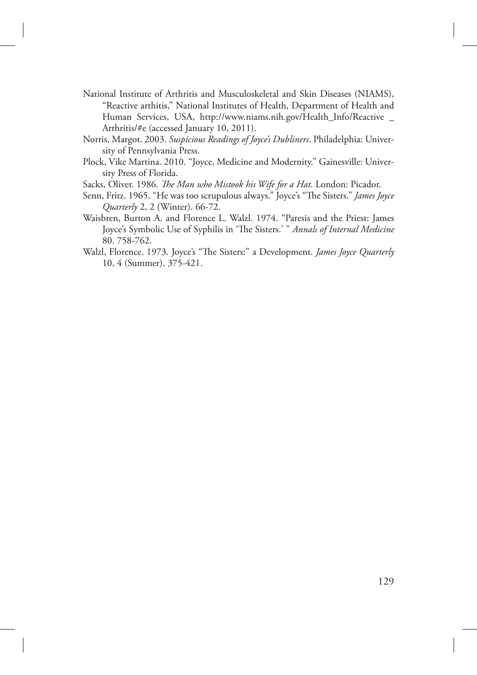- National Institute of Arthritis and Musculoskeletal and Skin Diseases (NIAMS), "Reactive arthitis," National Institutes of Health, Department of Health and Human Services, USA, http://www.niams.nih.gov/Health\_Info/Reactive \_ Arthritis/#e (accessed January 10, 2011).
- Norris, Margot. 2003. *Suspicious Readings of Joyce's Dubliners*. Philadelphia: University of Pennsylvania Press.
- Plock, Vike Martina. 2010. "Joyce, Medicine and Modernity." Gainesville: University Press of Florida.

Sacks, Oliver. 1986. *The Man who Mistook his Wife for a Hat*. London: Picador.

- Senn, Fritz. 1965. "He was too scrupulous always." Joyce's "The Sisters." *James Joyce Quarterly* 2, 2 (Winter). 66-72.
- Waisbren, Burton A. and Florence L. Walzl. 1974. "Paresis and the Priest: James Joyce's Symbolic Use of Syphilis in 'The Sisters.' " Annals of Internal Medicine 80. 758-762.
- Walzl, Florence. 1973. Joyce's "The Sisters:" a Development. *James Joyce Quarterly* 10, 4 (Summer). 375-421.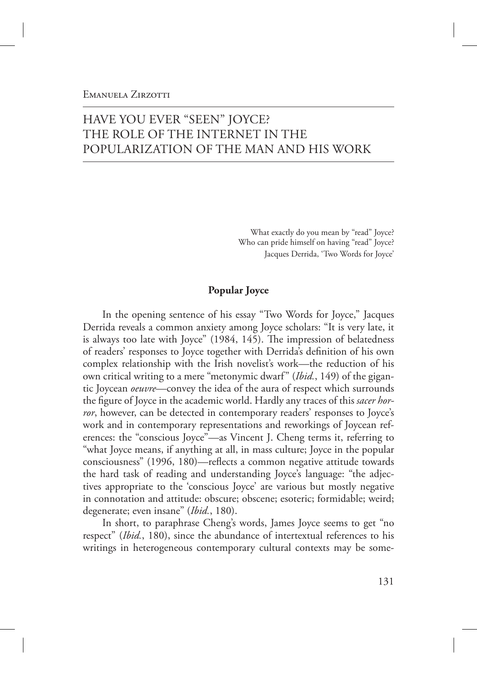## EMANUELA ZIRZOTTI

# HAVE YOU EVER "SEEN" JOYCE? THE ROLE OF THE INTERNET IN THE POPULARIZATION OF THE MAN AND HIS WORK

What exactly do you mean by "read" Joyce? Who can pride himself on having "read" Joyce? Jacques Derrida, 'Two Words for Joyce'

## **Popular Joyce**

In the opening sentence of his essay "Two Words for Joyce," Jacques Derrida reveals a common anxiety among Joyce scholars: "It is very late, it is always too late with Joyce" (1984, 145). The impression of belatedness of readers' responses to Joyce together with Derrida's definition of his own complex relationship with the Irish novelist's work—the reduction of his own critical writing to a mere "metonymic dwarf" (*Ibid.*, 149) of the gigantic Joycean *oeuvre*—convey the idea of the aura of respect which surrounds the figure of Joyce in the academic world. Hardly any traces of this *sacer horror*, however, can be detected in contemporary readers' responses to Joyce's work and in contemporary representations and reworkings of Joycean references: the "conscious Joyce"—as Vincent J. Cheng terms it, referring to "what Joyce means, if anything at all, in mass culture; Joyce in the popular consciousness" (1996, 180)—reflects a common negative attitude towards the hard task of reading and understanding Joyce's language: "the adjectives appropriate to the 'conscious Joyce' are various but mostly negative in connotation and attitude: obscure; obscene; esoteric; formidable; weird; degenerate; even insane" (*Ibid.*, 180).

In short, to paraphrase Cheng's words, James Joyce seems to get "no respect" (*Ibid.*, 180), since the abundance of intertextual references to his writings in heterogeneous contemporary cultural contexts may be some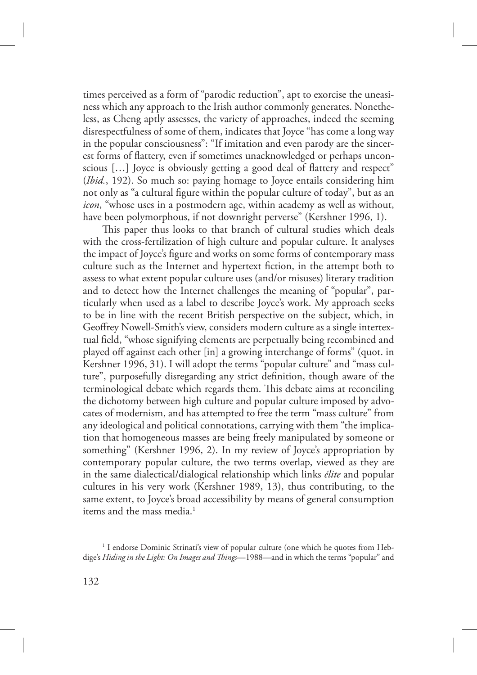times perceived as a form of "parodic reduction", apt to exorcise the uneasiness which any approach to the Irish author commonly generates. Nonetheless, as Cheng aptly assesses, the variety of approaches, indeed the seeming disrespectfulness of some of them, indicates that Joyce "has come a long way in the popular consciousness": "If imitation and even parody are the sincerest forms of flattery, even if sometimes unacknowledged or perhaps unconscious […] Joyce is obviously getting a good deal of flattery and respect" (*Ibid.*, 192). So much so: paying homage to Joyce entails considering him not only as "a cultural figure within the popular culture of today", but as an *icon*, "whose uses in a postmodern age, within academy as well as without, have been polymorphous, if not downright perverse" (Kershner 1996, 1).

This paper thus looks to that branch of cultural studies which deals with the cross-fertilization of high culture and popular culture. It analyses the impact of Joyce's figure and works on some forms of contemporary mass culture such as the Internet and hypertext fiction, in the attempt both to assess to what extent popular culture uses (and/or misuses) literary tradition and to detect how the Internet challenges the meaning of "popular", particularly when used as a label to describe Joyce's work. My approach seeks to be in line with the recent British perspective on the subject, which, in Geoffrey Nowell-Smith's view, considers modern culture as a single intertextual field, "whose signifying elements are perpetually being recombined and played off against each other [in] a growing interchange of forms" (quot. in Kershner 1996, 31). I will adopt the terms "popular culture" and "mass culture", purposefully disregarding any strict definition, though aware of the terminological debate which regards them. This debate aims at reconciling the dichotomy between high culture and popular culture imposed by advocates of modernism, and has attempted to free the term "mass culture" from any ideological and political connotations, carrying with them "the implication that homogeneous masses are being freely manipulated by someone or something" (Kershner 1996, 2). In my review of Joyce's appropriation by contemporary popular culture, the two terms overlap, viewed as they are in the same dialectical/dialogical relationship which links *élite* and popular cultures in his very work (Kershner 1989, 13), thus contributing, to the same extent, to Joyce's broad accessibility by means of general consumption items and the mass media.<sup>1</sup>

<sup>&</sup>lt;sup>1</sup> I endorse Dominic Strinati's view of popular culture (one which he quotes from Hebdige's *Hiding in the Light: On Images and "ings*—1988—and in which the terms "popular" and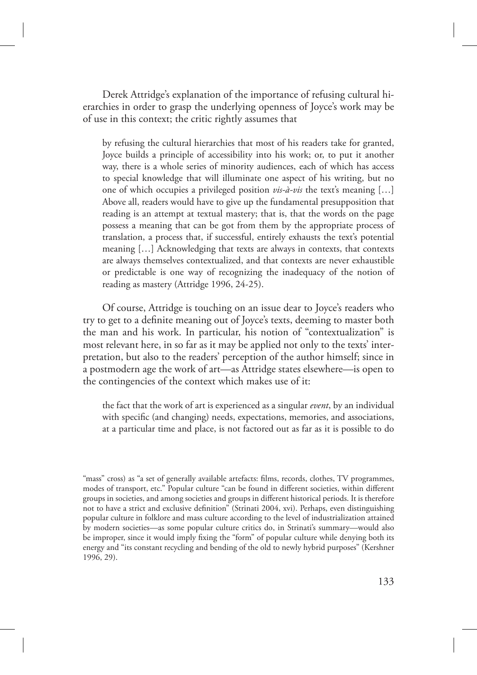Derek Attridge's explanation of the importance of refusing cultural hierarchies in order to grasp the underlying openness of Joyce's work may be of use in this context; the critic rightly assumes that

by refusing the cultural hierarchies that most of his readers take for granted, Joyce builds a principle of accessibility into his work; or, to put it another way, there is a whole series of minority audiences, each of which has access to special knowledge that will illuminate one aspect of his writing, but no one of which occupies a privileged position *vis-à-vis* the text's meaning […] Above all, readers would have to give up the fundamental presupposition that reading is an attempt at textual mastery; that is, that the words on the page possess a meaning that can be got from them by the appropriate process of translation, a process that, if successful, entirely exhausts the text's potential meaning […] Acknowledging that texts are always in contexts, that contexts are always themselves contextualized, and that contexts are never exhaustible or predictable is one way of recognizing the inadequacy of the notion of reading as mastery (Attridge 1996, 24-25).

Of course, Attridge is touching on an issue dear to Joyce's readers who try to get to a definite meaning out of Joyce's texts, deeming to master both the man and his work. In particular, his notion of "contextualization" is most relevant here, in so far as it may be applied not only to the texts' interpretation, but also to the readers' perception of the author himself; since in a postmodern age the work of art—as Attridge states elsewhere—is open to the contingencies of the context which makes use of it:

the fact that the work of art is experienced as a singular *event*, by an individual with specific (and changing) needs, expectations, memories, and associations, at a particular time and place, is not factored out as far as it is possible to do

<sup>&</sup>quot;mass" cross) as "a set of generally available artefacts: films, records, clothes, TV programmes, modes of transport, etc." Popular culture "can be found in different societies, within different groups in societies, and among societies and groups in different historical periods. It is therefore not to have a strict and exclusive definition" (Strinati 2004, xvi). Perhaps, even distinguishing popular culture in folklore and mass culture according to the level of industrialization attained by modern societies—as some popular culture critics do, in Strinati's summary—would also be improper, since it would imply fixing the "form" of popular culture while denying both its energy and "its constant recycling and bending of the old to newly hybrid purposes" (Kershner 1996, 29).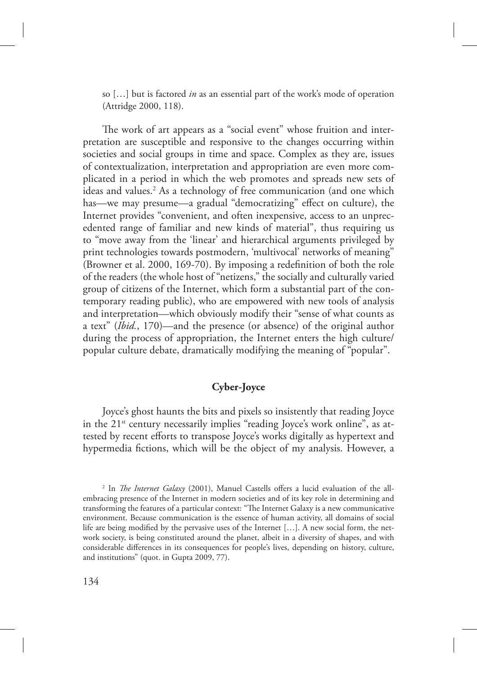so […] but is factored *in* as an essential part of the work's mode of operation (Attridge 2000, 118).

The work of art appears as a "social event" whose fruition and interpretation are susceptible and responsive to the changes occurring within societies and social groups in time and space. Complex as they are, issues of contextualization, interpretation and appropriation are even more complicated in a period in which the web promotes and spreads new sets of ideas and values.<sup>2</sup> As a technology of free communication (and one which has—we may presume—a gradual "democratizing" effect on culture), the Internet provides "convenient, and often inexpensive, access to an unprecedented range of familiar and new kinds of material", thus requiring us to "move away from the 'linear' and hierarchical arguments privileged by print technologies towards postmodern, 'multivocal' networks of meaning" (Browner et al. 2000, 169-70). By imposing a redefinition of both the role of the readers (the whole host of "netizens," the socially and culturally varied group of citizens of the Internet, which form a substantial part of the contemporary reading public), who are empowered with new tools of analysis and interpretation—which obviously modify their "sense of what counts as a text" (*Ibid.*, 170)—and the presence (or absence) of the original author during the process of appropriation, the Internet enters the high culture/ popular culture debate, dramatically modifying the meaning of "popular".

## **Cyber-Joyce**

Joyce's ghost haunts the bits and pixels so insistently that reading Joyce in the 21<sup>st</sup> century necessarily implies "reading Joyce's work online", as attested by recent efforts to transpose Joyce's works digitally as hypertext and hypermedia fictions, which will be the object of my analysis. However, a

<sup>&</sup>lt;sup>2</sup> In *The Internet Galaxy* (2001), Manuel Castells offers a lucid evaluation of the allembracing presence of the Internet in modern societies and of its key role in determining and transforming the features of a particular context: "The Internet Galaxy is a new communicative environment. Because communication is the essence of human activity, all domains of social life are being modified by the pervasive uses of the Internet […]. A new social form, the network society, is being constituted around the planet, albeit in a diversity of shapes, and with considerable differences in its consequences for people's lives, depending on history, culture, and institutions" (quot. in Gupta 2009, 77).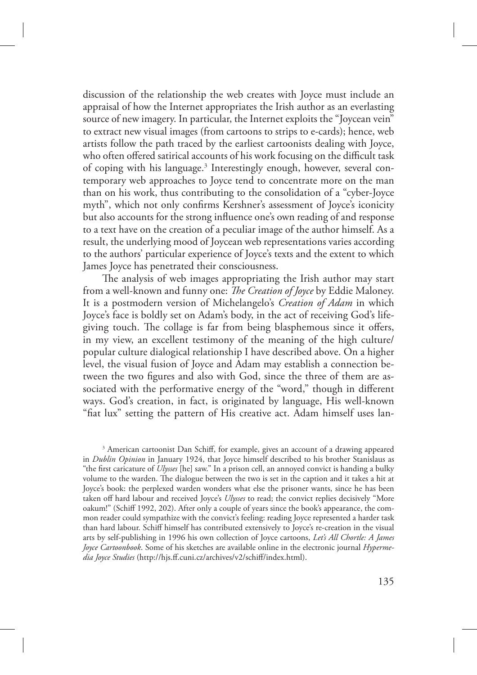discussion of the relationship the web creates with Joyce must include an appraisal of how the Internet appropriates the Irish author as an everlasting source of new imagery. In particular, the Internet exploits the "Joycean vein" to extract new visual images (from cartoons to strips to e-cards); hence, web artists follow the path traced by the earliest cartoonists dealing with Joyce, who often offered satirical accounts of his work focusing on the difficult task of coping with his language.<sup>3</sup> Interestingly enough, however, several contemporary web approaches to Joyce tend to concentrate more on the man than on his work, thus contributing to the consolidation of a "cyber-Joyce myth", which not only confirms Kershner's assessment of Joyce's iconicity but also accounts for the strong influence one's own reading of and response to a text have on the creation of a peculiar image of the author himself. As a result, the underlying mood of Joycean web representations varies according to the authors' particular experience of Joyce's texts and the extent to which James Joyce has penetrated their consciousness.

The analysis of web images appropriating the Irish author may start from a well-known and funny one: *The Creation of Joyce* by Eddie Maloney. It is a postmodern version of Michelangelo's *Creation of Adam* in which Joyce's face is boldly set on Adam's body, in the act of receiving God's lifegiving touch. The collage is far from being blasphemous since it offers, in my view, an excellent testimony of the meaning of the high culture/ popular culture dialogical relationship I have described above. On a higher level, the visual fusion of Joyce and Adam may establish a connection between the two figures and also with God, since the three of them are associated with the performative energy of the "word," though in different ways. God's creation, in fact, is originated by language, His well-known "fiat lux" setting the pattern of His creative act. Adam himself uses lan-

<sup>3</sup> American cartoonist Dan Schiff, for example, gives an account of a drawing appeared in *Dublin Opinion* in January 1924, that Joyce himself described to his brother Stanislaus as "the first caricature of *Ulysses* [he] saw." In a prison cell, an annoyed convict is handing a bulky volume to the warden. The dialogue between the two is set in the caption and it takes a hit at Joyce's book: the perplexed warden wonders what else the prisoner wants, since he has been taken off hard labour and received Joyce's *Ulysses* to read; the convict replies decisively "More oakum!" (Schiff 1992, 202). After only a couple of years since the book's appearance, the common reader could sympathize with the convict's feeling: reading Joyce represented a harder task than hard labour. Schiff himself has contributed extensively to Joyce's re-creation in the visual arts by self-publishing in 1996 his own collection of Joyce cartoons, *Let's All Chortle: A James Joyce Cartoonbook*. Some of his sketches are available online in the electronic journal *Hypermedia Joyce Studies* (http://hjs.ff.cuni.cz/archives/v2/schiff/index.html).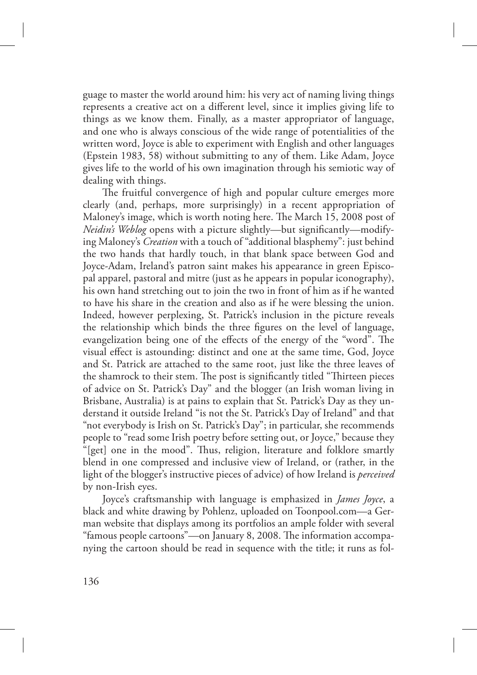guage to master the world around him: his very act of naming living things represents a creative act on a different level, since it implies giving life to things as we know them. Finally, as a master appropriator of language, and one who is always conscious of the wide range of potentialities of the written word, Joyce is able to experiment with English and other languages (Epstein 1983, 58) without submitting to any of them. Like Adam, Joyce gives life to the world of his own imagination through his semiotic way of dealing with things.

The fruitful convergence of high and popular culture emerges more clearly (and, perhaps, more surprisingly) in a recent appropriation of Maloney's image, which is worth noting here. The March 15, 2008 post of *Neidin's Weblog* opens with a picture slightly—but significantly—modifying Maloney's *Creation* with a touch of "additional blasphemy": just behind the two hands that hardly touch, in that blank space between God and Joyce-Adam, Ireland's patron saint makes his appearance in green Episcopal apparel, pastoral and mitre (just as he appears in popular iconography), his own hand stretching out to join the two in front of him as if he wanted to have his share in the creation and also as if he were blessing the union. Indeed, however perplexing, St. Patrick's inclusion in the picture reveals the relationship which binds the three figures on the level of language, evangelization being one of the effects of the energy of the "word". The visual effect is astounding: distinct and one at the same time, God, Joyce and St. Patrick are attached to the same root, just like the three leaves of the shamrock to their stem. The post is significantly titled "Thirteen pieces of advice on St. Patrick's Day" and the blogger (an Irish woman living in Brisbane, Australia) is at pains to explain that St. Patrick's Day as they understand it outside Ireland "is not the St. Patrick's Day of Ireland" and that "not everybody is Irish on St. Patrick's Day"; in particular, she recommends people to "read some Irish poetry before setting out, or Joyce," because they "[get] one in the mood". Thus, religion, literature and folklore smartly blend in one compressed and inclusive view of Ireland, or (rather, in the light of the blogger's instructive pieces of advice) of how Ireland is *perceived* by non-Irish eyes.

Joyce's craftsmanship with language is emphasized in *James Joyce*, a black and white drawing by Pohlenz, uploaded on Toonpool.com—a German website that displays among its portfolios an ample folder with several "famous people cartoons"—on January 8, 2008. The information accompanying the cartoon should be read in sequence with the title; it runs as fol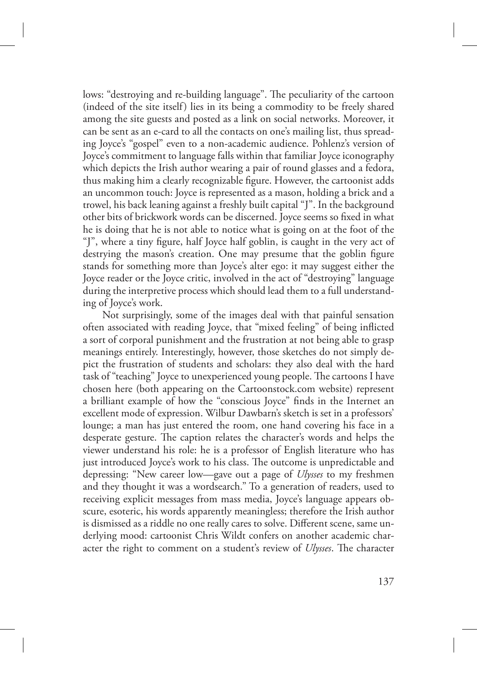lows: "destroying and re-building language". The peculiarity of the cartoon (indeed of the site itself) lies in its being a commodity to be freely shared among the site guests and posted as a link on social networks. Moreover, it can be sent as an e-card to all the contacts on one's mailing list, thus spreading Joyce's "gospel" even to a non-academic audience. Pohlenz's version of Joyce's commitment to language falls within that familiar Joyce iconography which depicts the Irish author wearing a pair of round glasses and a fedora, thus making him a clearly recognizable figure. However, the cartoonist adds an uncommon touch: Joyce is represented as a mason, holding a brick and a trowel, his back leaning against a freshly built capital "J". In the background other bits of brickwork words can be discerned. Joyce seems so fixed in what he is doing that he is not able to notice what is going on at the foot of the "J", where a tiny figure, half Joyce half goblin, is caught in the very act of destrying the mason's creation. One may presume that the goblin figure stands for something more than Joyce's alter ego: it may suggest either the Joyce reader or the Joyce critic, involved in the act of "destroying" language during the interpretive process which should lead them to a full understanding of Joyce's work.

Not surprisingly, some of the images deal with that painful sensation often associated with reading Joyce, that "mixed feeling" of being inflicted a sort of corporal punishment and the frustration at not being able to grasp meanings entirely. Interestingly, however, those sketches do not simply depict the frustration of students and scholars: they also deal with the hard task of "teaching" Joyce to unexperienced young people. The cartoons I have chosen here (both appearing on the Cartoonstock.com website) represent a brilliant example of how the "conscious Joyce" finds in the Internet an excellent mode of expression. Wilbur Dawbarn's sketch is set in a professors' lounge; a man has just entered the room, one hand covering his face in a desperate gesture. The caption relates the character's words and helps the viewer understand his role: he is a professor of English literature who has just introduced Joyce's work to his class. The outcome is unpredictable and depressing: "New career low—gave out a page of *Ulysses* to my freshmen and they thought it was a wordsearch." To a generation of readers, used to receiving explicit messages from mass media, Joyce's language appears obscure, esoteric, his words apparently meaningless; therefore the Irish author is dismissed as a riddle no one really cares to solve. Different scene, same underlying mood: cartoonist Chris Wildt confers on another academic character the right to comment on a student's review of *Ulysses*. The character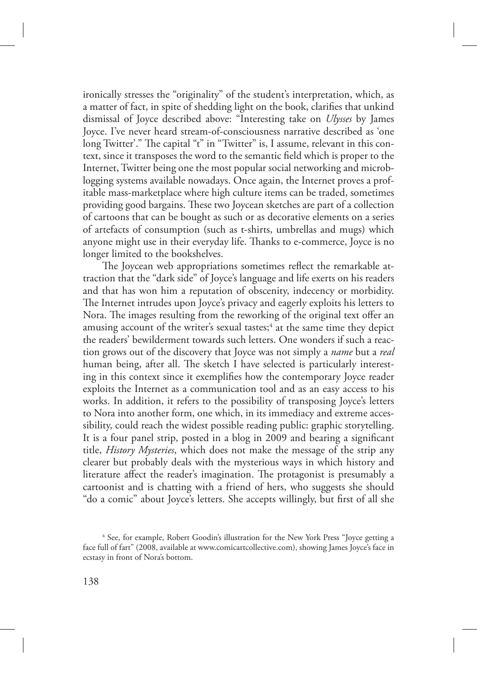ironically stresses the "originality" of the student's interpretation, which, as a matter of fact, in spite of shedding light on the book, clarifies that unkind dismissal of Joyce described above: "Interesting take on *Ulysses* by James Joyce. I've never heard stream-of-consciousness narrative described as 'one long Twitter'." The capital "t" in "Twitter" is, I assume, relevant in this context, since it transposes the word to the semantic field which is proper to the Internet, Twitter being one the most popular social networking and microblogging systems available nowadays. Once again, the Internet proves a profitable mass-marketplace where high culture items can be traded, sometimes providing good bargains. These two Joycean sketches are part of a collection of cartoons that can be bought as such or as decorative elements on a series of artefacts of consumption (such as t-shirts, umbrellas and mugs) which anyone might use in their everyday life. Thanks to e-commerce, Joyce is no longer limited to the bookshelves.

The Joycean web appropriations sometimes reflect the remarkable attraction that the "dark side" of Joyce's language and life exerts on his readers and that has won him a reputation of obscenity, indecency or morbidity. The Internet intrudes upon Joyce's privacy and eagerly exploits his letters to Nora. The images resulting from the reworking of the original text offer an amusing account of the writer's sexual tastes; $^4$  at the same time they depict the readers' bewilderment towards such letters. One wonders if such a reaction grows out of the discovery that Joyce was not simply a *name* but a *real* human being, after all. The sketch I have selected is particularly interesting in this context since it exemplifies how the contemporary Joyce reader exploits the Internet as a communication tool and as an easy access to his works. In addition, it refers to the possibility of transposing Joyce's letters to Nora into another form, one which, in its immediacy and extreme accessibility, could reach the widest possible reading public: graphic storytelling. It is a four panel strip, posted in a blog in 2009 and bearing a significant title, *History Mysteries*, which does not make the message of the strip any clearer but probably deals with the mysterious ways in which history and literature affect the reader's imagination. The protagonist is presumably a cartoonist and is chatting with a friend of hers, who suggests she should "do a comic" about Joyce's letters. She accepts willingly, but first of all she

<sup>&</sup>lt;sup>4</sup> See, for example, Robert Goodin's illustration for the New York Press "Joyce getting a face full of fart" (2008, available at www.comicartcollective.com), showing James Joyce's face in ecstasy in front of Nora's bottom.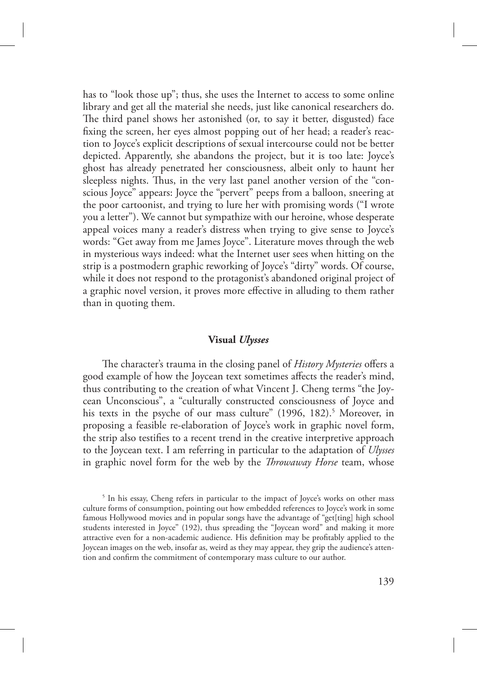has to "look those up"; thus, she uses the Internet to access to some online library and get all the material she needs, just like canonical researchers do. The third panel shows her astonished (or, to say it better, disgusted) face fixing the screen, her eyes almost popping out of her head; a reader's reaction to Joyce's explicit descriptions of sexual intercourse could not be better depicted. Apparently, she abandons the project, but it is too late: Joyce's ghost has already penetrated her consciousness, albeit only to haunt her sleepless nights. Thus, in the very last panel another version of the "conscious Joyce" appears: Joyce the "pervert" peeps from a balloon, sneering at the poor cartoonist, and trying to lure her with promising words ("I wrote you a letter"). We cannot but sympathize with our heroine, whose desperate appeal voices many a reader's distress when trying to give sense to Joyce's words: "Get away from me James Joyce". Literature moves through the web in mysterious ways indeed: what the Internet user sees when hitting on the strip is a postmodern graphic reworking of Joyce's "dirty" words. Of course, while it does not respond to the protagonist's abandoned original project of a graphic novel version, it proves more effective in alluding to them rather than in quoting them.

### **Visual** *Ulysses*

The character's trauma in the closing panel of *History Mysteries* offers a good example of how the Joycean text sometimes affects the reader's mind, thus contributing to the creation of what Vincent J. Cheng terms "the Joycean Unconscious", a "culturally constructed consciousness of Joyce and his texts in the psyche of our mass culture" (1996, 182).<sup>5</sup> Moreover, in proposing a feasible re-elaboration of Joyce's work in graphic novel form, the strip also testifies to a recent trend in the creative interpretive approach to the Joycean text. I am referring in particular to the adaptation of *Ulysses* in graphic novel form for the web by the *Throwaway Horse* team, whose

<sup>&</sup>lt;sup>5</sup> In his essay, Cheng refers in particular to the impact of Joyce's works on other mass culture forms of consumption, pointing out how embedded references to Joyce's work in some famous Hollywood movies and in popular songs have the advantage of "get[ting] high school students interested in Joyce" (192), thus spreading the "Joycean word" and making it more attractive even for a non-academic audience. His definition may be profitably applied to the Joycean images on the web, insofar as, weird as they may appear, they grip the audience's attention and confirm the commitment of contemporary mass culture to our author.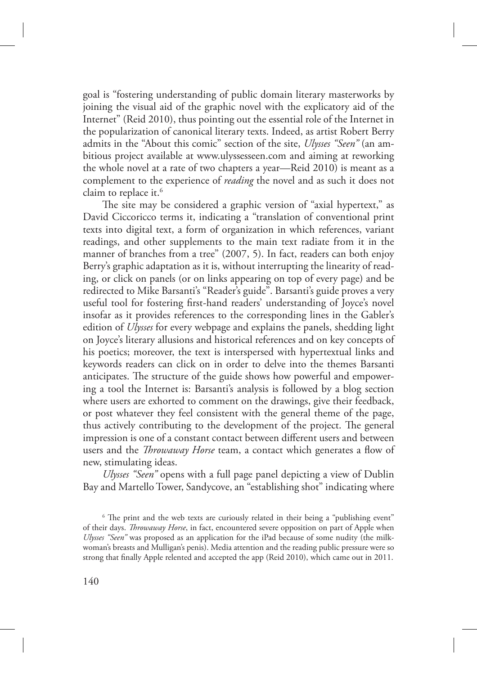goal is "fostering understanding of public domain literary masterworks by joining the visual aid of the graphic novel with the explicatory aid of the Internet" (Reid 2010), thus pointing out the essential role of the Internet in the popularization of canonical literary texts. Indeed, as artist Robert Berry admits in the "About this comic" section of the site, *Ulysses "Seen"* (an ambitious project available at www.ulyssesseen.com and aiming at reworking the whole novel at a rate of two chapters a year—Reid 2010) is meant as a complement to the experience of *reading* the novel and as such it does not claim to replace it.<sup>6</sup>

The site may be considered a graphic version of "axial hypertext," as David Ciccoricco terms it, indicating a "translation of conventional print texts into digital text, a form of organization in which references, variant readings, and other supplements to the main text radiate from it in the manner of branches from a tree" (2007, 5). In fact, readers can both enjoy Berry's graphic adaptation as it is, without interrupting the linearity of reading, or click on panels (or on links appearing on top of every page) and be redirected to Mike Barsanti's "Reader's guide". Barsanti's guide proves a very useful tool for fostering first-hand readers' understanding of Joyce's novel insofar as it provides references to the corresponding lines in the Gabler's edition of *Ulysses* for every webpage and explains the panels, shedding light on Joyce's literary allusions and historical references and on key concepts of his poetics; moreover, the text is interspersed with hypertextual links and keywords readers can click on in order to delve into the themes Barsanti anticipates. The structure of the guide shows how powerful and empowering a tool the Internet is: Barsanti's analysis is followed by a blog section where users are exhorted to comment on the drawings, give their feedback, or post whatever they feel consistent with the general theme of the page, thus actively contributing to the development of the project. The general impression is one of a constant contact between different users and between users and the *Throwaway Horse* team, a contact which generates a flow of new, stimulating ideas.

*Ulysses "Seen"* opens with a full page panel depicting a view of Dublin Bay and Martello Tower, Sandycove, an "establishing shot" indicating where

 $6$  The print and the web texts are curiously related in their being a "publishing event" of their days. *Throwaway Horse*, in fact, encountered severe opposition on part of Apple when *Ulysses "Seen"* was proposed as an application for the iPad because of some nudity (the milkwoman's breasts and Mulligan's penis). Media attention and the reading public pressure were so strong that finally Apple relented and accepted the app (Reid 2010), which came out in 2011.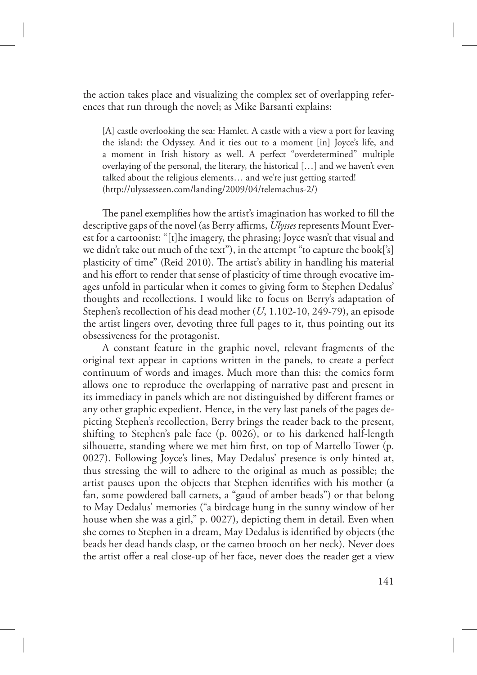the action takes place and visualizing the complex set of overlapping references that run through the novel; as Mike Barsanti explains:

[A] castle overlooking the sea: Hamlet. A castle with a view a port for leaving the island: the Odyssey. And it ties out to a moment [in] Joyce's life, and a moment in Irish history as well. A perfect "overdetermined" multiple overlaying of the personal, the literary, the historical […] and we haven't even talked about the religious elements… and we're just getting started! (http://ulyssesseen.com/landing/2009/04/telemachus-2/)

The panel exemplifies how the artist's imagination has worked to fill the descriptive gaps of the novel (as Berry affirms, *Ulysses* represents Mount Everest for a cartoonist: "[t]he imagery, the phrasing; Joyce wasn't that visual and we didn't take out much of the text"), in the attempt "to capture the book['s] plasticity of time" (Reid 2010). The artist's ability in handling his material and his effort to render that sense of plasticity of time through evocative images unfold in particular when it comes to giving form to Stephen Dedalus' thoughts and recollections. I would like to focus on Berry's adaptation of Stephen's recollection of his dead mother (*U*, 1.102-10, 249-79), an episode the artist lingers over, devoting three full pages to it, thus pointing out its obsessiveness for the protagonist.

A constant feature in the graphic novel, relevant fragments of the original text appear in captions written in the panels, to create a perfect continuum of words and images. Much more than this: the comics form allows one to reproduce the overlapping of narrative past and present in its immediacy in panels which are not distinguished by different frames or any other graphic expedient. Hence, in the very last panels of the pages depicting Stephen's recollection, Berry brings the reader back to the present, shifting to Stephen's pale face (p. 0026), or to his darkened half-length silhouette, standing where we met him first, on top of Martello Tower (p. 0027). Following Joyce's lines, May Dedalus' presence is only hinted at, thus stressing the will to adhere to the original as much as possible; the artist pauses upon the objects that Stephen identifies with his mother (a fan, some powdered ball carnets, a "gaud of amber beads") or that belong to May Dedalus' memories ("a birdcage hung in the sunny window of her house when she was a girl," p. 0027), depicting them in detail. Even when she comes to Stephen in a dream, May Dedalus is identified by objects (the beads her dead hands clasp, or the cameo brooch on her neck). Never does the artist offer a real close-up of her face, never does the reader get a view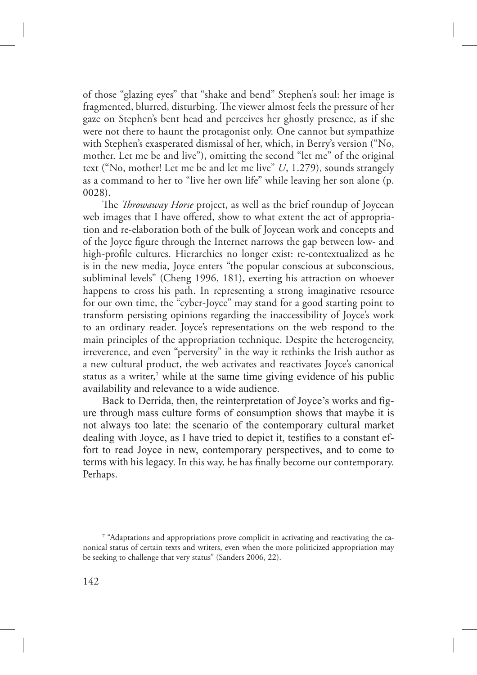of those "glazing eyes" that "shake and bend" Stephen's soul: her image is fragmented, blurred, disturbing. The viewer almost feels the pressure of her gaze on Stephen's bent head and perceives her ghostly presence, as if she were not there to haunt the protagonist only. One cannot but sympathize with Stephen's exasperated dismissal of her, which, in Berry's version ("No, mother. Let me be and live"), omitting the second "let me" of the original text ("No, mother! Let me be and let me live" *U*, 1.279), sounds strangely as a command to her to "live her own life" while leaving her son alone (p. 0028).

The *Throwaway Horse* project, as well as the brief roundup of Joycean web images that I have offered, show to what extent the act of appropriation and re-elaboration both of the bulk of Joycean work and concepts and of the Joyce figure through the Internet narrows the gap between low- and high-profile cultures. Hierarchies no longer exist: re-contextualized as he is in the new media, Joyce enters "the popular conscious at subconscious, subliminal levels" (Cheng 1996, 181), exerting his attraction on whoever happens to cross his path. In representing a strong imaginative resource for our own time, the "cyber-Joyce" may stand for a good starting point to transform persisting opinions regarding the inaccessibility of Joyce's work to an ordinary reader. Joyce's representations on the web respond to the main principles of the appropriation technique. Despite the heterogeneity, irreverence, and even "perversity" in the way it rethinks the Irish author as a new cultural product, the web activates and reactivates Joyce's canonical status as a writer,<sup>7</sup> while at the same time giving evidence of his public availability and relevance to a wide audience.

Back to Derrida, then, the reinterpretation of Joyce's works and figure through mass culture forms of consumption shows that maybe it is not always too late: the scenario of the contemporary cultural market dealing with Joyce, as I have tried to depict it, testifies to a constant effort to read Joyce in new, contemporary perspectives, and to come to terms with his legacy. In this way, he has finally become our contemporary. Perhaps.

<sup>7</sup> "Adaptations and appropriations prove complicit in activating and reactivating the canonical status of certain texts and writers, even when the more politicized appropriation may be seeking to challenge that very status" (Sanders 2006, 22).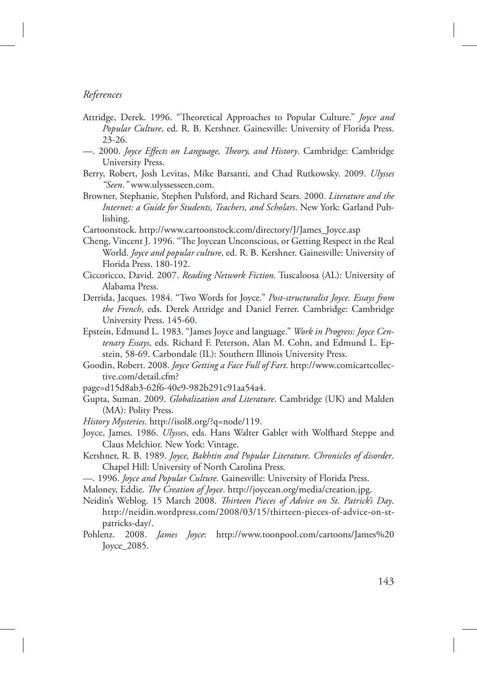#### *References*

- Attridge, Derek. 1996. "Theoretical Approaches to Popular Culture." *Joyce and Popular Culture*, ed. R. B. Kershner. Gainesville: University of Florida Press. 23-26.
- —. 2000. *Joyce Effects on Language, Theory, and History*. Cambridge: Cambridge University Press.
- Berry, Robert, Josh Levitas, Mike Barsanti, and Chad Rutkowsky. 2009. *Ulysses "Seen*.*"* www.ulyssesseen.com.
- Browner, Stephanie, Stephen Pulsford, and Richard Sears. 2000. *Literature and the Internet: a Guide for Students, Teachers, and Scholars*. New York: Garland Publishing.
- Cartoonstock. http://www.cartoonstock.com/directory/J/James\_Joyce.asp
- Cheng, Vincent J. 1996. "The Joycean Unconscious, or Getting Respect in the Real World. *Joyce and popular culture*, ed. R. B. Kershner. Gainesville: University of Florida Press. 180-192.
- Ciccoricco, David. 2007. *Reading Network Fiction*. Tuscaloosa (AL): University of Alabama Press.
- Derrida, Jacques. 1984. "Two Words for Joyce." *Post-structuralist Joyce. Essays from the French*, eds. Derek Attridge and Daniel Ferrer. Cambridge: Cambridge University Press. 145-60.
- Epstein, Edmund L. 1983. "James Joyce and language." *Work in Progress: Joyce Centenary Essays*, eds. Richard F. Peterson, Alan M. Cohn, and Edmund L. Epstein, 58-69. Carbondale (IL): Southern Illinois University Press.
- Goodin, Robert. 2008. *Joyce Getting a Face Full of Fart*. http://www.comicartcollective.com/detail.cfm?
- page=d15d8ab3-62f6-40e9-982b291c91aa54a4.
- Gupta, Suman. 2009. *Globalization and Literature*. Cambridge (UK) and Malden (MA): Polity Press.
- *History Mysteries*. http://isol8.org/?q=node/119.
- Joyce, James. 1986. *Ulysses*, eds. Hans Walter Gabler with Wolfhard Steppe and Claus Melchior. New York: Vintage.
- Kershner, R. B. 1989. *Joyce, Bakhtin and Popular Literature. Chronicles of disorder*. Chapel Hill: University of North Carolina Press.
- —. 1996. *Joyce and Popular Culture.* Gainesville: University of Florida Press.
- Maloney, Eddie. *The Creation of Joyce*. http://joycean.org/media/creation.jpg.
- Neidin's Weblog. 15 March 2008. *"irteen Pieces of Advice on St. Patrick's Day*. http://neidin.wordpress.com/2008/03/15/thirteen-pieces-of-advice-on-stpatricks-day/.
- Pohlenz. 2008. *James Joyce*: http://www.toonpool.com/cartoons/James%20 Joyce\_2085.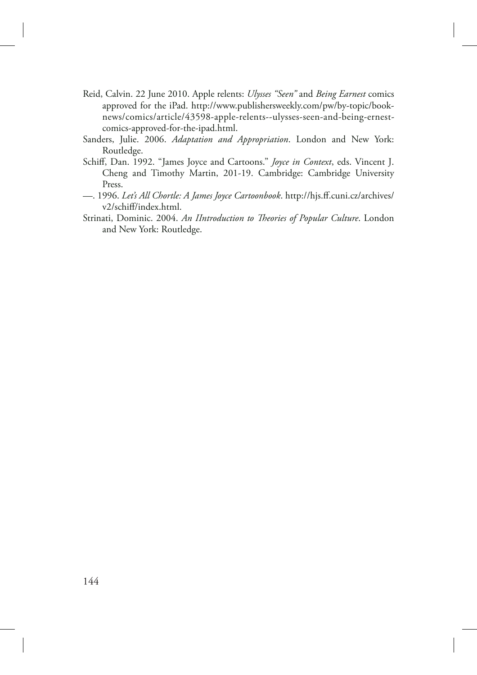- Reid, Calvin. 22 June 2010. Apple relents: *Ulysses "Seen"* and *Being Earnest* comics approved for the iPad. http://www.publishersweekly.com/pw/by-topic/booknews/comics/article/43598-apple-relents--ulysses-seen-and-being-ernestcomics-approved-for-the-ipad.html.
- Sanders, Julie. 2006. *Adaptation and Appropriation*. London and New York: Routledge.
- Schiff, Dan. 1992. "James Joyce and Cartoons." *Joyce in Context*, eds. Vincent J. Cheng and Timothy Martin, 201-19. Cambridge: Cambridge University Press.
- —. 1996. *Let's All Chortle: A James Joyce Cartoonbook*. http://hjs.ff.cuni.cz/archives/ v2/schiff/index.html.
- Strinati, Dominic. 2004. An IIntroduction to Theories of Popular Culture. London and New York: Routledge.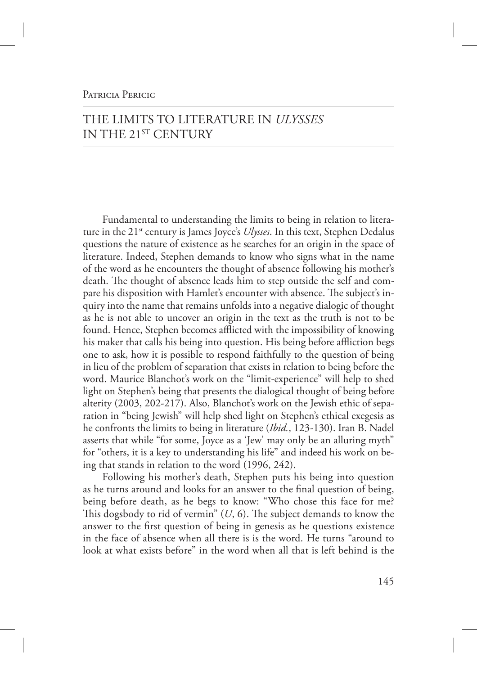### PATRICIA PERICIC

# THE LIMITS TO LITERATURE IN *ULYSSES* IN THE 21ST CENTURY

Fundamental to understanding the limits to being in relation to literature in the 21<sup>st</sup> century is James Joyce's *Ulysses*. In this text, Stephen Dedalus questions the nature of existence as he searches for an origin in the space of literature. Indeed, Stephen demands to know who signs what in the name of the word as he encounters the thought of absence following his mother's death. The thought of absence leads him to step outside the self and compare his disposition with Hamlet's encounter with absence. The subject's inquiry into the name that remains unfolds into a negative dialogic of thought as he is not able to uncover an origin in the text as the truth is not to be found. Hence, Stephen becomes afflicted with the impossibility of knowing his maker that calls his being into question. His being before affliction begs one to ask, how it is possible to respond faithfully to the question of being in lieu of the problem of separation that exists in relation to being before the word. Maurice Blanchot's work on the "limit-experience" will help to shed light on Stephen's being that presents the dialogical thought of being before alterity (2003, 202-217). Also, Blanchot's work on the Jewish ethic of separation in "being Jewish" will help shed light on Stephen's ethical exegesis as he confronts the limits to being in literature (*Ibid.*, 123-130). Iran B. Nadel asserts that while "for some, Joyce as a 'Jew' may only be an alluring myth" for "others, it is a key to understanding his life" and indeed his work on being that stands in relation to the word (1996, 242).

Following his mother's death, Stephen puts his being into question as he turns around and looks for an answer to the final question of being, being before death, as he begs to know: "Who chose this face for me? This dogsbody to rid of vermin"  $(U, 6)$ . The subject demands to know the answer to the first question of being in genesis as he questions existence in the face of absence when all there is is the word. He turns "around to look at what exists before" in the word when all that is left behind is the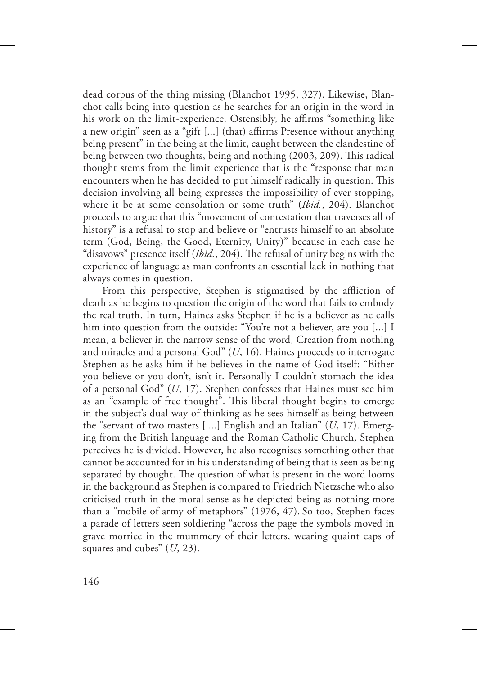dead corpus of the thing missing (Blanchot 1995, 327). Likewise, Blanchot calls being into question as he searches for an origin in the word in his work on the limit-experience. Ostensibly, he affirms "something like a new origin" seen as a "gift [...] (that) affirms Presence without anything being present" in the being at the limit, caught between the clandestine of being between two thoughts, being and nothing (2003, 209). This radical thought stems from the limit experience that is the "response that man encounters when he has decided to put himself radically in question. This decision involving all being expresses the impossibility of ever stopping, where it be at some consolation or some truth" (*Ibid.*, 204). Blanchot proceeds to argue that this "movement of contestation that traverses all of history" is a refusal to stop and believe or "entrusts himself to an absolute term (God, Being, the Good, Eternity, Unity)" because in each case he "disavows" presence itself (*Ibid.*, 204). The refusal of unity begins with the experience of language as man confronts an essential lack in nothing that always comes in question.

From this perspective, Stephen is stigmatised by the affliction of death as he begins to question the origin of the word that fails to embody the real truth. In turn, Haines asks Stephen if he is a believer as he calls him into question from the outside: "You're not a believer, are you [...] I mean, a believer in the narrow sense of the word, Creation from nothing and miracles and a personal God" (*U*, 16). Haines proceeds to interrogate Stephen as he asks him if he believes in the name of God itself: "Either you believe or you don't, isn't it. Personally I couldn't stomach the idea of a personal God" (*U*, 17). Stephen confesses that Haines must see him as an "example of free thought". This liberal thought begins to emerge in the subject's dual way of thinking as he sees himself as being between the "servant of two masters [....] English and an Italian" (*U*, 17). Emerging from the British language and the Roman Catholic Church, Stephen perceives he is divided. However, he also recognises something other that cannot be accounted for in his understanding of being that is seen as being separated by thought. The question of what is present in the word looms in the background as Stephen is compared to Friedrich Nietzsche who also criticised truth in the moral sense as he depicted being as nothing more than a "mobile of army of metaphors" (1976, 47). So too, Stephen faces a parade of letters seen soldiering "across the page the symbols moved in grave morrice in the mummery of their letters, wearing quaint caps of squares and cubes" (*U*, 23).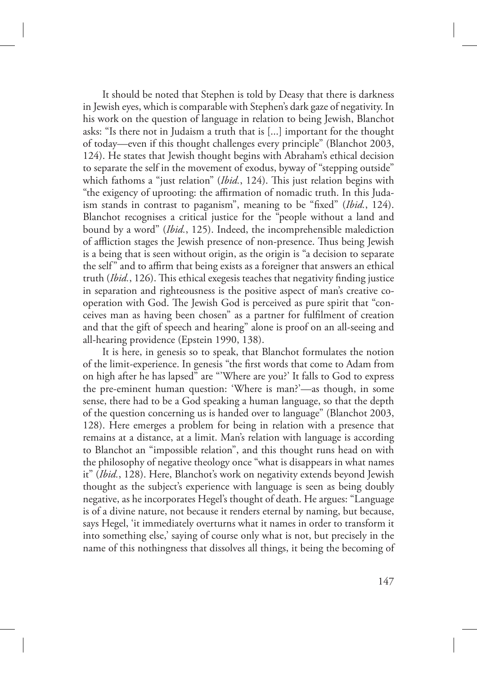It should be noted that Stephen is told by Deasy that there is darkness in Jewish eyes, which is comparable with Stephen's dark gaze of negativity. In his work on the question of language in relation to being Jewish, Blanchot asks: "Is there not in Judaism a truth that is [...] important for the thought of today—even if this thought challenges every principle" (Blanchot 2003, 124). He states that Jewish thought begins with Abraham's ethical decision to separate the self in the movement of exodus, byway of "stepping outside" which fathoms a "just relation" (*Ibid.*, 124). This just relation begins with "the exigency of uprooting: the affirmation of nomadic truth. In this Judaism stands in contrast to paganism", meaning to be "fixed" (*Ibid.*, 124). Blanchot recognises a critical justice for the "people without a land and bound by a word" (*Ibid.*, 125). Indeed, the incomprehensible malediction of affliction stages the Jewish presence of non-presence. Thus being Jewish is a being that is seen without origin, as the origin is "a decision to separate the self" and to affirm that being exists as a foreigner that answers an ethical truth (*Ibid.*, 126). This ethical exegesis teaches that negativity finding justice in separation and righteousness is the positive aspect of man's creative cooperation with God. The Jewish God is perceived as pure spirit that "conceives man as having been chosen" as a partner for fulfilment of creation and that the gift of speech and hearing" alone is proof on an all-seeing and all-hearing providence (Epstein 1990, 138).

It is here, in genesis so to speak, that Blanchot formulates the notion of the limit-experience. In genesis "the first words that come to Adam from on high after he has lapsed" are "'Where are you?' It falls to God to express the pre-eminent human question: 'Where is man?'—as though, in some sense, there had to be a God speaking a human language, so that the depth of the question concerning us is handed over to language" (Blanchot 2003, 128). Here emerges a problem for being in relation with a presence that remains at a distance, at a limit. Man's relation with language is according to Blanchot an "impossible relation", and this thought runs head on with the philosophy of negative theology once "what is disappears in what names it" (*Ibid.*, 128). Here, Blanchot's work on negativity extends beyond Jewish thought as the subject's experience with language is seen as being doubly negative, as he incorporates Hegel's thought of death. He argues: "Language is of a divine nature, not because it renders eternal by naming, but because, says Hegel, 'it immediately overturns what it names in order to transform it into something else,' saying of course only what is not, but precisely in the name of this nothingness that dissolves all things, it being the becoming of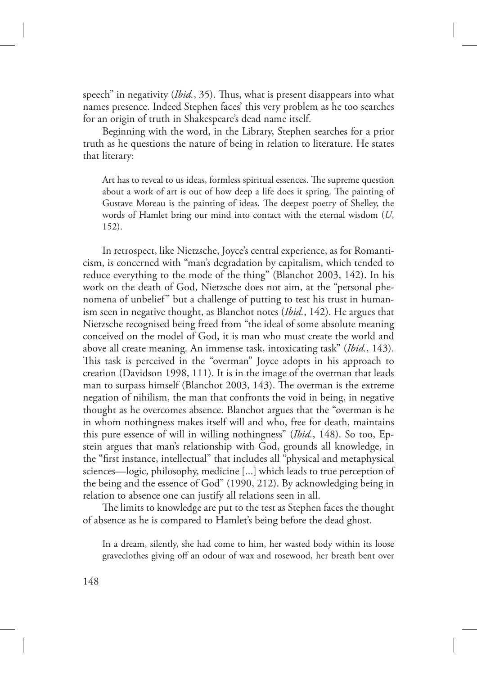speech" in negativity (*Ibid.*, 35). Thus, what is present disappears into what names presence. Indeed Stephen faces' this very problem as he too searches for an origin of truth in Shakespeare's dead name itself.

Beginning with the word, in the Library, Stephen searches for a prior truth as he questions the nature of being in relation to literature. He states that literary:

Art has to reveal to us ideas, formless spiritual essences. The supreme question about a work of art is out of how deep a life does it spring. The painting of Gustave Moreau is the painting of ideas. The deepest poetry of Shelley, the words of Hamlet bring our mind into contact with the eternal wisdom (*U*, 152).

In retrospect, like Nietzsche, Joyce's central experience, as for Romanticism, is concerned with "man's degradation by capitalism, which tended to reduce everything to the mode of the thing" (Blanchot 2003, 142). In his work on the death of God, Nietzsche does not aim, at the "personal phenomena of unbelief" but a challenge of putting to test his trust in humanism seen in negative thought, as Blanchot notes (*Ibid.*, 142). He argues that Nietzsche recognised being freed from "the ideal of some absolute meaning conceived on the model of God, it is man who must create the world and above all create meaning. An immense task, intoxicating task" (*Ibid.*, 143). This task is perceived in the "overman" Joyce adopts in his approach to creation (Davidson 1998, 111). It is in the image of the overman that leads man to surpass himself (Blanchot 2003, 143). The overman is the extreme negation of nihilism, the man that confronts the void in being, in negative thought as he overcomes absence. Blanchot argues that the "overman is he in whom nothingness makes itself will and who, free for death, maintains this pure essence of will in willing nothingness" (*Ibid.*, 148). So too, Epstein argues that man's relationship with God, grounds all knowledge, in the "first instance, intellectual" that includes all "physical and metaphysical sciences—logic, philosophy, medicine [...] which leads to true perception of the being and the essence of God" (1990, 212). By acknowledging being in relation to absence one can justify all relations seen in all.

The limits to knowledge are put to the test as Stephen faces the thought of absence as he is compared to Hamlet's being before the dead ghost.

In a dream, silently, she had come to him, her wasted body within its loose graveclothes giving off an odour of wax and rosewood, her breath bent over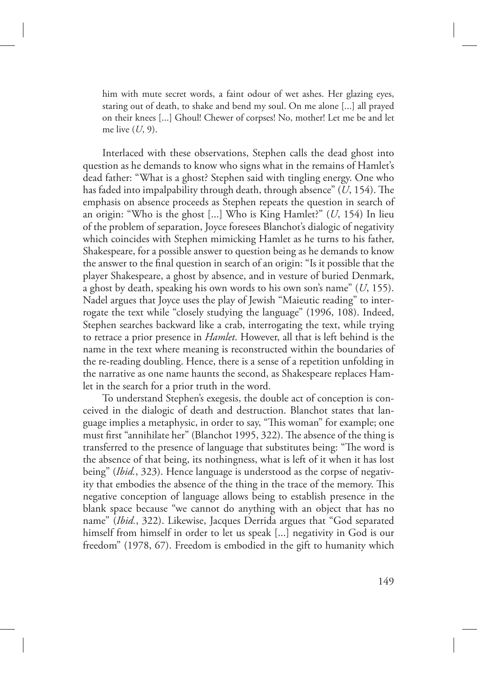him with mute secret words, a faint odour of wet ashes. Her glazing eyes, staring out of death, to shake and bend my soul. On me alone [...] all prayed on their knees [...] Ghoul! Chewer of corpses! No, mother! Let me be and let me live (*U*, 9).

Interlaced with these observations, Stephen calls the dead ghost into question as he demands to know who signs what in the remains of Hamlet's dead father: "What is a ghost? Stephen said with tingling energy. One who has faded into impalpability through death, through absence"  $(U, 154)$ . The emphasis on absence proceeds as Stephen repeats the question in search of an origin: "Who is the ghost [...] Who is King Hamlet?" (*U*, 154) In lieu of the problem of separation, Joyce foresees Blanchot's dialogic of negativity which coincides with Stephen mimicking Hamlet as he turns to his father, Shakespeare, for a possible answer to question being as he demands to know the answer to the final question in search of an origin: "Is it possible that the player Shakespeare, a ghost by absence, and in vesture of buried Denmark, a ghost by death, speaking his own words to his own son's name" (*U*, 155). Nadel argues that Joyce uses the play of Jewish "Maieutic reading" to interrogate the text while "closely studying the language" (1996, 108). Indeed, Stephen searches backward like a crab, interrogating the text, while trying to retrace a prior presence in *Hamlet*. However, all that is left behind is the name in the text where meaning is reconstructed within the boundaries of the re-reading doubling. Hence, there is a sense of a repetition unfolding in the narrative as one name haunts the second, as Shakespeare replaces Hamlet in the search for a prior truth in the word.

To understand Stephen's exegesis, the double act of conception is conceived in the dialogic of death and destruction. Blanchot states that language implies a metaphysic, in order to say, "This woman" for example; one must first "annihilate her" (Blanchot 1995, 322). The absence of the thing is transferred to the presence of language that substitutes being: "The word is the absence of that being, its nothingness, what is left of it when it has lost being" (*Ibid.*, 323). Hence language is understood as the corpse of negativity that embodies the absence of the thing in the trace of the memory. This negative conception of language allows being to establish presence in the blank space because "we cannot do anything with an object that has no name" (*Ibid.*, 322). Likewise, Jacques Derrida argues that "God separated himself from himself in order to let us speak [...] negativity in God is our freedom" (1978, 67). Freedom is embodied in the gift to humanity which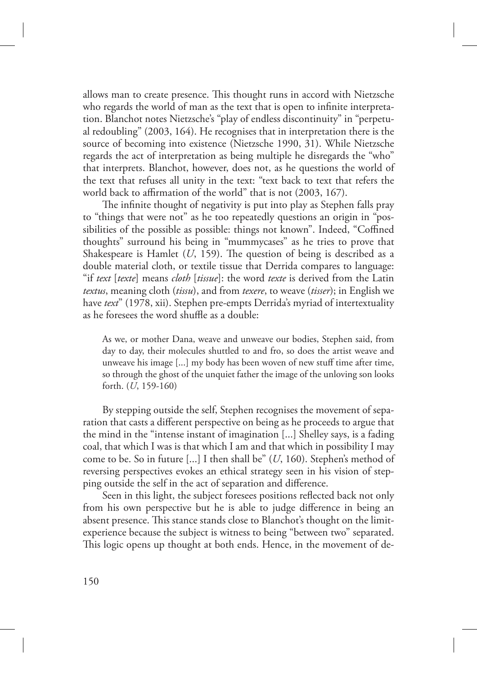allows man to create presence. This thought runs in accord with Nietzsche who regards the world of man as the text that is open to infinite interpretation. Blanchot notes Nietzsche's "play of endless discontinuity" in "perpetual redoubling" (2003, 164). He recognises that in interpretation there is the source of becoming into existence (Nietzsche 1990, 31). While Nietzsche regards the act of interpretation as being multiple he disregards the "who" that interprets. Blanchot, however, does not, as he questions the world of the text that refuses all unity in the text: "text back to text that refers the world back to affirmation of the world" that is not (2003, 167).

The infinite thought of negativity is put into play as Stephen falls pray to "things that were not" as he too repeatedly questions an origin in "possibilities of the possible as possible: things not known". Indeed, "Coffined thoughts" surround his being in "mummycases" as he tries to prove that Shakespeare is Hamlet  $(U, 159)$ . The question of being is described as a double material cloth, or textile tissue that Derrida compares to language: "if *text* [*texte*] means *cloth* [*tissue*]: the word *texte* is derived from the Latin *textus*, meaning cloth (*tissu*), and from *texere*, to weave (*tisser*); in English we have *text*" (1978, xii). Stephen pre-empts Derrida's myriad of intertextuality as he foresees the word shuffle as a double:

As we, or mother Dana, weave and unweave our bodies, Stephen said, from day to day, their molecules shuttled to and fro, so does the artist weave and unweave his image [...] my body has been woven of new stuff time after time, so through the ghost of the unquiet father the image of the unloving son looks forth. (*U*, 159-160)

By stepping outside the self, Stephen recognises the movement of separation that casts a different perspective on being as he proceeds to argue that the mind in the "intense instant of imagination [...] Shelley says, is a fading coal, that which I was is that which I am and that which in possibility I may come to be. So in future [...] I then shall be" (*U*, 160). Stephen's method of reversing perspectives evokes an ethical strategy seen in his vision of stepping outside the self in the act of separation and difference.

Seen in this light, the subject foresees positions reflected back not only from his own perspective but he is able to judge difference in being an absent presence. This stance stands close to Blanchot's thought on the limitexperience because the subject is witness to being "between two" separated. This logic opens up thought at both ends. Hence, in the movement of de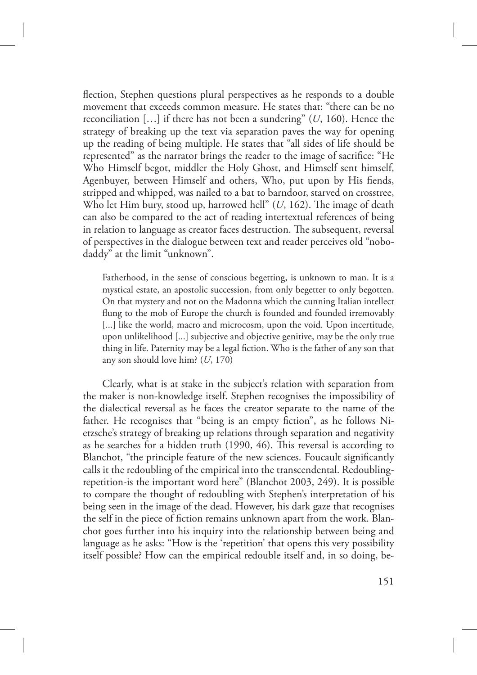flection, Stephen questions plural perspectives as he responds to a double movement that exceeds common measure. He states that: "there can be no reconciliation […] if there has not been a sundering" (*U*, 160). Hence the strategy of breaking up the text via separation paves the way for opening up the reading of being multiple. He states that "all sides of life should be represented" as the narrator brings the reader to the image of sacrifice: "He Who Himself begot, middler the Holy Ghost, and Himself sent himself, Agenbuyer, between Himself and others, Who, put upon by His fiends, stripped and whipped, was nailed to a bat to barndoor, starved on crosstree, Who let Him bury, stood up, harrowed hell" (U, 162). The image of death can also be compared to the act of reading intertextual references of being in relation to language as creator faces destruction. The subsequent, reversal of perspectives in the dialogue between text and reader perceives old "nobodaddy" at the limit "unknown".

Fatherhood, in the sense of conscious begetting, is unknown to man. It is a mystical estate, an apostolic succession, from only begetter to only begotten. On that mystery and not on the Madonna which the cunning Italian intellect flung to the mob of Europe the church is founded and founded irremovably [...] like the world, macro and microcosm, upon the void. Upon incertitude, upon unlikelihood [...] subjective and objective genitive, may be the only true thing in life. Paternity may be a legal fiction. Who is the father of any son that any son should love him? (*U*, 170)

Clearly, what is at stake in the subject's relation with separation from the maker is non-knowledge itself. Stephen recognises the impossibility of the dialectical reversal as he faces the creator separate to the name of the father. He recognises that "being is an empty fiction", as he follows Nietzsche's strategy of breaking up relations through separation and negativity as he searches for a hidden truth (1990, 46). This reversal is according to Blanchot, "the principle feature of the new sciences. Foucault significantly calls it the redoubling of the empirical into the transcendental. Redoublingrepetition-is the important word here" (Blanchot 2003, 249). It is possible to compare the thought of redoubling with Stephen's interpretation of his being seen in the image of the dead. However, his dark gaze that recognises the self in the piece of fiction remains unknown apart from the work. Blanchot goes further into his inquiry into the relationship between being and language as he asks: "How is the 'repetition' that opens this very possibility itself possible? How can the empirical redouble itself and, in so doing, be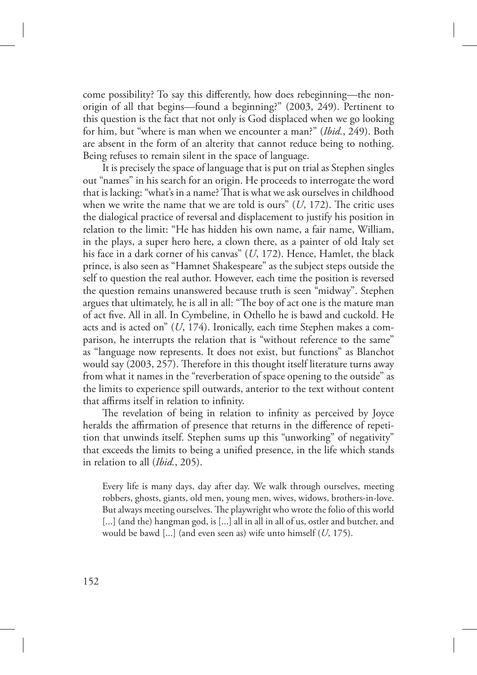come possibility? To say this differently, how does rebeginning—the nonorigin of all that begins—found a beginning?" (2003, 249). Pertinent to this question is the fact that not only is God displaced when we go looking for him, but "where is man when we encounter a man?" (*Ibid.*, 249). Both are absent in the form of an alterity that cannot reduce being to nothing. Being refuses to remain silent in the space of language.

It is precisely the space of language that is put on trial as Stephen singles out "names" in his search for an origin. He proceeds to interrogate the word that is lacking: "what's in a name? That is what we ask ourselves in childhood when we write the name that we are told is ours"  $(U, 172)$ . The critic uses the dialogical practice of reversal and displacement to justify his position in relation to the limit: "He has hidden his own name, a fair name, William, in the plays, a super hero here, a clown there, as a painter of old Italy set his face in a dark corner of his canvas" (*U*, 172). Hence, Hamlet, the black prince, is also seen as "Hamnet Shakespeare" as the subject steps outside the self to question the real author. However, each time the position is reversed the question remains unanswered because truth is seen "midway". Stephen argues that ultimately, he is all in all: "The boy of act one is the mature man of act five. All in all. In Cymbeline, in Othello he is bawd and cuckold. He acts and is acted on" (*U*, 174). Ironically, each time Stephen makes a comparison, he interrupts the relation that is "without reference to the same" as "language now represents. It does not exist, but functions" as Blanchot would say  $(2003, 257)$ . Therefore in this thought itself literature turns away from what it names in the "reverberation of space opening to the outside" as the limits to experience spill outwards, anterior to the text without content that affirms itself in relation to infinity.

The revelation of being in relation to infinity as perceived by Joyce heralds the affirmation of presence that returns in the difference of repetition that unwinds itself. Stephen sums up this "unworking" of negativity" that exceeds the limits to being a unified presence, in the life which stands in relation to all (*Ibid.*, 205).

Every life is many days, day after day. We walk through ourselves, meeting robbers, ghosts, giants, old men, young men, wives, widows, brothers-in-love. But always meeting ourselves. The playwright who wrote the folio of this world [...] (and the) hangman god, is [...] all in all in all of us, ostler and butcher, and would be bawd [...] (and even seen as) wife unto himself (*U*, 175).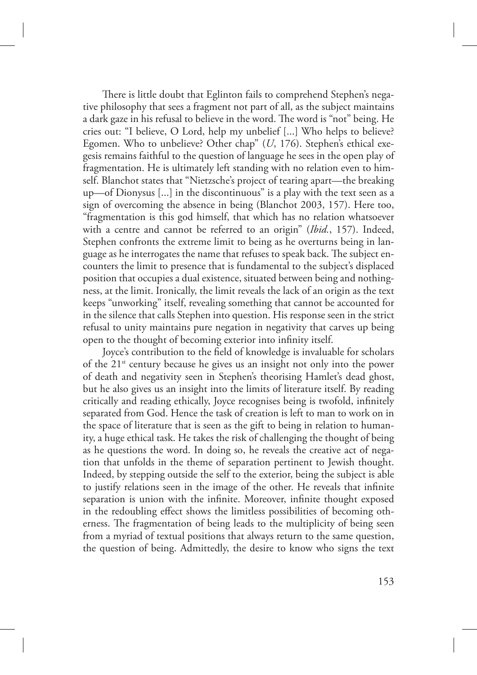There is little doubt that Eglinton fails to comprehend Stephen's negative philosophy that sees a fragment not part of all, as the subject maintains a dark gaze in his refusal to believe in the word. The word is "not" being. He cries out: "I believe, O Lord, help my unbelief [...] Who helps to believe? Egomen. Who to unbelieve? Other chap" (*U*, 176). Stephen's ethical exegesis remains faithful to the question of language he sees in the open play of fragmentation. He is ultimately left standing with no relation even to himself. Blanchot states that "Nietzsche's project of tearing apart—the breaking up—of Dionysus [...] in the discontinuous" is a play with the text seen as a sign of overcoming the absence in being (Blanchot 2003, 157). Here too, "fragmentation is this god himself, that which has no relation whatsoever with a centre and cannot be referred to an origin" (*Ibid.*, 157). Indeed, Stephen confronts the extreme limit to being as he overturns being in language as he interrogates the name that refuses to speak back. The subject encounters the limit to presence that is fundamental to the subject's displaced position that occupies a dual existence, situated between being and nothingness, at the limit. Ironically, the limit reveals the lack of an origin as the text keeps "unworking" itself, revealing something that cannot be accounted for in the silence that calls Stephen into question. His response seen in the strict refusal to unity maintains pure negation in negativity that carves up being open to the thought of becoming exterior into infinity itself.

Joyce's contribution to the field of knowledge is invaluable for scholars of the 21st century because he gives us an insight not only into the power of death and negativity seen in Stephen's theorising Hamlet's dead ghost, but he also gives us an insight into the limits of literature itself. By reading critically and reading ethically, Joyce recognises being is twofold, infinitely separated from God. Hence the task of creation is left to man to work on in the space of literature that is seen as the gift to being in relation to humanity, a huge ethical task. He takes the risk of challenging the thought of being as he questions the word. In doing so, he reveals the creative act of negation that unfolds in the theme of separation pertinent to Jewish thought. Indeed, by stepping outside the self to the exterior, being the subject is able to justify relations seen in the image of the other. He reveals that infinite separation is union with the infinite. Moreover, infinite thought exposed in the redoubling effect shows the limitless possibilities of becoming otherness. The fragmentation of being leads to the multiplicity of being seen from a myriad of textual positions that always return to the same question, the question of being. Admittedly, the desire to know who signs the text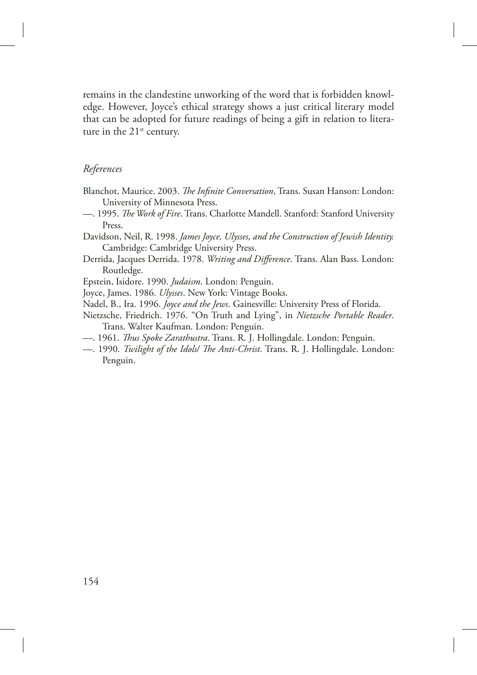remains in the clandestine unworking of the word that is forbidden knowledge. However, Joyce's ethical strategy shows a just critical literary model that can be adopted for future readings of being a gift in relation to literature in the  $21^{st}$  century.

#### *References*

- Blanchot, Maurice. 2003. *The Infinite Conversation*, Trans. Susan Hanson: London: University of Minnesota Press.
- 1995. *The Work of Fire*. Trans. Charlotte Mandell. Stanford: Stanford University Press.
- Davidson, Neil, R. 1998. *James Joyce, Ulysses, and the Construction of Jewish Identity.*  Cambridge: Cambridge University Press.
- Derrida, Jacques Derrida. 1978. *Writing and Difference*. Trans. Alan Bass. London: Routledge.
- Epstein, Isidore. 1990. *Judaism*. London: Penguin.
- Joyce, James. 1986. *Ulysses*. New York: Vintage Books.
- Nadel, B., Ira. 1996. *Joyce and the Jews*. Gainesville: University Press of Florida.
- Nietzsche, Friedrich. 1976. "On Truth and Lying", in *Nietzsche Portable Reader*. Trans. Walter Kaufman. London: Penguin.
- —. 1961. *us Spoke Zarathustra*. Trans. R. J. Hollingdale. London: Penguin.
- —. 1990. *Twilight of the Idols/ The Anti-Christ*. Trans. R. J. Hollingdale. London: Penguin.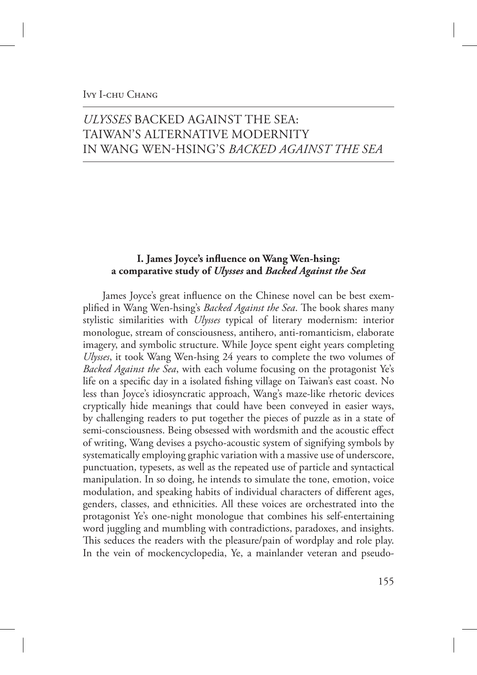### IVY I-CHU CHANG

# *ULYSSES* BACKED AGAINST THE SEA: TAIWAN'S ALTERNATIVE MODERNITY IN WANG WENHSING'S *BACKED AGAINST THE SEA*

## **I. James Joyce's influence on Wang Wen-hsing: a comparative study of** *Ulysses* **and** *Backed Against the Sea*

James Joyce's great influence on the Chinese novel can be best exemplified in Wang Wen-hsing's *Backed Against the Sea*. The book shares many stylistic similarities with *Ulysses* typical of literary modernism: interior monologue, stream of consciousness, antihero, anti-romanticism, elaborate imagery, and symbolic structure. While Joyce spent eight years completing *Ulysses*, it took Wang Wen-hsing 24 years to complete the two volumes of *Backed Against the Sea*, with each volume focusing on the protagonist Ye's life on a specific day in a isolated fishing village on Taiwan's east coast. No less than Joyce's idiosyncratic approach, Wang's maze-like rhetoric devices cryptically hide meanings that could have been conveyed in easier ways, by challenging readers to put together the pieces of puzzle as in a state of semi-consciousness. Being obsessed with wordsmith and the acoustic effect of writing, Wang devises a psycho-acoustic system of signifying symbols by systematically employing graphic variation with a massive use of underscore, punctuation, typesets, as well as the repeated use of particle and syntactical manipulation. In so doing, he intends to simulate the tone, emotion, voice modulation, and speaking habits of individual characters of different ages, genders, classes, and ethnicities. All these voices are orchestrated into the protagonist Ye's one-night monologue that combines his self-entertaining word juggling and mumbling with contradictions, paradoxes, and insights. This seduces the readers with the pleasure/pain of wordplay and role play. In the vein of mockencyclopedia, Ye, a mainlander veteran and pseudo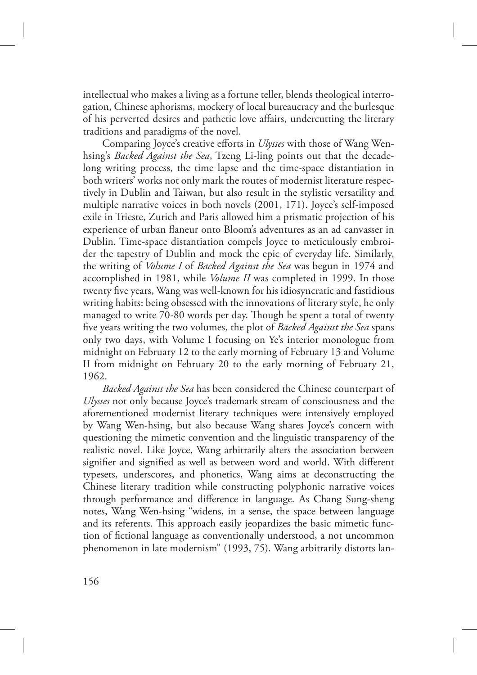intellectual who makes a living as a fortune teller, blends theological interrogation, Chinese aphorisms, mockery of local bureaucracy and the burlesque of his perverted desires and pathetic love affairs, undercutting the literary traditions and paradigms of the novel.

Comparing Joyce's creative efforts in *Ulysses* with those of Wang Wenhsing's *Backed Against the Sea*, Tzeng Li-ling points out that the decadelong writing process, the time lapse and the time-space distantiation in both writers' works not only mark the routes of modernist literature respectively in Dublin and Taiwan, but also result in the stylistic versatility and multiple narrative voices in both novels (2001, 171). Joyce's self-imposed exile in Trieste, Zurich and Paris allowed him a prismatic projection of his experience of urban flaneur onto Bloom's adventures as an ad canvasser in Dublin. Time-space distantiation compels Joyce to meticulously embroider the tapestry of Dublin and mock the epic of everyday life. Similarly, the writing of *Volume I* of *Backed Against the Sea* was begun in 1974 and accomplished in 1981, while *Volume II* was completed in 1999. In those twenty five years, Wang was well-known for his idiosyncratic and fastidious writing habits: being obsessed with the innovations of literary style, he only managed to write 70-80 words per day. Though he spent a total of twenty five years writing the two volumes, the plot of *Backed Against the Sea* spans only two days, with Volume I focusing on Ye's interior monologue from midnight on February 12 to the early morning of February 13 and Volume II from midnight on February 20 to the early morning of February 21, 1962.

*Backed Against the Sea* has been considered the Chinese counterpart of *Ulysses* not only because Joyce's trademark stream of consciousness and the aforementioned modernist literary techniques were intensively employed by Wang Wen-hsing, but also because Wang shares Joyce's concern with questioning the mimetic convention and the linguistic transparency of the realistic novel. Like Joyce, Wang arbitrarily alters the association between signifier and signified as well as between word and world. With different typesets, underscores, and phonetics, Wang aims at deconstructing the Chinese literary tradition while constructing polyphonic narrative voices through performance and difference in language. As Chang Sung-sheng notes, Wang Wen-hsing "widens, in a sense, the space between language and its referents. This approach easily jeopardizes the basic mimetic function of fictional language as conventionally understood, a not uncommon phenomenon in late modernism" (1993, 75). Wang arbitrarily distorts lan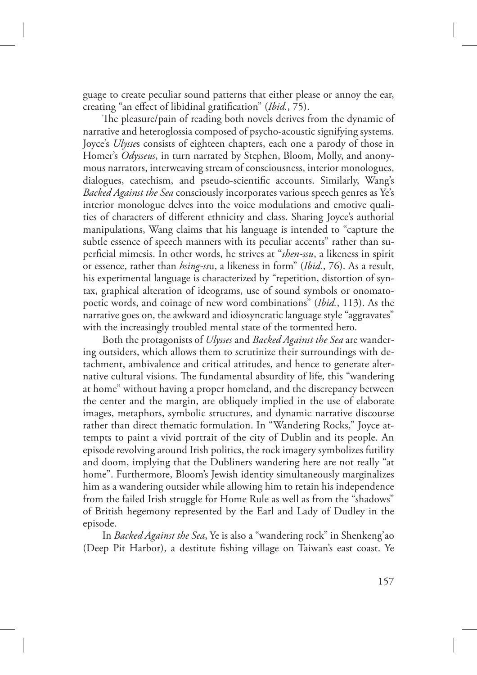guage to create peculiar sound patterns that either please or annoy the ear, creating "an effect of libidinal gratification" (*Ibid.*, 75).

The pleasure/pain of reading both novels derives from the dynamic of narrative and heteroglossia composed of psycho-acoustic signifying systems. Joyce's *Ulysse*s consists of eighteen chapters, each one a parody of those in Homer's *Odysseus*, in turn narrated by Stephen, Bloom, Molly, and anonymous narrators, interweaving stream of consciousness, interior monologues, dialogues, catechism, and pseudo-scientific accounts. Similarly, Wang's *Backed Against the Sea* consciously incorporates various speech genres as Ye's interior monologue delves into the voice modulations and emotive qualities of characters of different ethnicity and class. Sharing Joyce's authorial manipulations, Wang claims that his language is intended to "capture the subtle essence of speech manners with its peculiar accents" rather than superficial mimesis. In other words, he strives at "*shen-ssu*, a likeness in spirit or essence, rather than *hsing-ss*u, a likeness in form" (*Ibid.*, 76). As a result, his experimental language is characterized by "repetition, distortion of syntax, graphical alteration of ideograms, use of sound symbols or onomatopoetic words, and coinage of new word combinations" (*Ibid.*, 113). As the narrative goes on, the awkward and idiosyncratic language style "aggravates" with the increasingly troubled mental state of the tormented hero.

Both the protagonists of *Ulysses* and *Backed Against the Sea* are wandering outsiders, which allows them to scrutinize their surroundings with detachment, ambivalence and critical attitudes, and hence to generate alternative cultural visions. The fundamental absurdity of life, this "wandering" at home" without having a proper homeland, and the discrepancy between the center and the margin, are obliquely implied in the use of elaborate images, metaphors, symbolic structures, and dynamic narrative discourse rather than direct thematic formulation. In "Wandering Rocks," Joyce attempts to paint a vivid portrait of the city of Dublin and its people. An episode revolving around Irish politics, the rock imagery symbolizes futility and doom, implying that the Dubliners wandering here are not really "at home". Furthermore, Bloom's Jewish identity simultaneously marginalizes him as a wandering outsider while allowing him to retain his independence from the failed Irish struggle for Home Rule as well as from the "shadows" of British hegemony represented by the Earl and Lady of Dudley in the episode.

In *Backed Against the Sea*, Ye is also a "wandering rock" in Shenkeng'ao (Deep Pit Harbor), a destitute fishing village on Taiwan's east coast. Ye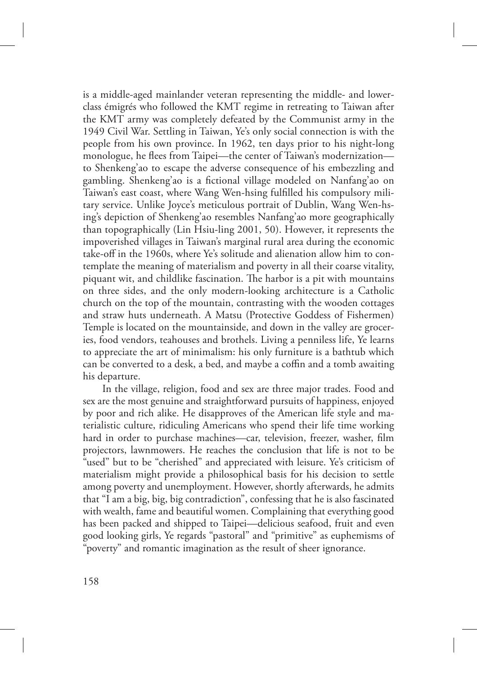is a middle-aged mainlander veteran representing the middle- and lowerclass émigrés who followed the KMT regime in retreating to Taiwan after the KMT army was completely defeated by the Communist army in the 1949 Civil War. Settling in Taiwan, Ye's only social connection is with the people from his own province. In 1962, ten days prior to his night-long monologue, he flees from Taipei—the center of Taiwan's modernization to Shenkeng'ao to escape the adverse consequence of his embezzling and gambling. Shenkeng'ao is a fictional village modeled on Nanfang'ao on Taiwan's east coast, where Wang Wen-hsing fulfilled his compulsory military service. Unlike Joyce's meticulous portrait of Dublin, Wang Wen-hsing's depiction of Shenkeng'ao resembles Nanfang'ao more geographically than topographically (Lin Hsiu-ling 2001, 50). However, it represents the impoverished villages in Taiwan's marginal rural area during the economic take-off in the 1960s, where Ye's solitude and alienation allow him to contemplate the meaning of materialism and poverty in all their coarse vitality, piquant wit, and childlike fascination. The harbor is a pit with mountains on three sides, and the only modern-looking architecture is a Catholic church on the top of the mountain, contrasting with the wooden cottages and straw huts underneath. A Matsu (Protective Goddess of Fishermen) Temple is located on the mountainside, and down in the valley are groceries, food vendors, teahouses and brothels. Living a penniless life, Ye learns to appreciate the art of minimalism: his only furniture is a bathtub which can be converted to a desk, a bed, and maybe a coffin and a tomb awaiting his departure.

In the village, religion, food and sex are three major trades. Food and sex are the most genuine and straightforward pursuits of happiness, enjoyed by poor and rich alike. He disapproves of the American life style and materialistic culture, ridiculing Americans who spend their life time working hard in order to purchase machines—car, television, freezer, washer, film projectors, lawnmowers. He reaches the conclusion that life is not to be "used" but to be "cherished" and appreciated with leisure. Ye's criticism of materialism might provide a philosophical basis for his decision to settle among poverty and unemployment. However, shortly afterwards, he admits that "I am a big, big, big contradiction", confessing that he is also fascinated with wealth, fame and beautiful women. Complaining that everything good has been packed and shipped to Taipei—delicious seafood, fruit and even good looking girls, Ye regards "pastoral" and "primitive" as euphemisms of "poverty" and romantic imagination as the result of sheer ignorance.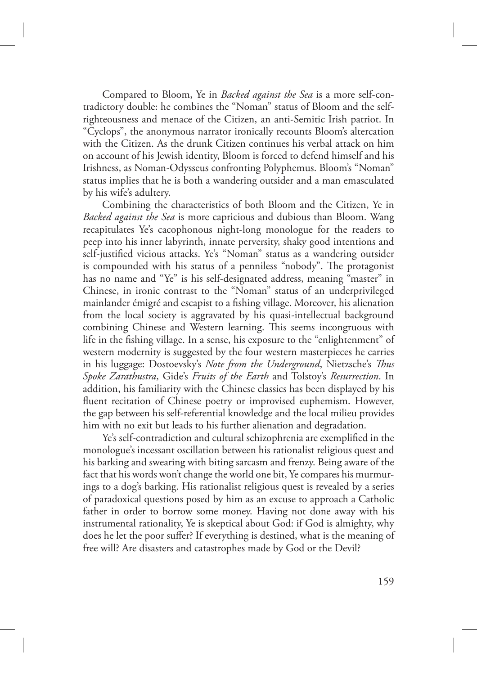Compared to Bloom, Ye in *Backed against the Sea* is a more self-contradictory double: he combines the "Noman" status of Bloom and the selfrighteousness and menace of the Citizen, an anti-Semitic Irish patriot. In "Cyclops", the anonymous narrator ironically recounts Bloom's altercation with the Citizen. As the drunk Citizen continues his verbal attack on him on account of his Jewish identity, Bloom is forced to defend himself and his Irishness, as Noman-Odysseus confronting Polyphemus. Bloom's "Noman" status implies that he is both a wandering outsider and a man emasculated by his wife's adultery.

Combining the characteristics of both Bloom and the Citizen, Ye in *Backed against the Sea* is more capricious and dubious than Bloom. Wang recapitulates Ye's cacophonous night-long monologue for the readers to peep into his inner labyrinth, innate perversity, shaky good intentions and self-justified vicious attacks. Ye's "Noman" status as a wandering outsider is compounded with his status of a penniless "nobody". The protagonist has no name and "Ye" is his self-designated address, meaning "master" in Chinese, in ironic contrast to the "Noman" status of an underprivileged mainlander émigré and escapist to a fishing village. Moreover, his alienation from the local society is aggravated by his quasi-intellectual background combining Chinese and Western learning. This seems incongruous with life in the fishing village. In a sense, his exposure to the "enlightenment" of western modernity is suggested by the four western masterpieces he carries in his luggage: Dostoevsky's *Note from the Underground*, Nietzsche's *Thus Spoke Zarathustra*, Gide's *Fruits of the Earth* and Tolstoy's *Resurrection*. In addition, his familiarity with the Chinese classics has been displayed by his fluent recitation of Chinese poetry or improvised euphemism. However, the gap between his self-referential knowledge and the local milieu provides him with no exit but leads to his further alienation and degradation.

Ye's self-contradiction and cultural schizophrenia are exemplified in the monologue's incessant oscillation between his rationalist religious quest and his barking and swearing with biting sarcasm and frenzy. Being aware of the fact that his words won't change the world one bit, Ye compares his murmurings to a dog's barking. His rationalist religious quest is revealed by a series of paradoxical questions posed by him as an excuse to approach a Catholic father in order to borrow some money. Having not done away with his instrumental rationality, Ye is skeptical about God: if God is almighty, why does he let the poor suffer? If everything is destined, what is the meaning of free will? Are disasters and catastrophes made by God or the Devil?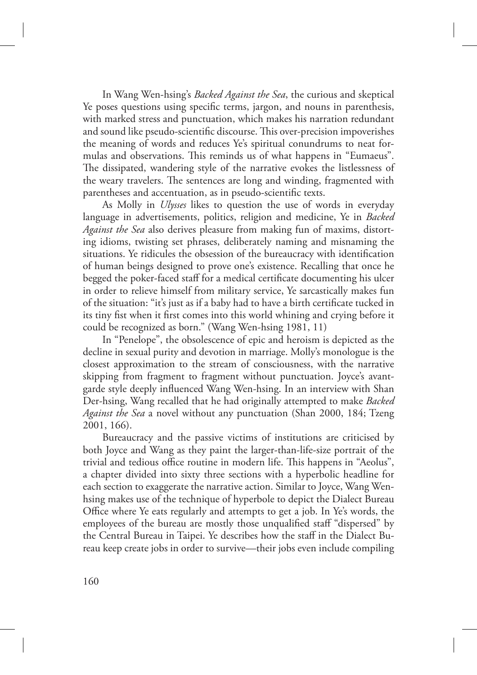In Wang Wen-hsing's *Backed Against the Sea*, the curious and skeptical Ye poses questions using specific terms, jargon, and nouns in parenthesis, with marked stress and punctuation, which makes his narration redundant and sound like pseudo-scientific discourse. This over-precision impoverishes the meaning of words and reduces Ye's spiritual conundrums to neat formulas and observations. This reminds us of what happens in "Eumaeus". The dissipated, wandering style of the narrative evokes the listlessness of the weary travelers. The sentences are long and winding, fragmented with parentheses and accentuation, as in pseudo-scientific texts.

As Molly in *Ulysses* likes to question the use of words in everyday language in advertisements, politics, religion and medicine, Ye in *Backed Against the Sea* also derives pleasure from making fun of maxims, distorting idioms, twisting set phrases, deliberately naming and misnaming the situations. Ye ridicules the obsession of the bureaucracy with identification of human beings designed to prove one's existence. Recalling that once he begged the poker-faced staff for a medical certificate documenting his ulcer in order to relieve himself from military service, Ye sarcastically makes fun of the situation: "it's just as if a baby had to have a birth certificate tucked in its tiny fist when it first comes into this world whining and crying before it could be recognized as born." (Wang Wen-hsing 1981, 11)

In "Penelope", the obsolescence of epic and heroism is depicted as the decline in sexual purity and devotion in marriage. Molly's monologue is the closest approximation to the stream of consciousness, with the narrative skipping from fragment to fragment without punctuation. Joyce's avantgarde style deeply influenced Wang Wen-hsing. In an interview with Shan Der-hsing, Wang recalled that he had originally attempted to make *Backed Against the Sea* a novel without any punctuation (Shan 2000, 184; Tzeng 2001, 166).

Bureaucracy and the passive victims of institutions are criticised by both Joyce and Wang as they paint the larger-than-life-size portrait of the trivial and tedious office routine in modern life. This happens in "Aeolus", a chapter divided into sixty three sections with a hyperbolic headline for each section to exaggerate the narrative action. Similar to Joyce, Wang Wenhsing makes use of the technique of hyperbole to depict the Dialect Bureau Office where Ye eats regularly and attempts to get a job. In Ye's words, the employees of the bureau are mostly those unqualified staff "dispersed" by the Central Bureau in Taipei. Ye describes how the staff in the Dialect Bureau keep create jobs in order to survive—their jobs even include compiling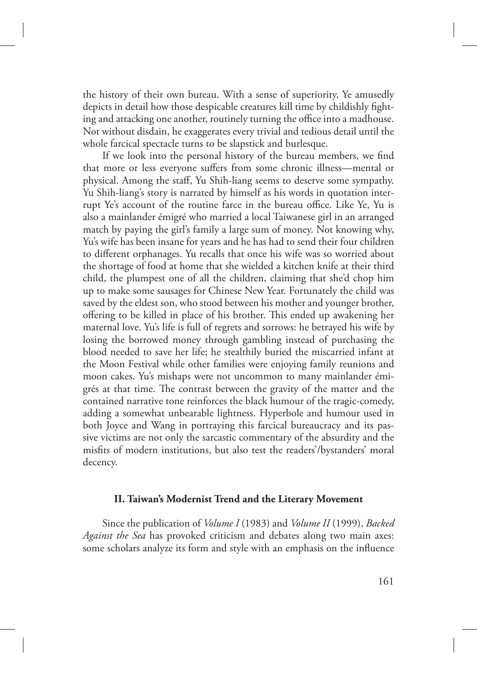the history of their own bureau. With a sense of superiority, Ye amusedly depicts in detail how those despicable creatures kill time by childishly fighting and attacking one another, routinely turning the office into a madhouse. Not without disdain, he exaggerates every trivial and tedious detail until the whole farcical spectacle turns to be slapstick and burlesque.

If we look into the personal history of the bureau members, we find that more or less everyone suffers from some chronic illness—mental or physical. Among the staff, Yu Shih-liang seems to deserve some sympathy. Yu Shih-liang's story is narrated by himself as his words in quotation interrupt Ye's account of the routine farce in the bureau office. Like Ye, Yu is also a mainlander émigré who married a local Taiwanese girl in an arranged match by paying the girl's family a large sum of money. Not knowing why, Yu's wife has been insane for years and he has had to send their four children to different orphanages. Yu recalls that once his wife was so worried about the shortage of food at home that she wielded a kitchen knife at their third child, the plumpest one of all the children, claiming that she'd chop him up to make some sausages for Chinese New Year. Fortunately the child was saved by the eldest son, who stood between his mother and younger brother, offering to be killed in place of his brother. This ended up awakening her maternal love. Yu's life is full of regrets and sorrows: he betrayed his wife by losing the borrowed money through gambling instead of purchasing the blood needed to save her life; he stealthily buried the miscarried infant at the Moon Festival while other families were enjoying family reunions and moon cakes. Yu's mishaps were not uncommon to many mainlander émigrés at that time. The contrast between the gravity of the matter and the contained narrative tone reinforces the black humour of the tragic-comedy, adding a somewhat unbearable lightness. Hyperbole and humour used in both Joyce and Wang in portraying this farcical bureaucracy and its passive victims are not only the sarcastic commentary of the absurdity and the misfits of modern institutions, but also test the readers'/bystanders' moral decency.

### **II. Taiwan's Modernist Trend and the Literary Movement**

Since the publication of *Volume I* (1983) and *Volume II* (1999), *Backed Against the Sea* has provoked criticism and debates along two main axes: some scholars analyze its form and style with an emphasis on the influence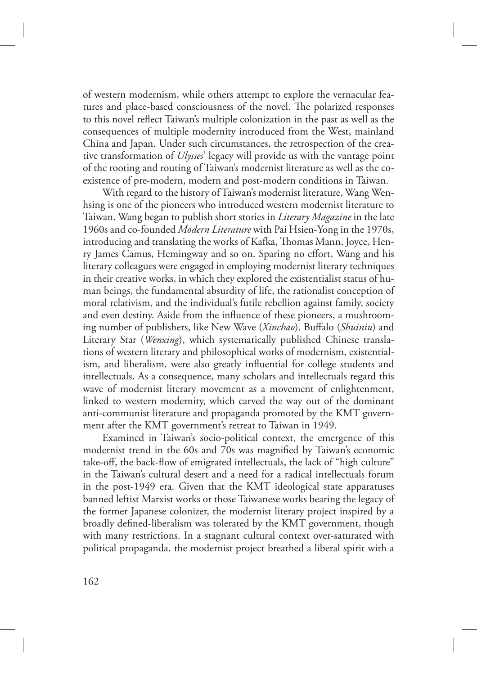of western modernism, while others attempt to explore the vernacular features and place-based consciousness of the novel. The polarized responses to this novel reflect Taiwan's multiple colonization in the past as well as the consequences of multiple modernity introduced from the West, mainland China and Japan. Under such circumstances, the retrospection of the creative transformation of *Ulysses*' legacy will provide us with the vantage point of the rooting and routing of Taiwan's modernist literature as well as the coexistence of pre-modern, modern and post-modern conditions in Taiwan.

With regard to the history of Taiwan's modernist literature, Wang Wenhsing is one of the pioneers who introduced western modernist literature to Taiwan. Wang began to publish short stories in *Literary Magazine* in the late 1960s and co-founded *Modern Literature* with Pai Hsien-Yong in the 1970s, introducing and translating the works of Kafka, Thomas Mann, Joyce, Henry James Camus, Hemingway and so on. Sparing no effort, Wang and his literary colleagues were engaged in employing modernist literary techniques in their creative works, in which they explored the existentialist status of human beings, the fundamental absurdity of life, the rationalist conception of moral relativism, and the individual's futile rebellion against family, society and even destiny. Aside from the influence of these pioneers, a mushrooming number of publishers, like New Wave (*Xinchao*), Buffalo (*Shuiniu*) and Literary Star (*Wenxing*), which systematically published Chinese translations of western literary and philosophical works of modernism, existentialism, and liberalism, were also greatly influential for college students and intellectuals. As a consequence, many scholars and intellectuals regard this wave of modernist literary movement as a movement of enlightenment, linked to western modernity, which carved the way out of the dominant anti-communist literature and propaganda promoted by the KMT government after the KMT government's retreat to Taiwan in 1949.

Examined in Taiwan's socio-political context, the emergence of this modernist trend in the 60s and 70s was magnified by Taiwan's economic take-off, the back-flow of emigrated intellectuals, the lack of "high culture" in the Taiwan's cultural desert and a need for a radical intellectuals forum in the post-1949 era. Given that the KMT ideological state apparatuses banned leftist Marxist works or those Taiwanese works bearing the legacy of the former Japanese colonizer, the modernist literary project inspired by a broadly defined-liberalism was tolerated by the KMT government, though with many restrictions. In a stagnant cultural context over-saturated with political propaganda, the modernist project breathed a liberal spirit with a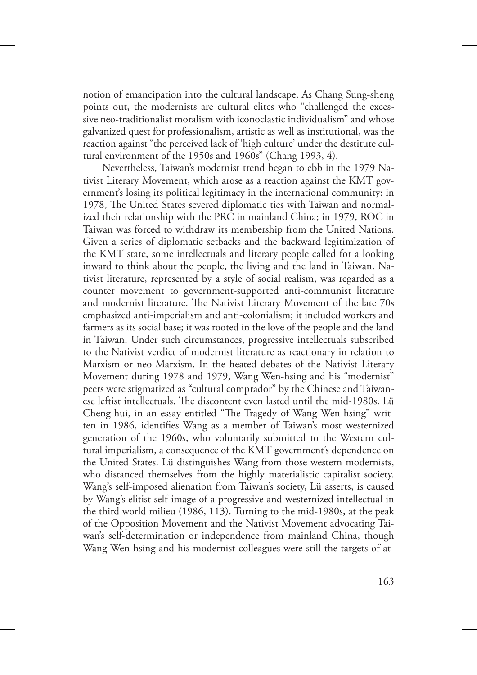notion of emancipation into the cultural landscape. As Chang Sung-sheng points out, the modernists are cultural elites who "challenged the excessive neo-traditionalist moralism with iconoclastic individualism" and whose galvanized quest for professionalism, artistic as well as institutional, was the reaction against "the perceived lack of 'high culture' under the destitute cultural environment of the 1950s and 1960s" (Chang 1993, 4).

Nevertheless, Taiwan's modernist trend began to ebb in the 1979 Nativist Literary Movement, which arose as a reaction against the KMT government's losing its political legitimacy in the international community: in 1978, The United States severed diplomatic ties with Taiwan and normalized their relationship with the PRC in mainland China; in 1979, ROC in Taiwan was forced to withdraw its membership from the United Nations. Given a series of diplomatic setbacks and the backward legitimization of the KMT state, some intellectuals and literary people called for a looking inward to think about the people, the living and the land in Taiwan. Nativist literature, represented by a style of social realism, was regarded as a counter movement to government-supported anti-communist literature and modernist literature. The Nativist Literary Movement of the late 70s emphasized anti-imperialism and anti-colonialism; it included workers and farmers as its social base; it was rooted in the love of the people and the land in Taiwan. Under such circumstances, progressive intellectuals subscribed to the Nativist verdict of modernist literature as reactionary in relation to Marxism or neo-Marxism. In the heated debates of the Nativist Literary Movement during 1978 and 1979, Wang Wen-hsing and his "modernist" peers were stigmatized as "cultural comprador" by the Chinese and Taiwanese leftist intellectuals. The discontent even lasted until the mid-1980s. Lü Cheng-hui, in an essay entitled "The Tragedy of Wang Wen-hsing" written in 1986, identifies Wang as a member of Taiwan's most westernized generation of the 1960s, who voluntarily submitted to the Western cultural imperialism, a consequence of the KMT government's dependence on the United States. Lü distinguishes Wang from those western modernists, who distanced themselves from the highly materialistic capitalist society. Wang's self-imposed alienation from Taiwan's society, Lü asserts, is caused by Wang's elitist self-image of a progressive and westernized intellectual in the third world milieu (1986, 113). Turning to the mid-1980s, at the peak of the Opposition Movement and the Nativist Movement advocating Taiwan's self-determination or independence from mainland China, though Wang Wen-hsing and his modernist colleagues were still the targets of at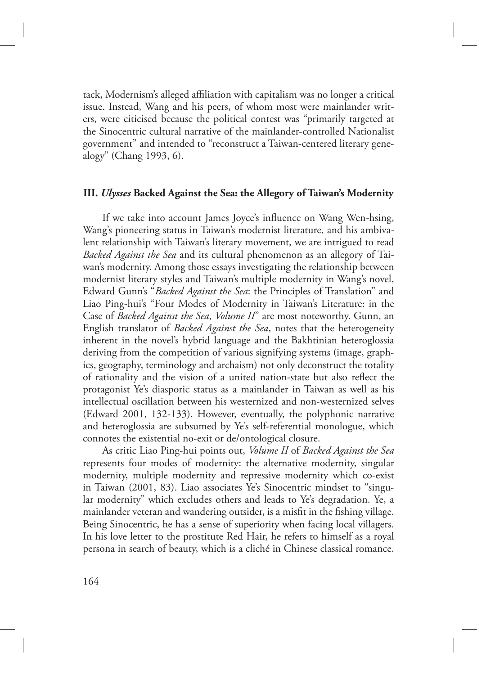tack, Modernism's alleged affiliation with capitalism was no longer a critical issue. Instead, Wang and his peers, of whom most were mainlander writers, were citicised because the political contest was "primarily targeted at the Sinocentric cultural narrative of the mainlander-controlled Nationalist government" and intended to "reconstruct a Taiwan-centered literary genealogy" (Chang 1993, 6).

### **III.** *Ulysses* **Backed Against the Sea: the Allegory of Taiwan's Modernity**

If we take into account James Joyce's influence on Wang Wen-hsing, Wang's pioneering status in Taiwan's modernist literature, and his ambivalent relationship with Taiwan's literary movement, we are intrigued to read *Backed Against the Sea* and its cultural phenomenon as an allegory of Taiwan's modernity. Among those essays investigating the relationship between modernist literary styles and Taiwan's multiple modernity in Wang's novel, Edward Gunn's "*Backed Against the Sea*: the Principles of Translation" and Liao Ping-hui's "Four Modes of Modernity in Taiwan's Literature: in the Case of *Backed Against the Sea*, *Volume II*" are most noteworthy. Gunn, an English translator of *Backed Against the Sea*, notes that the heterogeneity inherent in the novel's hybrid language and the Bakhtinian heteroglossia deriving from the competition of various signifying systems (image, graphics, geography, terminology and archaism) not only deconstruct the totality of rationality and the vision of a united nation-state but also reflect the protagonist Ye's diasporic status as a mainlander in Taiwan as well as his intellectual oscillation between his westernized and non-westernized selves (Edward 2001, 132-133). However, eventually, the polyphonic narrative and heteroglossia are subsumed by Ye's self-referential monologue, which connotes the existential no-exit or de/ontological closure.

As critic Liao Ping-hui points out, *Volume II* of *Backed Against the Sea* represents four modes of modernity: the alternative modernity, singular modernity, multiple modernity and repressive modernity which co-exist in Taiwan (2001, 83). Liao associates Ye's Sinocentric mindset to "singular modernity" which excludes others and leads to Ye's degradation. Ye, a mainlander veteran and wandering outsider, is a misfit in the fishing village. Being Sinocentric, he has a sense of superiority when facing local villagers. In his love letter to the prostitute Red Hair, he refers to himself as a royal persona in search of beauty, which is a cliché in Chinese classical romance.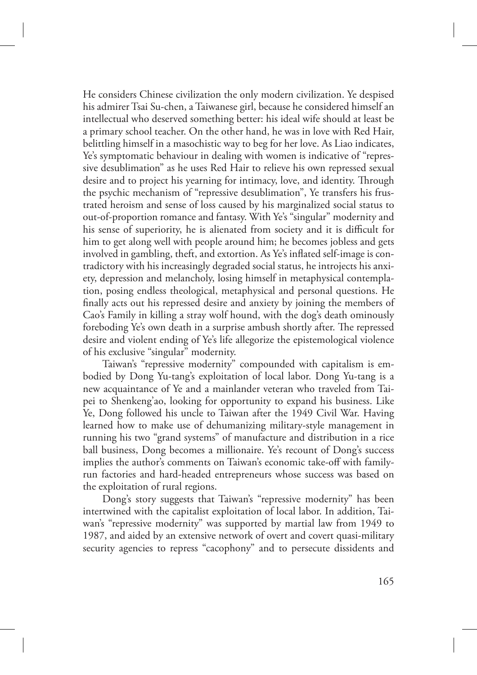He considers Chinese civilization the only modern civilization. Ye despised his admirer Tsai Su-chen, a Taiwanese girl, because he considered himself an intellectual who deserved something better: his ideal wife should at least be a primary school teacher. On the other hand, he was in love with Red Hair, belittling himself in a masochistic way to beg for her love. As Liao indicates, Ye's symptomatic behaviour in dealing with women is indicative of "repressive desublimation" as he uses Red Hair to relieve his own repressed sexual desire and to project his yearning for intimacy, love, and identity. Through the psychic mechanism of "repressive desublimation", Ye transfers his frustrated heroism and sense of loss caused by his marginalized social status to out-of-proportion romance and fantasy. With Ye's "singular" modernity and his sense of superiority, he is alienated from society and it is difficult for him to get along well with people around him; he becomes jobless and gets involved in gambling, theft, and extortion. As Ye's inflated self-image is contradictory with his increasingly degraded social status, he introjects his anxiety, depression and melancholy, losing himself in metaphysical contemplation, posing endless theological, metaphysical and personal questions. He finally acts out his repressed desire and anxiety by joining the members of Cao's Family in killing a stray wolf hound, with the dog's death ominously foreboding Ye's own death in a surprise ambush shortly after. The repressed desire and violent ending of Ye's life allegorize the epistemological violence of his exclusive "singular" modernity.

Taiwan's "repressive modernity" compounded with capitalism is embodied by Dong Yu-tang's exploitation of local labor. Dong Yu-tang is a new acquaintance of Ye and a mainlander veteran who traveled from Taipei to Shenkeng'ao, looking for opportunity to expand his business. Like Ye, Dong followed his uncle to Taiwan after the 1949 Civil War. Having learned how to make use of dehumanizing military-style management in running his two "grand systems" of manufacture and distribution in a rice ball business, Dong becomes a millionaire. Ye's recount of Dong's success implies the author's comments on Taiwan's economic take-off with familyrun factories and hard-headed entrepreneurs whose success was based on the exploitation of rural regions.

Dong's story suggests that Taiwan's "repressive modernity" has been intertwined with the capitalist exploitation of local labor. In addition, Taiwan's "repressive modernity" was supported by martial law from 1949 to 1987, and aided by an extensive network of overt and covert quasi-military security agencies to repress "cacophony" and to persecute dissidents and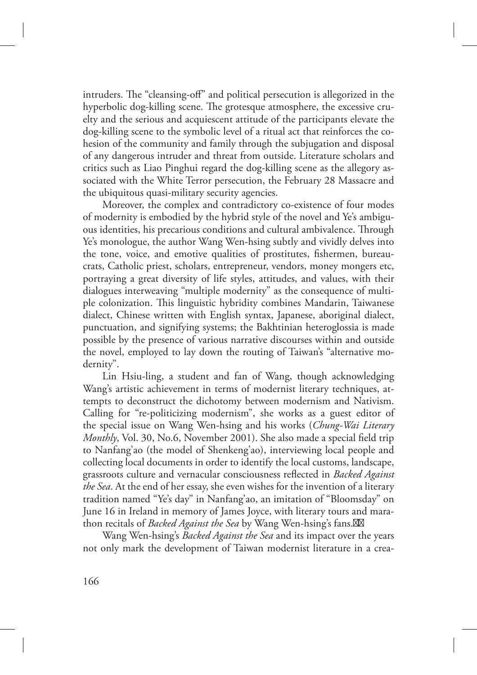intruders. The "cleansing-off" and political persecution is allegorized in the hyperbolic dog-killing scene. The grotesque atmosphere, the excessive cruelty and the serious and acquiescent attitude of the participants elevate the dog-killing scene to the symbolic level of a ritual act that reinforces the cohesion of the community and family through the subjugation and disposal of any dangerous intruder and threat from outside. Literature scholars and critics such as Liao Pinghui regard the dog-killing scene as the allegory associated with the White Terror persecution, the February 28 Massacre and the ubiquitous quasi-military security agencies.

Moreover, the complex and contradictory co-existence of four modes of modernity is embodied by the hybrid style of the novel and Ye's ambiguous identities, his precarious conditions and cultural ambivalence. Through Ye's monologue, the author Wang Wen-hsing subtly and vividly delves into the tone, voice, and emotive qualities of prostitutes, fishermen, bureaucrats, Catholic priest, scholars, entrepreneur, vendors, money mongers etc, portraying a great diversity of life styles, attitudes, and values, with their dialogues interweaving "multiple modernity" as the consequence of multiple colonization. This linguistic hybridity combines Mandarin, Taiwanese dialect, Chinese written with English syntax, Japanese, aboriginal dialect, punctuation, and signifying systems; the Bakhtinian heteroglossia is made possible by the presence of various narrative discourses within and outside the novel, employed to lay down the routing of Taiwan's "alternative modernity".

Lin Hsiu-ling, a student and fan of Wang, though acknowledging Wang's artistic achievement in terms of modernist literary techniques, attempts to deconstruct the dichotomy between modernism and Nativism. Calling for "re-politicizing modernism", she works as a guest editor of the special issue on Wang Wen-hsing and his works (*Chung-Wai Literary Monthly*, Vol. 30, No.6, November 2001). She also made a special field trip to Nanfang'ao (the model of Shenkeng'ao), interviewing local people and collecting local documents in order to identify the local customs, landscape, grassroots culture and vernacular consciousness reflected in *Backed Against the Sea*. At the end of her essay, she even wishes for the invention of a literary tradition named "Ye's day" in Nanfang'ao, an imitation of "Bloomsday" on June 16 in Ireland in memory of James Joyce, with literary tours and marathon recitals of *Backed Against the Sea* by Wang Wen-hsing's fans. $M$ 

Wang Wen-hsing's *Backed Against the Sea* and its impact over the years not only mark the development of Taiwan modernist literature in a crea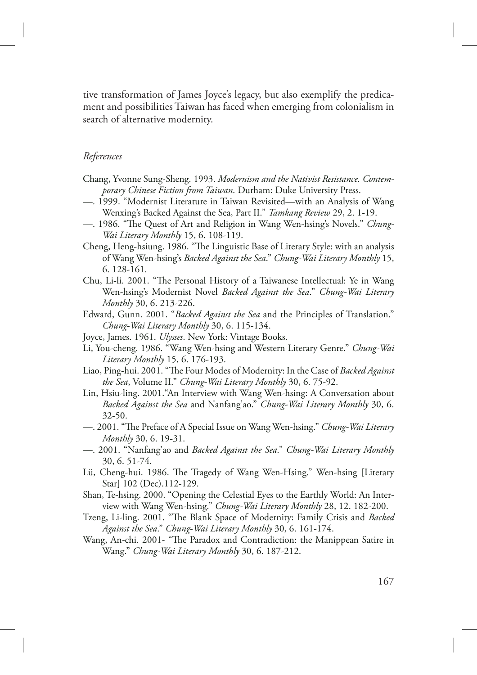tive transformation of James Joyce's legacy, but also exemplify the predicament and possibilities Taiwan has faced when emerging from colonialism in search of alternative modernity.

### *References*

- Chang, Yvonne Sung-Sheng. 1993. *Modernism and the Nativist Resistance. Contemporary Chinese Fiction from Taiwan*. Durham: Duke University Press.
- —. 1999. "Modernist Literature in Taiwan Revisited—with an Analysis of Wang Wenxing's Backed Against the Sea, Part II." *Tamkang Review* 29, 2. 1-19.
- —. 1986. "The Quest of Art and Religion in Wang Wen-hsing's Novels." *Chung-Wai Literary Monthly* 15, 6. 108-119.
- Cheng, Heng-hsiung. 1986. "The Linguistic Base of Literary Style: with an analysis of Wang Wen-hsing's *Backed Against the Sea*." *Chung-Wai Literary Monthly* 15, 6. 128-161.
- Chu, Li-li. 2001. "The Personal History of a Taiwanese Intellectual: Ye in Wang Wen-hsing's Modernist Novel *Backed Against the Sea*." *Chung-Wai Literary Monthly* 30, 6. 213-226.
- Edward, Gunn. 2001. "*Backed Against the Sea* and the Principles of Translation." *Chung-Wai Literary Monthly* 30, 6. 115-134.
- Joyce, James. 1961. *Ulysses*. New York: Vintage Books.
- Li, You-cheng. 1986. "Wang Wen-hsing and Western Literary Genre." *Chung-Wai Literary Monthly* 15, 6. 176-193.
- Liao, Ping-hui. 2001. "The Four Modes of Modernity: In the Case of *Backed Against the Sea*, Volume II." *Chung-Wai Literary Monthly* 30, 6. 75-92.
- Lin, Hsiu-ling. 2001."An Interview with Wang Wen-hsing: A Conversation about *Backed Against the Sea* and Nanfang'ao." *Chung-Wai Literary Monthly* 30, 6. 32-50.
- —. 2001. "The Preface of A Special Issue on Wang Wen-hsing." *Chung-Wai Literary Monthly* 30, 6. 19-31.
- —. 2001. "Nanfang'ao and *Backed Against the Sea*." *Chung-Wai Literary Monthly* 30, 6. 51-74.
- Lü, Cheng-hui. 1986. The Tragedy of Wang Wen-Hsing." Wen-hsing [Literary Star] 102 (Dec).112-129.
- Shan, Te-hsing. 2000. "Opening the Celestial Eyes to the Earthly World: An Interview with Wang Wen-hsing." *Chung-Wai Literary Monthly* 28, 12. 182-200.
- Tzeng, Li-ling. 2001. "The Blank Space of Modernity: Family Crisis and *Backed Against the Sea*." *Chung-Wai Literary Monthly* 30, 6. 161-174.
- Wang, An-chi. 2001- "The Paradox and Contradiction: the Manippean Satire in Wang." *Chung-Wai Literary Monthly* 30, 6. 187-212.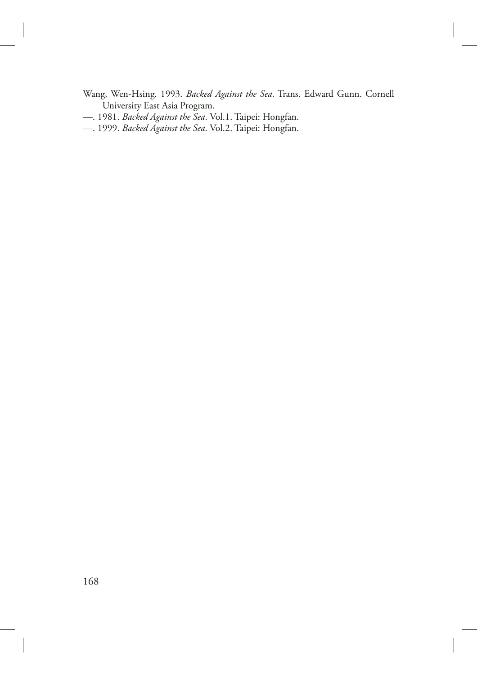- Wang, Wen-Hsing. 1993. *Backed Against the Sea*. Trans. Edward Gunn. Cornell University East Asia Program.
- —. 1981. *Backed Against the Sea*. Vol.1. Taipei: Hongfan.
- —. 1999. *Backed Against the Sea*. Vol.2. Taipei: Hongfan.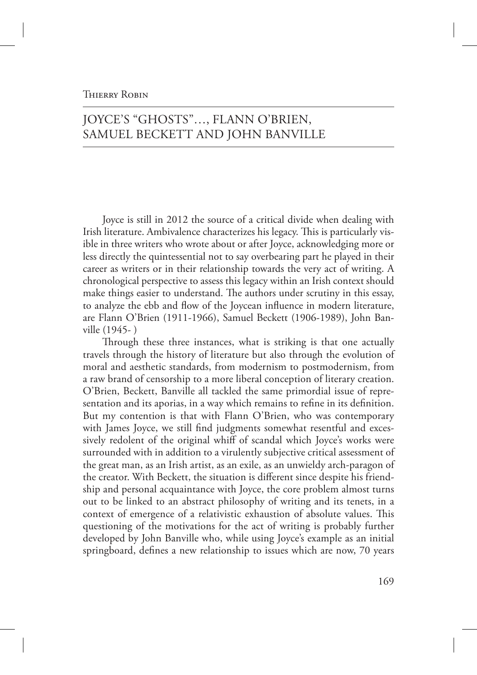### **THIERRY ROBIN**

# JOYCE'S "GHOSTS"…, FLANN O'BRIEN, SAMUEL BECKETT AND JOHN BANVILLE

Joyce is still in 2012 the source of a critical divide when dealing with Irish literature. Ambivalence characterizes his legacy. This is particularly visible in three writers who wrote about or after Joyce, acknowledging more or less directly the quintessential not to say overbearing part he played in their career as writers or in their relationship towards the very act of writing. A chronological perspective to assess this legacy within an Irish context should make things easier to understand. The authors under scrutiny in this essay, to analyze the ebb and flow of the Joycean influence in modern literature, are Flann O'Brien (1911-1966), Samuel Beckett (1906-1989), John Banville (1945- )

Through these three instances, what is striking is that one actually travels through the history of literature but also through the evolution of moral and aesthetic standards, from modernism to postmodernism, from a raw brand of censorship to a more liberal conception of literary creation. O'Brien, Beckett, Banville all tackled the same primordial issue of representation and its aporias, in a way which remains to refine in its definition. But my contention is that with Flann O'Brien, who was contemporary with James Joyce, we still find judgments somewhat resentful and excessively redolent of the original whiff of scandal which Joyce's works were surrounded with in addition to a virulently subjective critical assessment of the great man, as an Irish artist, as an exile, as an unwieldy arch-paragon of the creator. With Beckett, the situation is different since despite his friendship and personal acquaintance with Joyce, the core problem almost turns out to be linked to an abstract philosophy of writing and its tenets, in a context of emergence of a relativistic exhaustion of absolute values. This questioning of the motivations for the act of writing is probably further developed by John Banville who, while using Joyce's example as an initial springboard, defines a new relationship to issues which are now, 70 years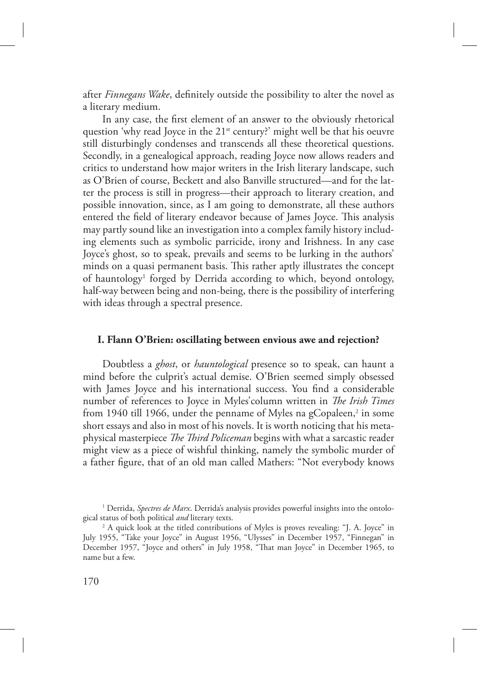after *Finnegans Wake*, definitely outside the possibility to alter the novel as a literary medium.

In any case, the first element of an answer to the obviously rhetorical question 'why read Joyce in the 21<sup>st</sup> century?' might well be that his oeuvre still disturbingly condenses and transcends all these theoretical questions. Secondly, in a genealogical approach, reading Joyce now allows readers and critics to understand how major writers in the Irish literary landscape, such as O'Brien of course, Beckett and also Banville structured—and for the latter the process is still in progress—their approach to literary creation, and possible innovation, since, as I am going to demonstrate, all these authors entered the field of literary endeavor because of James Joyce. This analysis may partly sound like an investigation into a complex family history including elements such as symbolic parricide, irony and Irishness. In any case Joyce's ghost, so to speak, prevails and seems to be lurking in the authors' minds on a quasi permanent basis. This rather aptly illustrates the concept of hauntology<sup>1</sup> forged by Derrida according to which, beyond ontology, half-way between being and non-being, there is the possibility of interfering with ideas through a spectral presence.

#### **I. Flann O'Brien: oscillating between envious awe and rejection?**

Doubtless a *ghost*, or *hauntological* presence so to speak, can haunt a mind before the culprit's actual demise. O'Brien seemed simply obsessed with James Joyce and his international success. You find a considerable number of references to Joyce in Myles'column written in *The Irish Times* from 1940 till 1966, under the penname of Myles na gCopaleen, $^2$  in some short essays and also in most of his novels. It is worth noticing that his metaphysical masterpiece *The Third Policeman* begins with what a sarcastic reader might view as a piece of wishful thinking, namely the symbolic murder of a father figure, that of an old man called Mathers: "Not everybody knows

<sup>&</sup>lt;sup>1</sup> Derrida, *Spectres de Marx*. Derrida's analysis provides powerful insights into the ontological status of both political *and* literary texts.

<sup>&</sup>lt;sup>2</sup> A quick look at the titled contributions of Myles is proves revealing: "J. A. Joyce" in July 1955, "Take your Joyce" in August 1956, "Ulysses" in December 1957, "Finnegan" in December 1957, "Joyce and others" in July 1958, "That man Joyce" in December 1965, to name but a few.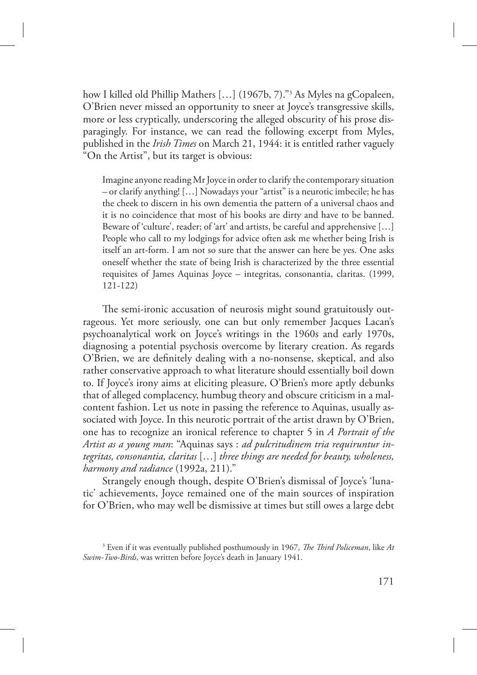how I killed old Phillip Mathers […] (1967b, 7)."<sup>3</sup> As Myles na gCopaleen, O'Brien never missed an opportunity to sneer at Joyce's transgressive skills, more or less cryptically, underscoring the alleged obscurity of his prose disparagingly. For instance, we can read the following excerpt from Myles, published in the *Irish Times* on March 21, 1944: it is entitled rather vaguely "On the Artist", but its target is obvious:

Imagine anyone reading Mr Joyce in order to clarify the contemporary situation – or clarify anything! […] Nowadays your "artist" is a neurotic imbecile; he has the cheek to discern in his own dementia the pattern of a universal chaos and it is no coincidence that most of his books are dirty and have to be banned. Beware of 'culture', reader; of 'art' and artists, be careful and apprehensive […] People who call to my lodgings for advice often ask me whether being Irish is itself an art-form. I am not so sure that the answer can here be yes. One asks oneself whether the state of being Irish is characterized by the three essential requisites of James Aquinas Joyce – integritas, consonantia, claritas. (1999, 121-122)

The semi-ironic accusation of neurosis might sound gratuitously outrageous. Yet more seriously, one can but only remember Jacques Lacan's psychoanalytical work on Joyce's writings in the 1960s and early 1970s, diagnosing a potential psychosis overcome by literary creation. As regards O'Brien, we are definitely dealing with a no-nonsense, skeptical, and also rather conservative approach to what literature should essentially boil down to. If Joyce's irony aims at eliciting pleasure, O'Brien's more aptly debunks that of alleged complacency, humbug theory and obscure criticism in a malcontent fashion. Let us note in passing the reference to Aquinas, usually associated with Joyce. In this neurotic portrait of the artist drawn by O'Brien, one has to recognize an ironical reference to chapter 5 in *A Portrait of the Artist as a young man*: "Aquinas says : *ad pulcritudinem tria requiruntur integritas, consonantia, claritas* […] *three things are needed for beauty, wholeness, harmony and radiance* (1992a, 211)."

Strangely enough though, despite O'Brien's dismissal of Joyce's 'lunatic' achievements, Joyce remained one of the main sources of inspiration for O'Brien, who may well be dismissive at times but still owes a large debt

<sup>&</sup>lt;sup>3</sup> Even if it was eventually published posthumously in 1967, *The Third Policeman*, like At *Swim-Two-Birds*, was written before Joyce's death in January 1941.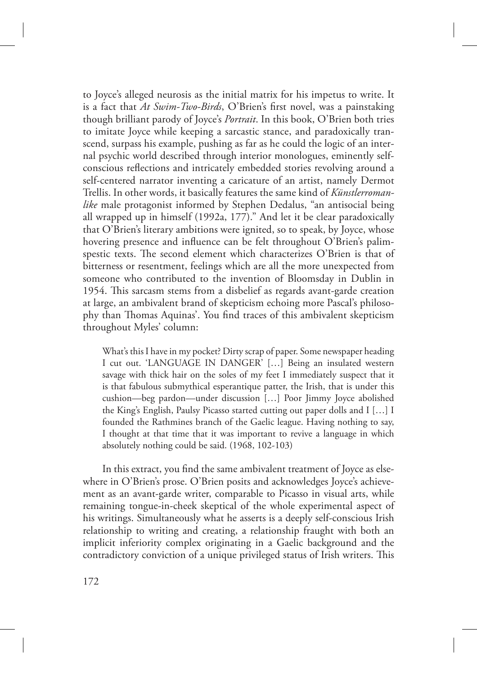to Joyce's alleged neurosis as the initial matrix for his impetus to write. It is a fact that *At Swim-Two-Birds*, O'Brien's first novel, was a painstaking though brilliant parody of Joyce's *Portrait*. In this book, O'Brien both tries to imitate Joyce while keeping a sarcastic stance, and paradoxically transcend, surpass his example, pushing as far as he could the logic of an internal psychic world described through interior monologues, eminently selfconscious reflections and intricately embedded stories revolving around a self-centered narrator inventing a caricature of an artist, namely Dermot Trellis. In other words, it basically features the same kind of *Künstlerromanlike* male protagonist informed by Stephen Dedalus, "an antisocial being all wrapped up in himself (1992a, 177)." And let it be clear paradoxically that O'Brien's literary ambitions were ignited, so to speak, by Joyce, whose hovering presence and influence can be felt throughout O'Brien's palimspestic texts. The second element which characterizes  $O'$ Brien is that of bitterness or resentment, feelings which are all the more unexpected from someone who contributed to the invention of Bloomsday in Dublin in 1954. This sarcasm stems from a disbelief as regards avant-garde creation at large, an ambivalent brand of skepticism echoing more Pascal's philosophy than Thomas Aquinas'. You find traces of this ambivalent skepticism throughout Myles' column:

What's this I have in my pocket? Dirty scrap of paper. Some newspaper heading I cut out. 'LANGUAGE IN DANGER' […] Being an insulated western savage with thick hair on the soles of my feet I immediately suspect that it is that fabulous submythical esperantique patter, the Irish, that is under this cushion—beg pardon—under discussion […] Poor Jimmy Joyce abolished the King's English, Paulsy Picasso started cutting out paper dolls and I […] I founded the Rathmines branch of the Gaelic league. Having nothing to say, I thought at that time that it was important to revive a language in which absolutely nothing could be said. (1968, 102-103)

In this extract, you find the same ambivalent treatment of Joyce as elsewhere in O'Brien's prose. O'Brien posits and acknowledges Joyce's achievement as an avant-garde writer, comparable to Picasso in visual arts, while remaining tongue-in-cheek skeptical of the whole experimental aspect of his writings. Simultaneously what he asserts is a deeply self-conscious Irish relationship to writing and creating, a relationship fraught with both an implicit inferiority complex originating in a Gaelic background and the contradictory conviction of a unique privileged status of Irish writers. This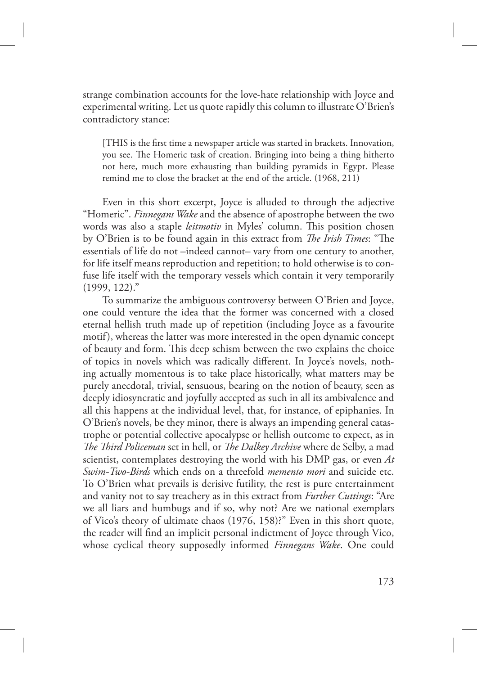strange combination accounts for the love-hate relationship with Joyce and experimental writing. Let us quote rapidly this column to illustrate O'Brien's contradictory stance:

[THIS is the first time a newspaper article was started in brackets. Innovation, you see. The Homeric task of creation. Bringing into being a thing hitherto not here, much more exhausting than building pyramids in Egypt. Please remind me to close the bracket at the end of the article. (1968, 211)

Even in this short excerpt, Joyce is alluded to through the adjective "Homeric". *Finnegans Wake* and the absence of apostrophe between the two words was also a staple *leitmotiv* in Myles' column. This position chosen by O'Brien is to be found again in this extract from *The Irish Times*: "The essentials of life do not –indeed cannot– vary from one century to another, for life itself means reproduction and repetition; to hold otherwise is to confuse life itself with the temporary vessels which contain it very temporarily (1999, 122)."

To summarize the ambiguous controversy between O'Brien and Joyce, one could venture the idea that the former was concerned with a closed eternal hellish truth made up of repetition (including Joyce as a favourite motif), whereas the latter was more interested in the open dynamic concept of beauty and form. This deep schism between the two explains the choice of topics in novels which was radically different. In Joyce's novels, nothing actually momentous is to take place historically, what matters may be purely anecdotal, trivial, sensuous, bearing on the notion of beauty, seen as deeply idiosyncratic and joyfully accepted as such in all its ambivalence and all this happens at the individual level, that, for instance, of epiphanies. In O'Brien's novels, be they minor, there is always an impending general catastrophe or potential collective apocalypse or hellish outcome to expect, as in *The Third Policeman* set in hell, or *The Dalkey Archive* where de Selby, a mad scientist, contemplates destroying the world with his DMP gas, or even *At Swim-Two-Birds* which ends on a threefold *memento mori* and suicide etc. To O'Brien what prevails is derisive futility, the rest is pure entertainment and vanity not to say treachery as in this extract from *Further Cuttings*: "Are we all liars and humbugs and if so, why not? Are we national exemplars of Vico's theory of ultimate chaos (1976, 158)?" Even in this short quote, the reader will find an implicit personal indictment of Joyce through Vico, whose cyclical theory supposedly informed *Finnegans Wake*. One could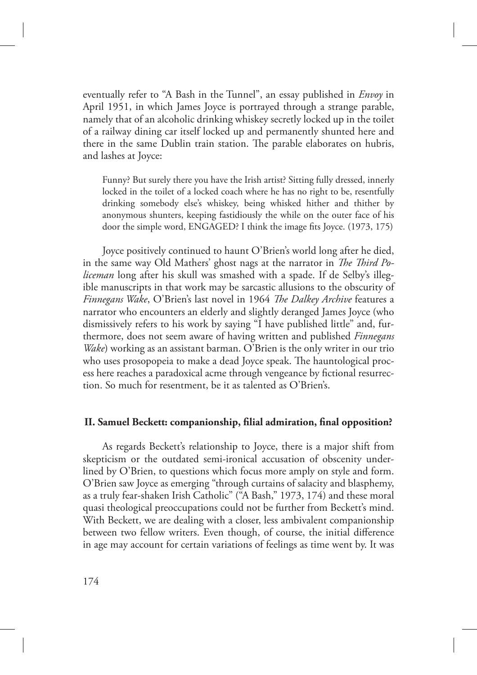eventually refer to "A Bash in the Tunnel", an essay published in *Envoy* in April 1951, in which James Joyce is portrayed through a strange parable, namely that of an alcoholic drinking whiskey secretly locked up in the toilet of a railway dining car itself locked up and permanently shunted here and there in the same Dublin train station. The parable elaborates on hubris, and lashes at Joyce:

Funny? But surely there you have the Irish artist? Sitting fully dressed, innerly locked in the toilet of a locked coach where he has no right to be, resentfully drinking somebody else's whiskey, being whisked hither and thither by anonymous shunters, keeping fastidiously the while on the outer face of his door the simple word, ENGAGED? I think the image fits Joyce. (1973, 175)

Joyce positively continued to haunt O'Brien's world long after he died, in the same way Old Mathers' ghost nags at the narrator in *The Third Policeman* long after his skull was smashed with a spade. If de Selby's illegible manuscripts in that work may be sarcastic allusions to the obscurity of *Finnegans Wake*, O'Brien's last novel in 1964 *The Dalkey Archive* features a narrator who encounters an elderly and slightly deranged James Joyce (who dismissively refers to his work by saying "I have published little" and, furthermore, does not seem aware of having written and published *Finnegans Wake*) working as an assistant barman. O'Brien is the only writer in our trio who uses prosopopeia to make a dead Joyce speak. The hauntological process here reaches a paradoxical acme through vengeance by fictional resurrection. So much for resentment, be it as talented as O'Brien's.

### **II. Samuel Beckett: companionship, filial admiration, final opposition?**

As regards Beckett's relationship to Joyce, there is a major shift from skepticism or the outdated semi-ironical accusation of obscenity underlined by O'Brien, to questions which focus more amply on style and form. O'Brien saw Joyce as emerging "through curtains of salacity and blasphemy, as a truly fear-shaken Irish Catholic" ("A Bash," 1973, 174) and these moral quasi theological preoccupations could not be further from Beckett's mind. With Beckett, we are dealing with a closer, less ambivalent companionship between two fellow writers. Even though, of course, the initial difference in age may account for certain variations of feelings as time went by. It was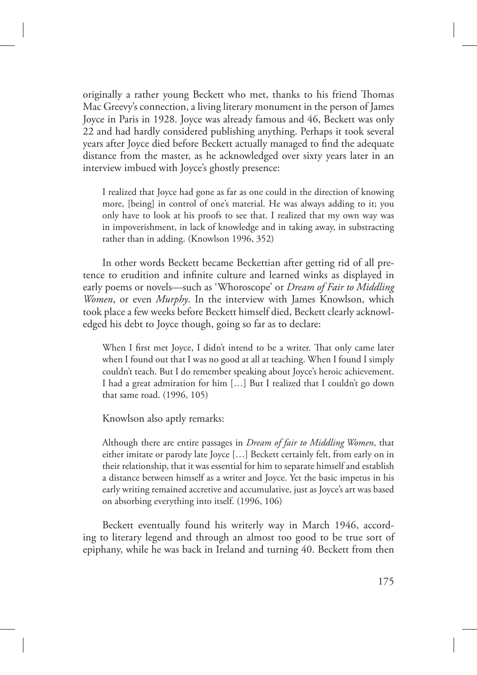originally a rather young Beckett who met, thanks to his friend Thomas Mac Greevy's connection, a living literary monument in the person of James Joyce in Paris in 1928. Joyce was already famous and 46, Beckett was only 22 and had hardly considered publishing anything. Perhaps it took several years after Joyce died before Beckett actually managed to find the adequate distance from the master, as he acknowledged over sixty years later in an interview imbued with Joyce's ghostly presence:

I realized that Joyce had gone as far as one could in the direction of knowing more, [being] in control of one's material. He was always adding to it; you only have to look at his proofs to see that. I realized that my own way was in impoverishment, in lack of knowledge and in taking away, in substracting rather than in adding. (Knowlson 1996, 352)

In other words Beckett became Beckettian after getting rid of all pretence to erudition and infinite culture and learned winks as displayed in early poems or novels—such as 'Whoroscope' or *Dream of Fair to Middling Women*, or even *Murphy*. In the interview with James Knowlson, which took place a few weeks before Beckett himself died, Beckett clearly acknowledged his debt to Joyce though, going so far as to declare:

When I first met Joyce, I didn't intend to be a writer. That only came later when I found out that I was no good at all at teaching. When I found I simply couldn't teach. But I do remember speaking about Joyce's heroic achievement. I had a great admiration for him […] But I realized that I couldn't go down that same road. (1996, 105)

Knowlson also aptly remarks:

Although there are entire passages in *Dream of fair to Middling Women*, that either imitate or parody late Joyce […] Beckett certainly felt, from early on in their relationship, that it was essential for him to separate himself and establish a distance between himself as a writer and Joyce. Yet the basic impetus in his early writing remained accretive and accumulative, just as Joyce's art was based on absorbing everything into itself. (1996, 106)

Beckett eventually found his writerly way in March 1946, according to literary legend and through an almost too good to be true sort of epiphany, while he was back in Ireland and turning 40. Beckett from then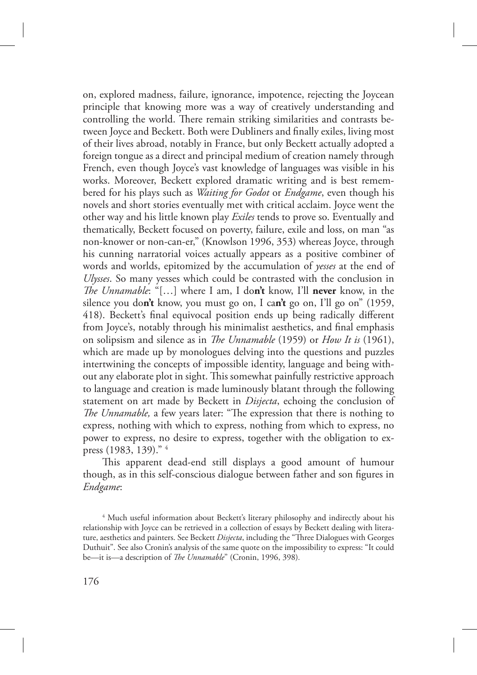on, explored madness, failure, ignorance, impotence, rejecting the Joycean principle that knowing more was a way of creatively understanding and controlling the world. There remain striking similarities and contrasts between Joyce and Beckett. Both were Dubliners and finally exiles, living most of their lives abroad, notably in France, but only Beckett actually adopted a foreign tongue as a direct and principal medium of creation namely through French, even though Joyce's vast knowledge of languages was visible in his works. Moreover, Beckett explored dramatic writing and is best remembered for his plays such as *Waiting for Godot* or *Endgame*, even though his novels and short stories eventually met with critical acclaim. Joyce went the other way and his little known play *Exiles* tends to prove so. Eventually and thematically, Beckett focused on poverty, failure, exile and loss, on man "as non-knower or non-can-er," (Knowlson 1996, 353) whereas Joyce, through his cunning narratorial voices actually appears as a positive combiner of words and worlds, epitomized by the accumulation of *yesses* at the end of *Ulysses*. So many yesses which could be contrasted with the conclusion in *The Unnamable*: "[...] where I am, I don't know, I'll never know, in the silence you do**n't** know, you must go on, I ca**n't** go on, I'll go on" (1959, 418). Beckett's final equivocal position ends up being radically different from Joyce's, notably through his minimalist aesthetics, and final emphasis on solipsism and silence as in *The Unnamable* (1959) or *How It is* (1961), which are made up by monologues delving into the questions and puzzles intertwining the concepts of impossible identity, language and being without any elaborate plot in sight. This somewhat painfully restrictive approach to language and creation is made luminously blatant through the following statement on art made by Beckett in *Disjecta*, echoing the conclusion of *The Unnamable*, a few years later: "The expression that there is nothing to express, nothing with which to express, nothing from which to express, no power to express, no desire to express, together with the obligation to express (1983, 139)." <sup>4</sup>

This apparent dead-end still displays a good amount of humour though, as in this self-conscious dialogue between father and son figures in *Endgame*:

<sup>&</sup>lt;sup>4</sup> Much useful information about Beckett's literary philosophy and indirectly about his relationship with Joyce can be retrieved in a collection of essays by Beckett dealing with literature, aesthetics and painters. See Beckett *Disjecta*, including the "Three Dialogues with Georges Duthuit". See also Cronin's analysis of the same quote on the impossibility to express: "It could be—it is—a description of *The Unnamable*" (Cronin, 1996, 398).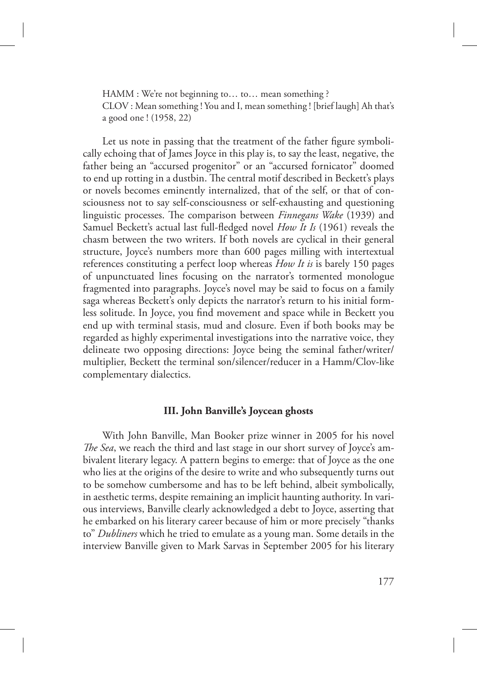HAMM : We're not beginning to… to… mean something ? CLOV : Mean something ! You and I, mean something ! [brief laugh] Ah that's a good one ! (1958, 22)

Let us note in passing that the treatment of the father figure symbolically echoing that of James Joyce in this play is, to say the least, negative, the father being an "accursed progenitor" or an "accursed fornicator" doomed to end up rotting in a dustbin. The central motif described in Beckett's plays or novels becomes eminently internalized, that of the self, or that of consciousness not to say self-consciousness or self-exhausting and questioning linguistic processes. The comparison between *Finnegans Wake* (1939) and Samuel Beckett's actual last full-fledged novel *How It Is* (1961) reveals the chasm between the two writers. If both novels are cyclical in their general structure, Joyce's numbers more than 600 pages milling with intertextual references constituting a perfect loop whereas *How It is* is barely 150 pages of unpunctuated lines focusing on the narrator's tormented monologue fragmented into paragraphs. Joyce's novel may be said to focus on a family saga whereas Beckett's only depicts the narrator's return to his initial formless solitude. In Joyce, you find movement and space while in Beckett you end up with terminal stasis, mud and closure. Even if both books may be regarded as highly experimental investigations into the narrative voice, they delineate two opposing directions: Joyce being the seminal father/writer/ multiplier, Beckett the terminal son/silencer/reducer in a Hamm/Clov-like complementary dialectics.

# **III. John Banville's Joycean ghosts**

With John Banville, Man Booker prize winner in 2005 for his novel *The Sea*, we reach the third and last stage in our short survey of Joyce's ambivalent literary legacy. A pattern begins to emerge: that of Joyce as the one who lies at the origins of the desire to write and who subsequently turns out to be somehow cumbersome and has to be left behind, albeit symbolically, in aesthetic terms, despite remaining an implicit haunting authority. In various interviews, Banville clearly acknowledged a debt to Joyce, asserting that he embarked on his literary career because of him or more precisely "thanks to" *Dubliners* which he tried to emulate as a young man. Some details in the interview Banville given to Mark Sarvas in September 2005 for his literary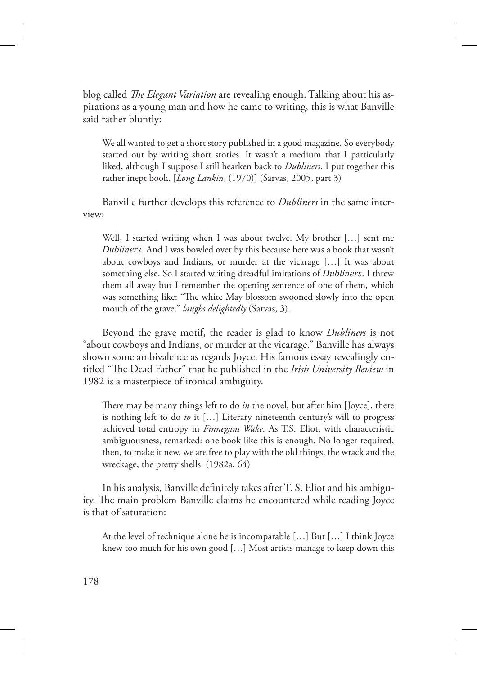blog called *The Elegant Variation* are revealing enough. Talking about his aspirations as a young man and how he came to writing, this is what Banville said rather bluntly:

We all wanted to get a short story published in a good magazine. So everybody started out by writing short stories. It wasn't a medium that I particularly liked, although I suppose I still hearken back to *Dubliners*. I put together this rather inept book. [*Long Lankin*, (1970)] (Sarvas, 2005, part 3)

Banville further develops this reference to *Dubliners* in the same interview:

Well, I started writing when I was about twelve. My brother […] sent me *Dubliners*. And I was bowled over by this because here was a book that wasn't about cowboys and Indians, or murder at the vicarage […] It was about something else. So I started writing dreadful imitations of *Dubliners*. I threw them all away but I remember the opening sentence of one of them, which was something like: "The white May blossom swooned slowly into the open mouth of the grave." *laughs delightedly* (Sarvas, 3).

Beyond the grave motif, the reader is glad to know *Dubliners* is not "about cowboys and Indians, or murder at the vicarage." Banville has always shown some ambivalence as regards Joyce. His famous essay revealingly entitled "The Dead Father" that he published in the *Irish University Review* in 1982 is a masterpiece of ironical ambiguity.

There may be many things left to do *in* the novel, but after him [Joyce], there is nothing left to do *to* it […] Literary nineteenth century's will to progress achieved total entropy in *Finnegans Wake*. As T.S. Eliot, with characteristic ambiguousness, remarked: one book like this is enough. No longer required, then, to make it new, we are free to play with the old things, the wrack and the wreckage, the pretty shells. (1982a, 64)

In his analysis, Banville definitely takes after T. S. Eliot and his ambiguity. The main problem Banville claims he encountered while reading Joyce is that of saturation:

At the level of technique alone he is incomparable […] But […] I think Joyce knew too much for his own good […] Most artists manage to keep down this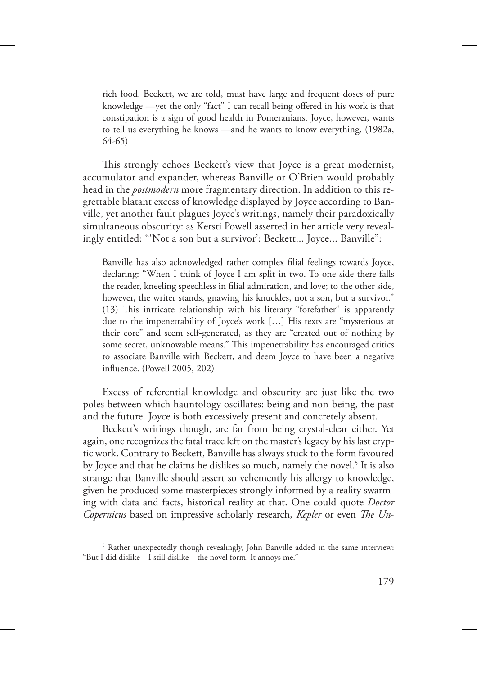rich food. Beckett, we are told, must have large and frequent doses of pure knowledge —yet the only "fact" I can recall being offered in his work is that constipation is a sign of good health in Pomeranians. Joyce, however, wants to tell us everything he knows —and he wants to know everything. (1982a, 64-65)

This strongly echoes Beckett's view that Joyce is a great modernist, accumulator and expander, whereas Banville or O'Brien would probably head in the *postmodern* more fragmentary direction. In addition to this regrettable blatant excess of knowledge displayed by Joyce according to Banville, yet another fault plagues Joyce's writings, namely their paradoxically simultaneous obscurity: as Kersti Powell asserted in her article very revealingly entitled: "'Not a son but a survivor': Beckett... Joyce... Banville":

Banville has also acknowledged rather complex filial feelings towards Joyce, declaring: "When I think of Joyce I am split in two. To one side there falls the reader, kneeling speechless in filial admiration, and love; to the other side, however, the writer stands, gnawing his knuckles, not a son, but a survivor." (13) This intricate relationship with his literary "forefather" is apparently due to the impenetrability of Joyce's work […] His texts are "mysterious at their core" and seem self-generated, as they are "created out of nothing by some secret, unknowable means." This impenetrability has encouraged critics to associate Banville with Beckett, and deem Joyce to have been a negative influence. (Powell 2005, 202)

Excess of referential knowledge and obscurity are just like the two poles between which hauntology oscillates: being and non-being, the past and the future. Joyce is both excessively present and concretely absent.

Beckett's writings though, are far from being crystal-clear either. Yet again, one recognizes the fatal trace left on the master's legacy by his last cryptic work. Contrary to Beckett, Banville has always stuck to the form favoured by Joyce and that he claims he dislikes so much, namely the novel.<sup>5</sup> It is also strange that Banville should assert so vehemently his allergy to knowledge, given he produced some masterpieces strongly informed by a reality swarming with data and facts, historical reality at that. One could quote *Doctor Copernicus* based on impressive scholarly research, *Kepler* or even *The Un-*

<sup>&</sup>lt;sup>5</sup> Rather unexpectedly though revealingly, John Banville added in the same interview: "But I did dislike—I still dislike—the novel form. It annoys me."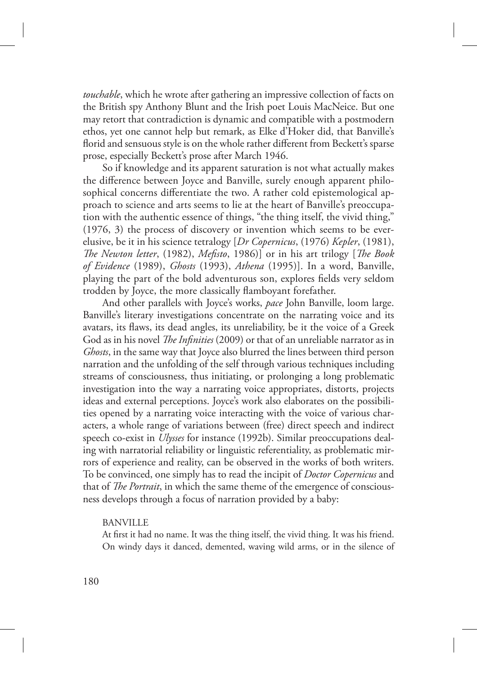*touchable*, which he wrote after gathering an impressive collection of facts on the British spy Anthony Blunt and the Irish poet Louis MacNeice. But one may retort that contradiction is dynamic and compatible with a postmodern ethos, yet one cannot help but remark, as Elke d'Hoker did, that Banville's florid and sensuous style is on the whole rather different from Beckett's sparse prose, especially Beckett's prose after March 1946.

So if knowledge and its apparent saturation is not what actually makes the difference between Joyce and Banville, surely enough apparent philosophical concerns differentiate the two. A rather cold epistemological approach to science and arts seems to lie at the heart of Banville's preoccupation with the authentic essence of things, "the thing itself, the vivid thing," (1976, 3) the process of discovery or invention which seems to be everelusive, be it in his science tetralogy [*Dr Copernicus*, (1976) *Kepler*, (1981), *The Newton letter*, (1982), *Mefisto*, 1986)] or in his art trilogy [*The Book of Evidence* (1989), *Ghosts* (1993), *Athena* (1995)]. In a word, Banville, playing the part of the bold adventurous son, explores fields very seldom trodden by Joyce, the more classically flamboyant forefather.

And other parallels with Joyce's works, *pace* John Banville, loom large. Banville's literary investigations concentrate on the narrating voice and its avatars, its flaws, its dead angles, its unreliability, be it the voice of a Greek God as in his novel *The Infinities* (2009) or that of an unreliable narrator as in *Ghosts*, in the same way that Joyce also blurred the lines between third person narration and the unfolding of the self through various techniques including streams of consciousness, thus initiating, or prolonging a long problematic investigation into the way a narrating voice appropriates, distorts, projects ideas and external perceptions. Joyce's work also elaborates on the possibilities opened by a narrating voice interacting with the voice of various characters, a whole range of variations between (free) direct speech and indirect speech co-exist in *Ulysses* for instance (1992b). Similar preoccupations dealing with narratorial reliability or linguistic referentiality, as problematic mirrors of experience and reality, can be observed in the works of both writers. To be convinced, one simply has to read the incipit of *Doctor Copernicus* and that of *The Portrait*, in which the same theme of the emergence of consciousness develops through a focus of narration provided by a baby:

# BANVILLE

At first it had no name. It was the thing itself, the vivid thing. It was his friend. On windy days it danced, demented, waving wild arms, or in the silence of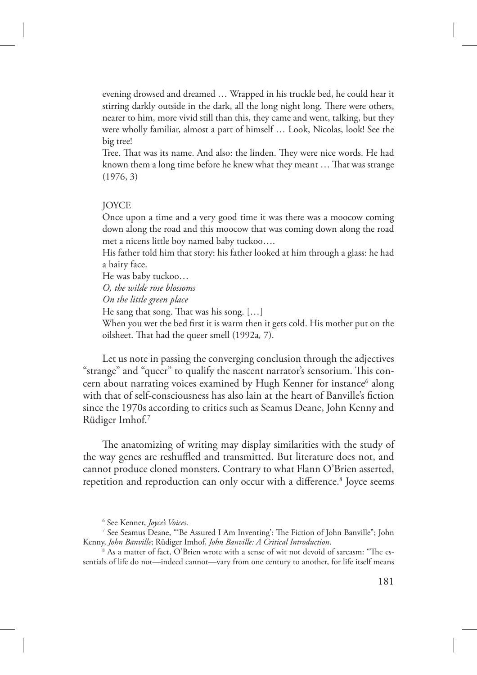evening drowsed and dreamed … Wrapped in his truckle bed, he could hear it stirring darkly outside in the dark, all the long night long. There were others, nearer to him, more vivid still than this, they came and went, talking, but they were wholly familiar, almost a part of himself … Look, Nicolas, look! See the big tree!

Tree. That was its name. And also: the linden. They were nice words. He had known them a long time before he knew what they meant ... That was strange (1976, 3)

### JOYCE

Once upon a time and a very good time it was there was a moocow coming down along the road and this moocow that was coming down along the road met a nicens little boy named baby tuckoo….

His father told him that story: his father looked at him through a glass: he had a hairy face.

He was baby tuckoo…

*O, the wilde rose blossoms*

*On the little green place*

He sang that song. That was his song.  $[...]$ 

When you wet the bed first it is warm then it gets cold. His mother put on the oilsheet. That had the queer smell (1992a, 7).

Let us note in passing the converging conclusion through the adjectives "strange" and "queer" to qualify the nascent narrator's sensorium. This concern about narrating voices examined by Hugh Kenner for instance<sup>6</sup> along with that of self-consciousness has also lain at the heart of Banville's fiction since the 1970s according to critics such as Seamus Deane, John Kenny and Rüdiger Imhof.<sup>7</sup>

The anatomizing of writing may display similarities with the study of the way genes are reshuffled and transmitted. But literature does not, and cannot produce cloned monsters. Contrary to what Flann O'Brien asserted, repetition and reproduction can only occur with a difference.<sup>8</sup> Joyce seems

<sup>6</sup> See Kenner, *Joyce's Voices*.

<sup>&</sup>lt;sup>7</sup> See Seamus Deane, "'Be Assured I Am Inventing': The Fiction of John Banville"; John Kenny, *John Banville*; Rüdiger Imhof, *John Banville: A Critical Introduction*.

 $^{\rm 8}$  As a matter of fact, O'Brien wrote with a sense of wit not devoid of sarcasm: "The essentials of life do not—indeed cannot—vary from one century to another, for life itself means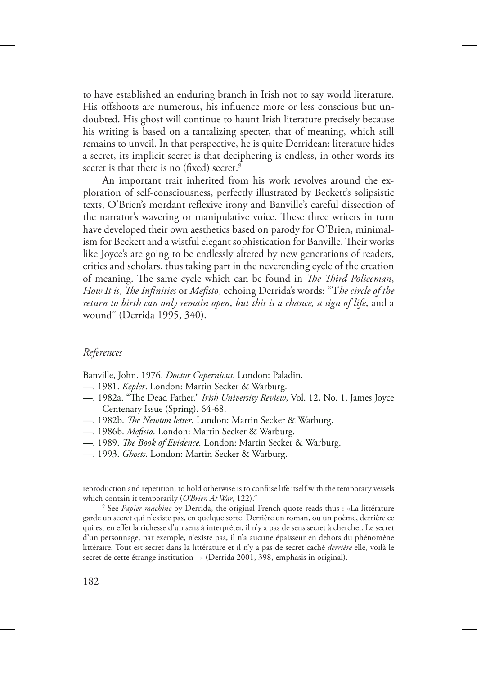to have established an enduring branch in Irish not to say world literature. His offshoots are numerous, his influence more or less conscious but undoubted. His ghost will continue to haunt Irish literature precisely because his writing is based on a tantalizing specter, that of meaning, which still remains to unveil. In that perspective, he is quite Derridean: literature hides a secret, its implicit secret is that deciphering is endless, in other words its secret is that there is no (fixed) secret.<sup>9</sup>

An important trait inherited from his work revolves around the exploration of self-consciousness, perfectly illustrated by Beckett's solipsistic texts, O'Brien's mordant reflexive irony and Banville's careful dissection of the narrator's wavering or manipulative voice. These three writers in turn have developed their own aesthetics based on parody for O'Brien, minimalism for Beckett and a wistful elegant sophistication for Banville. Their works like Joyce's are going to be endlessly altered by new generations of readers, critics and scholars, thus taking part in the neverending cycle of the creation of meaning. The same cycle which can be found in *The Third Policeman*, *How It is, The Infinities* or *Mefisto*, echoing Derrida's words: "The circle of the *return to birth can only remain open*, *but this is a chance, a sign of life*, and a wound" (Derrida 1995, 340).

# *References*

Banville, John. 1976. *Doctor Copernicus*. London: Paladin.

- *—*. 1981. *Kepler*. London: Martin Secker & Warburg.
- —. 1982a. "The Dead Father." *Irish University Review*, Vol. 12, No. 1, James Joyce Centenary Issue (Spring). 64-68.
- $-$ . 1982b. *The Newton letter*. London: Martin Secker & Warburg.
- *—*. 1986b. *Mefisto*. London: Martin Secker & Warburg.
- *—*. 1989. *e Book of Evidence.* London: Martin Secker & Warburg.
- *—*. 1993. *Ghosts*. London: Martin Secker & Warburg.

reproduction and repetition; to hold otherwise is to confuse life itself with the temporary vessels which contain it temporarily (*O'Brien At War*, 122)."

9 See *Papier machine* by Derrida, the original French quote reads thus : «La littérature garde un secret qui n'existe pas, en quelque sorte. Derrière un roman, ou un poème, derrière ce qui est en effet la richesse d'un sens à interpréter, il n'y a pas de sens secret à chercher. Le secret d'un personnage, par exemple, n'existe pas, il n'a aucune épaisseur en dehors du phénomène littéraire. Tout est secret dans la littérature et il n'y a pas de secret caché *derrière* elle, voilà le secret de cette étrange institution » (Derrida 2001, 398, emphasis in original).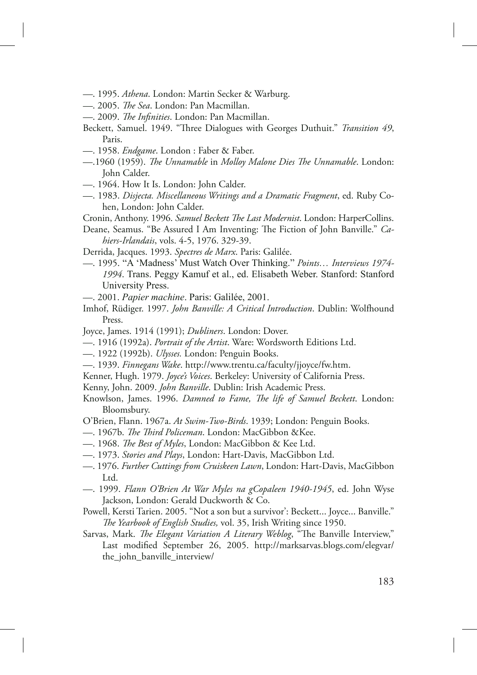- *—*. 1995. *Athena*. London: Martin Secker & Warburg.
- *—.* 2005. *The Sea*. London: Pan Macmillan.
- $-$ . 2009. *The Infinities*. London: Pan Macmillan.
- Beckett, Samuel. 1949. "Three Dialogues with Georges Duthuit." *Transition 49*, Paris.
- —. 1958. *Endgame*. London : Faber & Faber.
- —.1960 (1959). *The Unnamable* in *Molloy Malone Dies The Unnamable*. London: John Calder.
- —. 1964. How It Is. London: John Calder.
- —. 1983. *Disjecta. Miscellaneous Writings and a Dramatic Fragment*, ed. Ruby Cohen, London: John Calder.
- Cronin, Anthony. 1996. *Samuel Beckett The Last Modernist*. London: HarperCollins.
- Deane, Seamus. "Be Assured I Am Inventing: The Fiction of John Banville." *Cahiers-Irlandais*, vols. 4-5, 1976. 329-39.
- Derrida, Jacques. 1993. *Spectres de Marx*. Paris: Galilée.
- *—*. 1995. "A 'Madness' Must Watch Over Thinking." *Points… Interviews 1974- 1994*. Trans. Peggy Kamuf et al., ed. Elisabeth Weber. Stanford: Stanford University Press.
- —. 2001. *Papier machine*. Paris: Galilée, 2001.
- Imhof, Rüdiger. 1997. *John Banville: A Critical Introduction*. Dublin: Wolfhound Press.
- Joyce, James. 1914 (1991); *Dubliners*. London: Dover.
- —. 1916 (1992a). *Portrait of the Artist*. Ware: Wordsworth Editions Ltd.
- —. 1922 (1992b). *Ulysses.* London: Penguin Books.
- —. 1939. *Finnegans Wake*. http://www.trentu.ca/faculty/jjoyce/fw.htm.
- Kenner, Hugh. 1979. *Joyce's Voices*. Berkeley: University of California Press.
- Kenny, John. 2009. *John Banville*. Dublin: Irish Academic Press.
- Knowlson, James. 1996. *Damned to Fame, The life of Samuel Beckett*. London: Bloomsbury.
- O'Brien, Flann. 1967a. *At Swim-Two-Birds*. 1939; London: Penguin Books.
- —. 1967b. *The Third Policeman*. London: MacGibbon &Kee.
- 1968. *The Best of Myles*, London: MacGibbon & Kee Ltd.
- —. 1973. *Stories and Plays*, London: Hart-Davis, MacGibbon Ltd.
- —. 1976. *Further Cuttings from Cruiskeen Lawn*, London: Hart-Davis, MacGibbon Ltd.
- —. 1999. *Flann O'Brien At War Myles na gCopaleen 1940-1945*, ed. John Wyse Jackson, London: Gerald Duckworth & Co.
- Powell, Kersti Tarien. 2005. "Not a son but a survivor': Beckett... Joyce... Banville." *The Yearbook of English Studies, vol.* 35, Irish Writing since 1950.
- Sarvas, Mark. *The Elegant Variation A Literary Weblog*, "The Banville Interview," Last modified September 26, 2005. http://marksarvas.blogs.com/elegvar/ the\_john\_banville\_interview/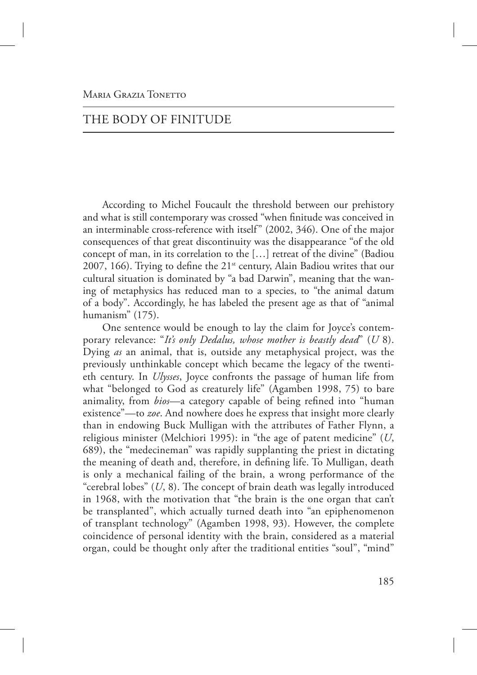# THE BODY OF FINITUDE

According to Michel Foucault the threshold between our prehistory and what is still contemporary was crossed "when finitude was conceived in an interminable cross-reference with itself" (2002, 346). One of the major consequences of that great discontinuity was the disappearance "of the old concept of man, in its correlation to the […] retreat of the divine" (Badiou 2007, 166). Trying to define the  $21^{st}$  century, Alain Badiou writes that our cultural situation is dominated by "a bad Darwin", meaning that the waning of metaphysics has reduced man to a species, to "the animal datum of a body". Accordingly, he has labeled the present age as that of "animal humanism" (175).

One sentence would be enough to lay the claim for Joyce's contemporary relevance: "*It's only Dedalus, whose mother is beastly dead*" (*U* 8). Dying *as* an animal, that is, outside any metaphysical project, was the previously unthinkable concept which became the legacy of the twentieth century. In *Ulysses*, Joyce confronts the passage of human life from what "belonged to God as creaturely life" (Agamben 1998, 75) to bare animality, from *bios*—a category capable of being refined into "human existence"—to *zoe*. And nowhere does he express that insight more clearly than in endowing Buck Mulligan with the attributes of Father Flynn, a religious minister (Melchiori 1995): in "the age of patent medicine" (*U*, 689), the "medecineman" was rapidly supplanting the priest in dictating the meaning of death and, therefore, in defining life. To Mulligan, death is only a mechanical failing of the brain, a wrong performance of the "cerebral lobes"  $(U, 8)$ . The concept of brain death was legally introduced in 1968, with the motivation that "the brain is the one organ that can't be transplanted", which actually turned death into "an epiphenomenon of transplant technology" (Agamben 1998, 93). However, the complete coincidence of personal identity with the brain, considered as a material organ, could be thought only after the traditional entities "soul", "mind"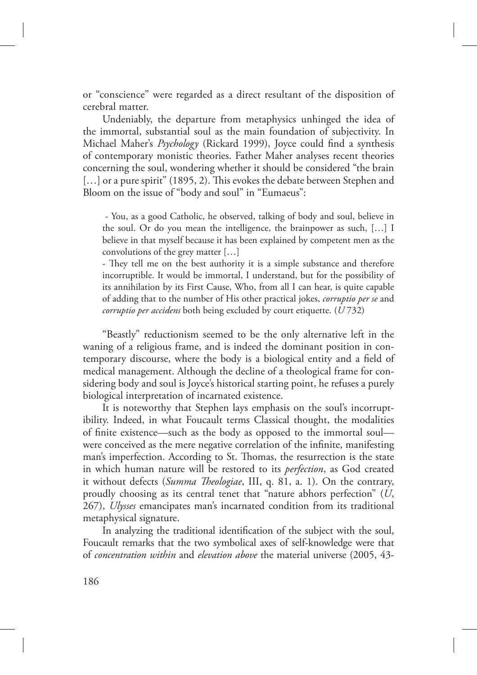or "conscience" were regarded as a direct resultant of the disposition of cerebral matter.

Undeniably, the departure from metaphysics unhinged the idea of the immortal, substantial soul as the main foundation of subjectivity. In Michael Maher's *Psychology* (Rickard 1999), Joyce could find a synthesis of contemporary monistic theories. Father Maher analyses recent theories concerning the soul, wondering whether it should be considered "the brain  $[...]$  or a pure spirit" (1895, 2). This evokes the debate between Stephen and Bloom on the issue of "body and soul" in "Eumaeus":

 - You, as a good Catholic, he observed, talking of body and soul, believe in the soul. Or do you mean the intelligence, the brainpower as such, […] I believe in that myself because it has been explained by competent men as the convolutions of the grey matter […]

- They tell me on the best authority it is a simple substance and therefore incorruptible. It would be immortal, I understand, but for the possibility of its annihilation by its First Cause, Who, from all I can hear, is quite capable of adding that to the number of His other practical jokes, *corruptio per se* and *corruptio per accidens* both being excluded by court etiquette. (*U* 732)

"Beastly" reductionism seemed to be the only alternative left in the waning of a religious frame, and is indeed the dominant position in contemporary discourse, where the body is a biological entity and a field of medical management. Although the decline of a theological frame for considering body and soul is Joyce's historical starting point, he refuses a purely biological interpretation of incarnated existence.

It is noteworthy that Stephen lays emphasis on the soul's incorruptibility. Indeed, in what Foucault terms Classical thought, the modalities of finite existence—such as the body as opposed to the immortal soul were conceived as the mere negative correlation of the infinite, manifesting man's imperfection. According to St. Thomas, the resurrection is the state in which human nature will be restored to its *perfection*, as God created it without defects (*Summa Theologiae*, III, q. 81, a. 1). On the contrary, proudly choosing as its central tenet that "nature abhors perfection" (*U*, 267), *Ulysses* emancipates man's incarnated condition from its traditional metaphysical signature.

In analyzing the traditional identification of the subject with the soul, Foucault remarks that the two symbolical axes of self-knowledge were that of *concentration within* and *elevation above* the material universe (2005, 43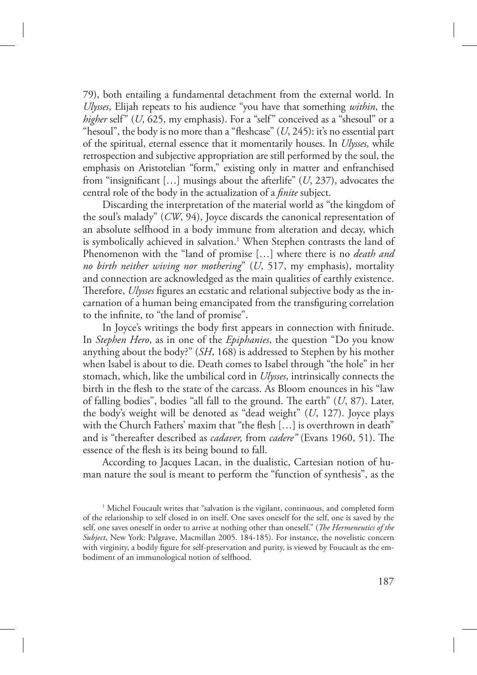79), both entailing a fundamental detachment from the external world. In *Ulysses*, Elijah repeats to his audience "you have that something *within*, the *higher* self" (*U*, 625, my emphasis). For a "self" conceived as a "shesoul" or a "hesoul", the body is no more than a "fleshcase" (*U*, 245): it's no essential part of the spiritual, eternal essence that it momentarily houses. In *Ulysses*, while retrospection and subjective appropriation are still performed by the soul, the emphasis on Aristotelian "form," existing only in matter and enfranchised from "insignificant […] musings about the afterlife" (*U*, 237), advocates the central role of the body in the actualization of a *finite* subject.

Discarding the interpretation of the material world as "the kingdom of the soul's malady" (*CW*, 94), Joyce discards the canonical representation of an absolute selfhood in a body immune from alteration and decay, which is symbolically achieved in salvation.<sup>1</sup> When Stephen contrasts the land of Phenomenon with the "land of promise […] where there is no *death and no birth neither wiving nor mothering*" (*U*, 517, my emphasis), mortality and connection are acknowledged as the main qualities of earthly existence. Therefore, *Ulysses* figures an ecstatic and relational subjective body as the incarnation of a human being emancipated from the transfiguring correlation to the infinite, to "the land of promise".

In Joyce's writings the body first appears in connection with finitude. In *Stephen Hero*, as in one of the *Epiphanies*, the question "Do you know anything about the body?" (*SH*, 168) is addressed to Stephen by his mother when Isabel is about to die. Death comes to Isabel through "the hole" in her stomach, which, like the umbilical cord in *Ulysses*, intrinsically connects the birth in the flesh to the state of the carcass. As Bloom enounces in his "law of falling bodies", bodies "all fall to the ground. The earth"  $(U, 87)$ . Later, the body's weight will be denoted as "dead weight" (*U*, 127). Joyce plays with the Church Fathers' maxim that "the flesh [...] is overthrown in death" and is "thereafter described as *cadaver*, from *cadere*" (Evans 1960, 51). The essence of the flesh is its being bound to fall.

According to Jacques Lacan, in the dualistic, Cartesian notion of human nature the soul is meant to perform the "function of synthesis", as the

<sup>&</sup>lt;sup>1</sup> Michel Foucault writes that "salvation is the vigilant, continuous, and completed form of the relationship to self closed in on itself. One saves oneself for the self, one is saved by the self, one saves oneself in order to arrive at nothing other than oneself." (*The Hermeneutics of the Subject*, New York: Palgrave, Macmillan 2005. 184-185). For instance, the novelistic concern with virginity, a bodily figure for self-preservation and purity, is viewed by Foucault as the embodiment of an immunological notion of selfhood.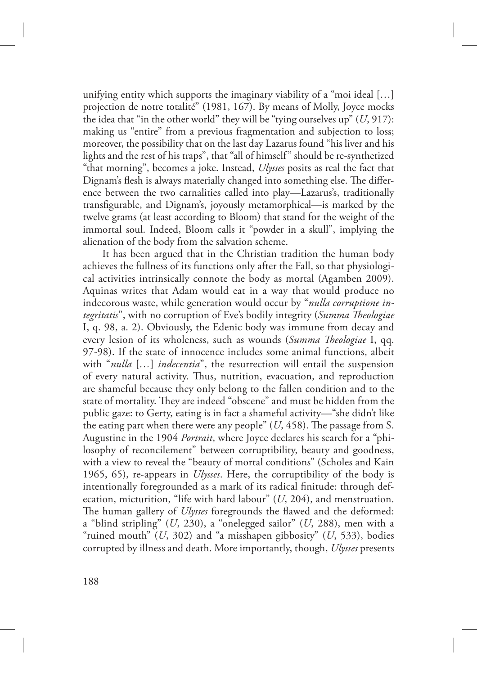unifying entity which supports the imaginary viability of a "moi ideal […] projection de notre totalité" (1981, 167). By means of Molly, Joyce mocks the idea that "in the other world" they will be "tying ourselves up" (*U*, 917): making us "entire" from a previous fragmentation and subjection to loss; moreover, the possibility that on the last day Lazarus found "his liver and his lights and the rest of his traps", that "all of himself" should be re-synthetized "that morning", becomes a joke. Instead, *Ulysses* posits as real the fact that Dignam's flesh is always materially changed into something else. The difference between the two carnalities called into play—Lazarus's, traditionally transfigurable, and Dignam's, joyously metamorphical—is marked by the twelve grams (at least according to Bloom) that stand for the weight of the immortal soul. Indeed, Bloom calls it "powder in a skull", implying the alienation of the body from the salvation scheme.

It has been argued that in the Christian tradition the human body achieves the fullness of its functions only after the Fall, so that physiological activities intrinsically connote the body as mortal (Agamben 2009). Aquinas writes that Adam would eat in a way that would produce no indecorous waste, while generation would occur by "*nulla corruptione integritatis*", with no corruption of Eve's bodily integrity (*Summa Theologiae* I, q. 98, a. 2). Obviously, the Edenic body was immune from decay and every lesion of its wholeness, such as wounds (*Summa Theologiae* I, qq. 97-98). If the state of innocence includes some animal functions, albeit with "*nulla* [*…*] *indecentia*", the resurrection will entail the suspension of every natural activity. Thus, nutrition, evacuation, and reproduction are shameful because they only belong to the fallen condition and to the state of mortality. They are indeed "obscene" and must be hidden from the public gaze: to Gerty, eating is in fact a shameful activity—"she didn't like the eating part when there were any people"  $(U, 458)$ . The passage from S. Augustine in the 1904 *Portrait*, where Joyce declares his search for a "philosophy of reconcilement" between corruptibility, beauty and goodness, with a view to reveal the "beauty of mortal conditions" (Scholes and Kain 1965, 65), re-appears in *Ulysses*. Here, the corruptibility of the body is intentionally foregrounded as a mark of its radical finitude: through defecation, micturition, "life with hard labour" (*U*, 204), and menstruation. The human gallery of *Ulysses* foregrounds the flawed and the deformed: a "blind stripling" (*U*, 230), a "onelegged sailor" (*U*, 288), men with a "ruined mouth" (*U*, 302) and "a misshapen gibbosity" (*U*, 533), bodies corrupted by illness and death. More importantly, though, *Ulysses* presents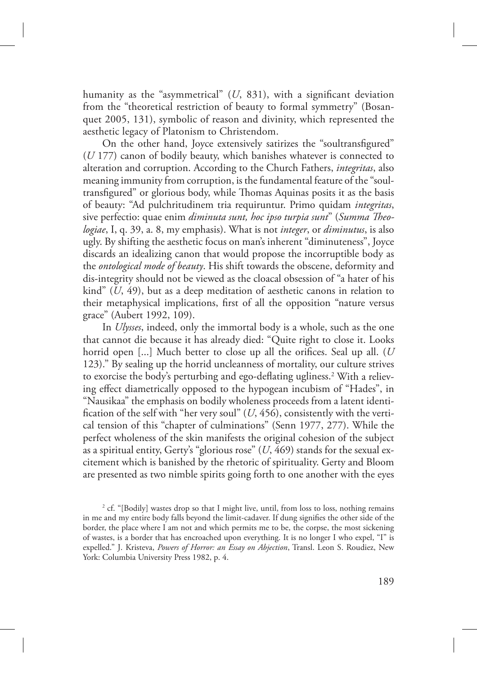humanity as the "asymmetrical" (*U*, 831), with a significant deviation from the "theoretical restriction of beauty to formal symmetry" (Bosanquet 2005, 131), symbolic of reason and divinity, which represented the aesthetic legacy of Platonism to Christendom.

On the other hand, Joyce extensively satirizes the "soultransfigured" (*U* 177) canon of bodily beauty, which banishes whatever is connected to alteration and corruption. According to the Church Fathers, *integritas*, also meaning immunity from corruption, is the fundamental feature of the "soultransfigured" or glorious body, while Thomas Aquinas posits it as the basis of beauty: "Ad pulchritudinem tria requiruntur. Primo quidam *integritas*, sive perfectio: quae enim *diminuta sunt, hoc ipso turpia sunt*" (Summa Theo*logiae*, I, q. 39, a. 8, my emphasis). What is not *integer*, or *diminutus*, is also ugly. By shifting the aesthetic focus on man's inherent "diminuteness", Joyce discards an idealizing canon that would propose the incorruptible body as the *ontological mode of beauty*. His shift towards the obscene, deformity and dis-integrity should not be viewed as the cloacal obsession of "a hater of his kind" (*U*, 49), but as a deep meditation of aesthetic canons in relation to their metaphysical implications, first of all the opposition "nature versus grace" (Aubert 1992, 109).

In *Ulysses*, indeed, only the immortal body is a whole, such as the one that cannot die because it has already died: "Quite right to close it. Looks horrid open [...] Much better to close up all the orifices. Seal up all. (*U* 123)." By sealing up the horrid uncleanness of mortality, our culture strives to exorcise the body's perturbing and ego-deflating ugliness.<sup>2</sup> With a relieving effect diametrically opposed to the hypogean incubism of "Hades", in "Nausikaa" the emphasis on bodily wholeness proceeds from a latent identification of the self with "her very soul" (*U*, 456), consistently with the vertical tension of this "chapter of culminations" (Senn 1977, 277). While the perfect wholeness of the skin manifests the original cohesion of the subject as a spiritual entity, Gerty's "glorious rose" (*U*, 469) stands for the sexual excitement which is banished by the rhetoric of spirituality. Gerty and Bloom are presented as two nimble spirits going forth to one another with the eyes

<sup>&</sup>lt;sup>2</sup> cf. "[Bodily] wastes drop so that I might live, until, from loss to loss, nothing remains in me and my entire body falls beyond the limit-cadaver. If dung signifies the other side of the border, the place where I am not and which permits me to be, the corpse, the most sickening of wastes, is a border that has encroached upon everything. It is no longer I who expel, "I" is expelled." J. Kristeva, *Powers of Horror: an Essay on Abjection*, Transl. Leon S. Roudiez, New York: Columbia University Press 1982, p. 4.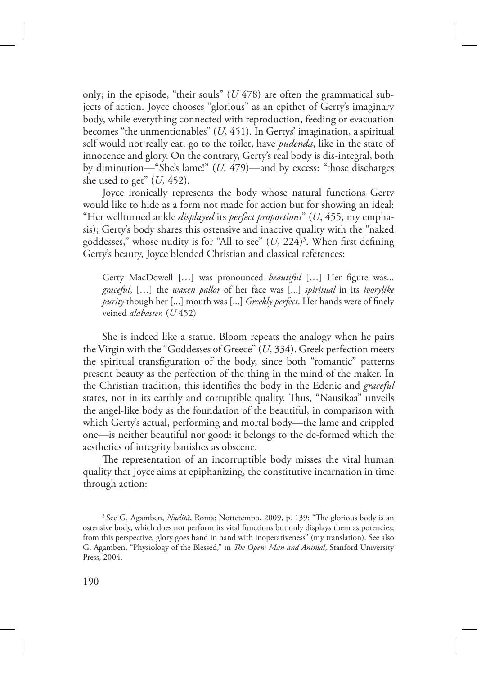only; in the episode, "their souls" (*U* 478) are often the grammatical subjects of action. Joyce chooses "glorious" as an epithet of Gerty's imaginary body, while everything connected with reproduction, feeding or evacuation becomes "the unmentionables" (*U*, 451). In Gertys' imagination, a spiritual self would not really eat, go to the toilet, have *pudenda*, like in the state of innocence and glory. On the contrary, Gerty's real body is dis-integral, both by diminution—"She's lame!" (*U*, 479)—and by excess: "those discharges she used to get" (*U*, 452).

Joyce ironically represents the body whose natural functions Gerty would like to hide as a form not made for action but for showing an ideal: "Her wellturned ankle *displayed* its *perfect proportions*" (*U*, 455, my emphasis); Gerty's body shares this ostensive and inactive quality with the "naked goddesses," whose nudity is for "All to see" (*U*, 224)<sup>3</sup> . When first defining Gerty's beauty, Joyce blended Christian and classical references:

Gerty MacDowell […] was pronounced *beautiful* […] Her figure was... *graceful*, […] the *waxen pallor* of her face was [...] *spiritual* in its *ivorylike purity* though her [...] mouth was [...] *Greekly perfect*. Her hands were of finely veined *alabaster.* (*U* 452)

She is indeed like a statue. Bloom repeats the analogy when he pairs the Virgin with the "Goddesses of Greece" (*U*, 334). Greek perfection meets the spiritual transfiguration of the body, since both "romantic" patterns present beauty as the perfection of the thing in the mind of the maker. In the Christian tradition, this identifies the body in the Edenic and *graceful* states, not in its earthly and corruptible quality. Thus, "Nausikaa" unveils the angel-like body as the foundation of the beautiful, in comparison with which Gerty's actual, performing and mortal body—the lame and crippled one—is neither beautiful nor good: it belongs to the de-formed which the aesthetics of integrity banishes as obscene.

The representation of an incorruptible body misses the vital human quality that Joyce aims at epiphanizing, the constitutive incarnation in time through action:

<sup>&</sup>lt;sup>3</sup> See G. Agamben, *Nudità*, Roma: Nottetempo, 2009, p. 139: "The glorious body is an ostensive body, which does not perform its vital functions but only displays them as potencies; from this perspective, glory goes hand in hand with inoperativeness" (my translation). See also G. Agamben, "Physiology of the Blessed," in *The Open: Man and Animal*, Stanford University Press, 2004.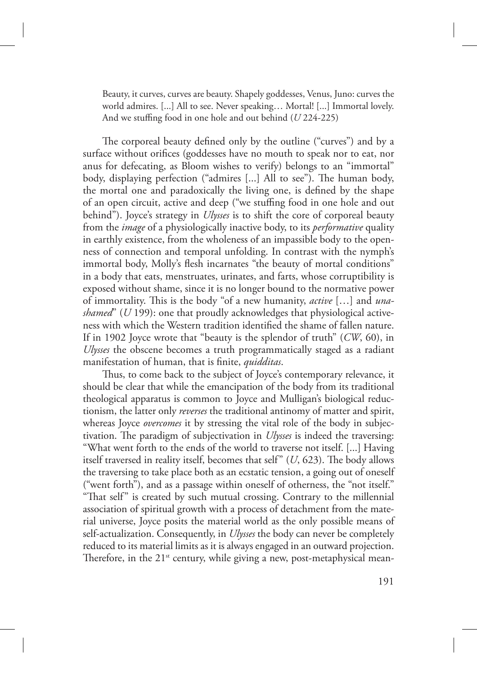Beauty, it curves, curves are beauty. Shapely goddesses, Venus, Juno: curves the world admires. [...] All to see. Never speaking… Mortal! [...] Immortal lovely. And we stuffing food in one hole and out behind (*U* 224-225)

The corporeal beauty defined only by the outline ("curves") and by a surface without orifices (goddesses have no mouth to speak nor to eat, nor anus for defecating, as Bloom wishes to verify) belongs to an "immortal" body, displaying perfection ("admires [...] All to see"). The human body, the mortal one and paradoxically the living one, is defined by the shape of an open circuit, active and deep ("we stuffing food in one hole and out behind"). Joyce's strategy in *Ulysses* is to shift the core of corporeal beauty from the *image* of a physiologically inactive body, to its *performative* quality in earthly existence, from the wholeness of an impassible body to the openness of connection and temporal unfolding. In contrast with the nymph's immortal body, Molly's flesh incarnates "the beauty of mortal conditions" in a body that eats, menstruates, urinates, and farts, whose corruptibility is exposed without shame, since it is no longer bound to the normative power of immortality. #is is the body "of a new humanity, *active* […] and *unashamed*" (*U* 199): one that proudly acknowledges that physiological activeness with which the Western tradition identified the shame of fallen nature. If in 1902 Joyce wrote that "beauty is the splendor of truth" (*CW*, 60), in *Ulysses* the obscene becomes a truth programmatically staged as a radiant manifestation of human, that is finite, *quidditas*.

Thus, to come back to the subject of Joyce's contemporary relevance, it should be clear that while the emancipation of the body from its traditional theological apparatus is common to Joyce and Mulligan's biological reductionism, the latter only *reverses* the traditional antinomy of matter and spirit, whereas Joyce *overcomes* it by stressing the vital role of the body in subjectivation. The paradigm of subjectivation in *Ulysses* is indeed the traversing: "What went forth to the ends of the world to traverse not itself. [...] Having itself traversed in reality itself, becomes that self"  $(U, 623)$ . The body allows the traversing to take place both as an ecstatic tension, a going out of oneself ("went forth"), and as a passage within oneself of otherness, the "not itself." "That self" is created by such mutual crossing. Contrary to the millennial association of spiritual growth with a process of detachment from the material universe, Joyce posits the material world as the only possible means of self-actualization. Consequently, in *Ulysses* the body can never be completely reduced to its material limits as it is always engaged in an outward projection. Therefore, in the  $21^{st}$  century, while giving a new, post-metaphysical mean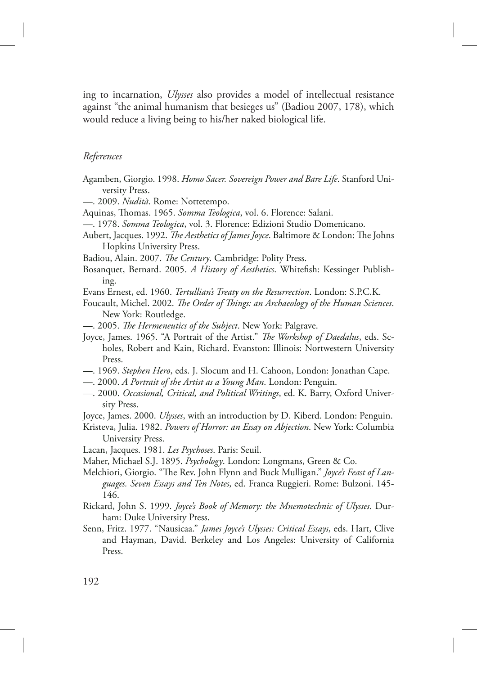ing to incarnation, *Ulysses* also provides a model of intellectual resistance against "the animal humanism that besieges us" (Badiou 2007, 178), which would reduce a living being to his/her naked biological life.

# *References*

- Agamben, Giorgio. 1998. *Homo Sacer. Sovereign Power and Bare Life*. Stanford University Press.
- —. 2009. *Nudità*. Rome: Nottetempo.
- Aquinas, Thomas. 1965. *Somma Teologica*, vol. 6. Florence: Salani.
- —. 1978. *Somma Teologica*, vol. 3. Florence: Edizioni Studio Domenicano.
- Aubert, Jacques. 1992. *The Aesthetics of James Joyce*. Baltimore & London: The Johns Hopkins University Press.
- Badiou, Alain. 2007. *The Century*. Cambridge: Polity Press.
- Bosanquet, Bernard. 2005. *A History of Aesthetics*. Whitefish: Kessinger Publishing.
- Evans Ernest, ed. 1960. *Tertullian's Treaty on the Resurrection*. London: S.P.C.K.
- Foucault, Michel. 2002. *The Order of Things: an Archaeology of the Human Sciences*. New York: Routledge.
- —. 2005. *The Hermeneutics of the Subject*. New York: Palgrave.
- Joyce, James. 1965. "A Portrait of the Artist." *The Workshop of Daedalus*, eds. Scholes, Robert and Kain, Richard. Evanston: Illinois: Nortwestern University Press.
- —. 1969. *Stephen Hero*, eds. J. Slocum and H. Cahoon, London: Jonathan Cape.
- —. 2000. *A Portrait of the Artist as a Young Man*. London: Penguin.
- —. 2000. *Occasional, Critical, and Political Writings*, ed. K. Barry, Oxford University Press.
- Joyce, James. 2000. *Ulysses*, with an introduction by D. Kiberd. London: Penguin.
- Kristeva, Julia. 1982. *Powers of Horror: an Essay on Abjection*. New York: Columbia University Press.
- Lacan, Jacques. 1981. *Les Psychoses*. Paris: Seuil.
- Maher, Michael S.J. 1895. *Psychology*. London: Longmans, Green & Co.
- Melchiori, Giorgio. "The Rev. John Flynn and Buck Mulligan." *Joyce's Feast of Languages. Seven Essays and Ten Notes*, ed. Franca Ruggieri. Rome: Bulzoni. 145- 146.
- Rickard, John S. 1999. *Joyce's Book of Memory: the Mnemotechnic of Ulysses*. Durham: Duke University Press.
- Senn, Fritz. 1977. "Nausicaa." *James Joyce's Ulysses: Critical Essays*, eds. Hart, Clive and Hayman, David. Berkeley and Los Angeles: University of California Press.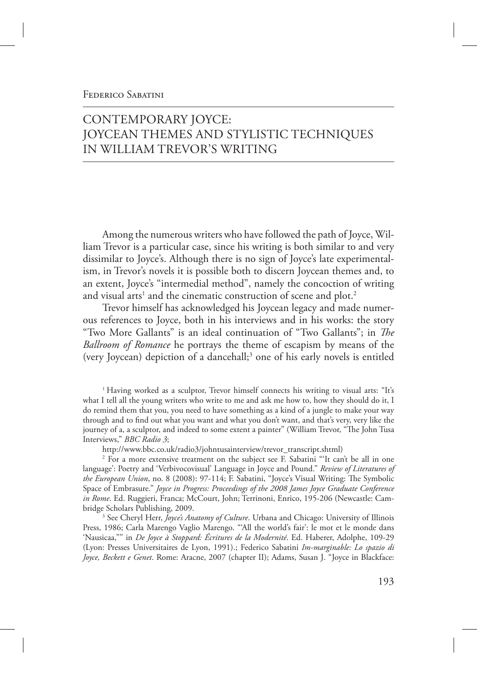# FEDERICO SABATINI

# CONTEMPORARY JOYCE: JOYCEAN THEMES AND STYLISTIC TECHNIQUES IN WILLIAM TREVOR'S WRITING

Among the numerous writers who have followed the path of Joyce, William Trevor is a particular case, since his writing is both similar to and very dissimilar to Joyce's. Although there is no sign of Joyce's late experimentalism, in Trevor's novels it is possible both to discern Joycean themes and, to an extent, Joyce's "intermedial method", namely the concoction of writing and visual arts<sup>1</sup> and the cinematic construction of scene and plot.<sup>2</sup>

Trevor himself has acknowledged his Joycean legacy and made numerous references to Joyce, both in his interviews and in his works: the story "Two More Gallants" is an ideal continuation of "Two Gallants"; in The *Ballroom of Romance* he portrays the theme of escapism by means of the (very Joycean) depiction of a dancehall;<sup>3</sup> one of his early novels is entitled

<sup>1</sup> Having worked as a sculptor, Trevor himself connects his writing to visual arts: "It's what I tell all the young writers who write to me and ask me how to, how they should do it, I do remind them that you, you need to have something as a kind of a jungle to make your way through and to find out what you want and what you don't want, and that's very, very like the journey of a, a sculptor, and indeed to some extent a painter" (William Trevor, "The John Tusa Interviews," *BBC Radio 3*;

http://www.bbc.co.uk/radio3/johntusainterview/trevor\_transcript.shtml)

<sup>2</sup> For a more extensive treatment on the subject see F. Sabatini "It can't be all in one language': Poetry and 'Verbivocovisual' Language in Joyce and Pound." *Review of Literatures of the European Union*, no. 8 (2008): 97-114; F. Sabatini, "Joyce's Visual Writing: The Symbolic Space of Embrasure." *Joyce in Progress: Proceedings of the 2008 James Joyce Graduate Conference in Rome*. Ed. Ruggieri, Franca; McCourt, John; Terrinoni, Enrico, 195-206 (Newcastle: Cambridge Scholars Publishing, 2009.

3 See Cheryl Herr, *Joyce's Anatomy of Culture*. Urbana and Chicago: University of Illinois Press, 1986; Carla Marengo Vaglio Marengo. "'All the world's fair': le mot et le monde dans 'Nausicaa,"" in *De Joyce à Stoppard: Écritures de la Modernité*. Ed. Haberer, Adolphe, 109-29 (Lyon: Presses Universitaires de Lyon, 1991).; Federico Sabatini *Im-marginable: Lo spazio di Joyce, Beckett e Genet*. Rome: Aracne, 2007 (chapter II); Adams, Susan J. "Joyce in Blackface: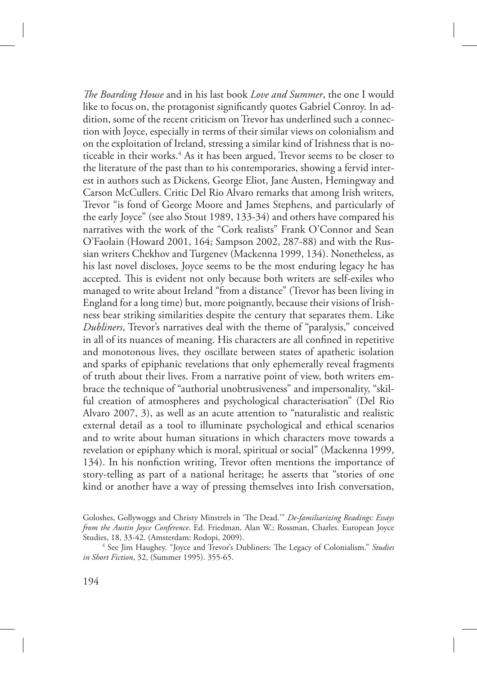*e Boarding House* and in his last book *Love and Summer*, the one I would like to focus on, the protagonist significantly quotes Gabriel Conroy. In addition, some of the recent criticism on Trevor has underlined such a connection with Joyce, especially in terms of their similar views on colonialism and on the exploitation of Ireland, stressing a similar kind of Irishness that is noticeable in their works.<sup>4</sup> As it has been argued, Trevor seems to be closer to the literature of the past than to his contemporaries, showing a fervid interest in authors such as Dickens, George Eliot, Jane Austen, Hemingway and Carson McCullers. Critic Del Rio Alvaro remarks that among Irish writers, Trevor "is fond of George Moore and James Stephens, and particularly of the early Joyce" (see also Stout 1989, 133-34) and others have compared his narratives with the work of the "Cork realists" Frank O'Connor and Sean O'Faolain (Howard 2001, 164; Sampson 2002, 287-88) and with the Russian writers Chekhov and Turgenev (Mackenna 1999, 134). Nonetheless, as his last novel discloses, Joyce seems to be the most enduring legacy he has accepted. This is evident not only because both writers are self-exiles who managed to write about Ireland "from a distance" (Trevor has been living in England for a long time) but, more poignantly, because their visions of Irishness bear striking similarities despite the century that separates them. Like *Dubliners*, Trevor's narratives deal with the theme of "paralysis," conceived in all of its nuances of meaning. His characters are all confined in repetitive and monotonous lives, they oscillate between states of apathetic isolation and sparks of epiphanic revelations that only ephemerally reveal fragments of truth about their lives. From a narrative point of view, both writers embrace the technique of "authorial unobtrusiveness" and impersonality, "skilful creation of atmospheres and psychological characterisation" (Del Rio Alvaro 2007, 3), as well as an acute attention to "naturalistic and realistic external detail as a tool to illuminate psychological and ethical scenarios and to write about human situations in which characters move towards a revelation or epiphany which is moral, spiritual or social" (Mackenna 1999, 134). In his nonfiction writing, Trevor often mentions the importance of story-telling as part of a national heritage; he asserts that "stories of one kind or another have a way of pressing themselves into Irish conversation,

Goloshes, Gollywoggs and Christy Minstrels in 'The Dead.'" *De-familiarizing Readings: Essays from the Austin Joyce Conference*. Ed. Friedman, Alan W.; Rossman, Charles. European Joyce Studies, 18, 33-42. (Amsterdam: Rodopi, 2009).

<sup>&</sup>lt;sup>4</sup> See Jim Haughey. "Joyce and Trevor's Dubliners: The Legacy of Colonialism." Studies *in Short Fiction*, 32, (Summer 1995). 355-65.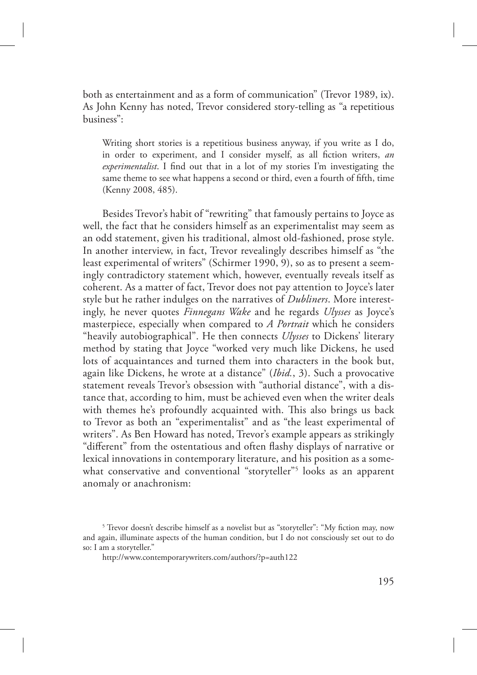both as entertainment and as a form of communication" (Trevor 1989, ix). As John Kenny has noted, Trevor considered story-telling as "a repetitious business":

Writing short stories is a repetitious business anyway, if you write as I do, in order to experiment, and I consider myself, as all fiction writers, *an experimentalist*. I find out that in a lot of my stories I'm investigating the same theme to see what happens a second or third, even a fourth of fifth, time (Kenny 2008, 485).

Besides Trevor's habit of "rewriting" that famously pertains to Joyce as well, the fact that he considers himself as an experimentalist may seem as an odd statement, given his traditional, almost old-fashioned, prose style. In another interview, in fact, Trevor revealingly describes himself as "the least experimental of writers" (Schirmer 1990, 9), so as to present a seemingly contradictory statement which, however, eventually reveals itself as coherent. As a matter of fact, Trevor does not pay attention to Joyce's later style but he rather indulges on the narratives of *Dubliners*. More interestingly, he never quotes *Finnegans Wake* and he regards *Ulysses* as Joyce's masterpiece, especially when compared to *A Portrait* which he considers "heavily autobiographical". He then connects *Ulysses* to Dickens' literary method by stating that Joyce "worked very much like Dickens, he used lots of acquaintances and turned them into characters in the book but, again like Dickens, he wrote at a distance" (*Ibid.*, 3). Such a provocative statement reveals Trevor's obsession with "authorial distance", with a distance that, according to him, must be achieved even when the writer deals with themes he's profoundly acquainted with. This also brings us back to Trevor as both an "experimentalist" and as "the least experimental of writers". As Ben Howard has noted, Trevor's example appears as strikingly "different" from the ostentatious and often flashy displays of narrative or lexical innovations in contemporary literature, and his position as a somewhat conservative and conventional "storyteller"<sup>5</sup> looks as an apparent anomaly or anachronism:

<sup>&</sup>lt;sup>5</sup> Trevor doesn't describe himself as a novelist but as "storyteller": "My fiction may, now and again, illuminate aspects of the human condition, but I do not consciously set out to do so: I am a storyteller."

http://www.contemporarywriters.com/authors/?p=auth122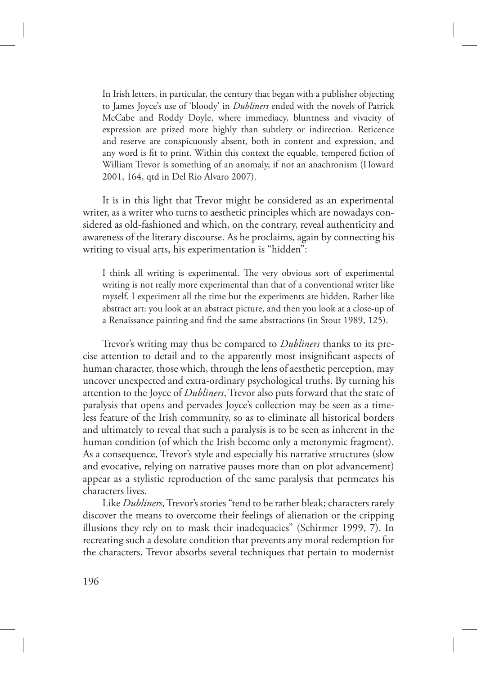In Irish letters, in particular, the century that began with a publisher objecting to James Joyce's use of 'bloody' in *Dubliners* ended with the novels of Patrick McCabe and Roddy Doyle, where immediacy, bluntness and vivacity of expression are prized more highly than subtlety or indirection. Reticence and reserve are conspicuously absent, both in content and expression, and any word is fit to print. Within this context the equable, tempered fiction of William Trevor is something of an anomaly, if not an anachronism (Howard 2001, 164, qtd in Del Rio Alvaro 2007).

It is in this light that Trevor might be considered as an experimental writer, as a writer who turns to aesthetic principles which are nowadays considered as old-fashioned and which, on the contrary, reveal authenticity and awareness of the literary discourse. As he proclaims, again by connecting his writing to visual arts, his experimentation is "hidden":

I think all writing is experimental. The very obvious sort of experimental writing is not really more experimental than that of a conventional writer like myself. I experiment all the time but the experiments are hidden. Rather like abstract art: you look at an abstract picture, and then you look at a close-up of a Renaissance painting and find the same abstractions (in Stout 1989, 125).

Trevor's writing may thus be compared to *Dubliners* thanks to its precise attention to detail and to the apparently most insignificant aspects of human character, those which, through the lens of aesthetic perception, may uncover unexpected and extra-ordinary psychological truths. By turning his attention to the Joyce of *Dubliners*, Trevor also puts forward that the state of paralysis that opens and pervades Joyce's collection may be seen as a timeless feature of the Irish community, so as to eliminate all historical borders and ultimately to reveal that such a paralysis is to be seen as inherent in the human condition (of which the Irish become only a metonymic fragment). As a consequence, Trevor's style and especially his narrative structures (slow and evocative, relying on narrative pauses more than on plot advancement) appear as a stylistic reproduction of the same paralysis that permeates his characters lives.

Like *Dubliners*, Trevor's stories "tend to be rather bleak; characters rarely discover the means to overcome their feelings of alienation or the cripping illusions they rely on to mask their inadequacies" (Schirmer 1999, 7). In recreating such a desolate condition that prevents any moral redemption for the characters, Trevor absorbs several techniques that pertain to modernist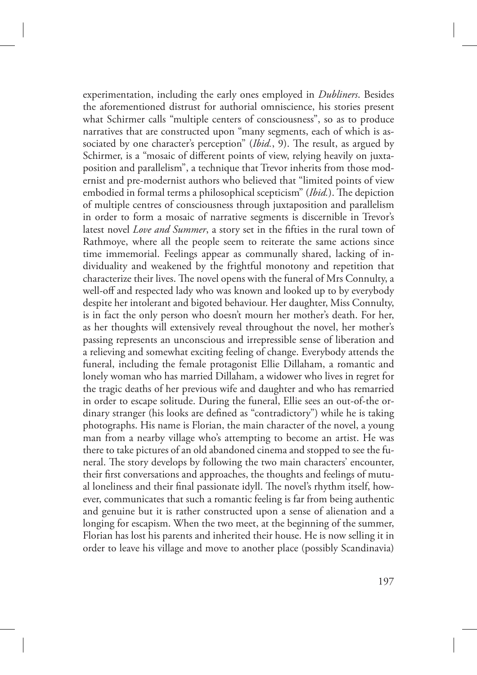experimentation, including the early ones employed in *Dubliners*. Besides the aforementioned distrust for authorial omniscience, his stories present what Schirmer calls "multiple centers of consciousness", so as to produce narratives that are constructed upon "many segments, each of which is associated by one character's perception" (*Ibid.*, 9). The result, as argued by Schirmer, is a "mosaic of different points of view, relying heavily on juxtaposition and parallelism", a technique that Trevor inherits from those modernist and pre-modernist authors who believed that "limited points of view embodied in formal terms a philosophical scepticism" (*Ibid.*). The depiction of multiple centres of consciousness through juxtaposition and parallelism in order to form a mosaic of narrative segments is discernible in Trevor's latest novel *Love and Summer*, a story set in the fifties in the rural town of Rathmoye, where all the people seem to reiterate the same actions since time immemorial. Feelings appear as communally shared, lacking of individuality and weakened by the frightful monotony and repetition that characterize their lives. The novel opens with the funeral of Mrs Connulty, a well-off and respected lady who was known and looked up to by everybody despite her intolerant and bigoted behaviour. Her daughter, Miss Connulty, is in fact the only person who doesn't mourn her mother's death. For her, as her thoughts will extensively reveal throughout the novel, her mother's passing represents an unconscious and irrepressible sense of liberation and a relieving and somewhat exciting feeling of change. Everybody attends the funeral, including the female protagonist Ellie Dillaham, a romantic and lonely woman who has married Dillaham, a widower who lives in regret for the tragic deaths of her previous wife and daughter and who has remarried in order to escape solitude. During the funeral, Ellie sees an out-of-the ordinary stranger (his looks are defined as "contradictory") while he is taking photographs. His name is Florian, the main character of the novel, a young man from a nearby village who's attempting to become an artist. He was there to take pictures of an old abandoned cinema and stopped to see the funeral. The story develops by following the two main characters' encounter, their first conversations and approaches, the thoughts and feelings of mutual loneliness and their final passionate idyll. The novel's rhythm itself, however, communicates that such a romantic feeling is far from being authentic and genuine but it is rather constructed upon a sense of alienation and a longing for escapism. When the two meet, at the beginning of the summer, Florian has lost his parents and inherited their house. He is now selling it in order to leave his village and move to another place (possibly Scandinavia)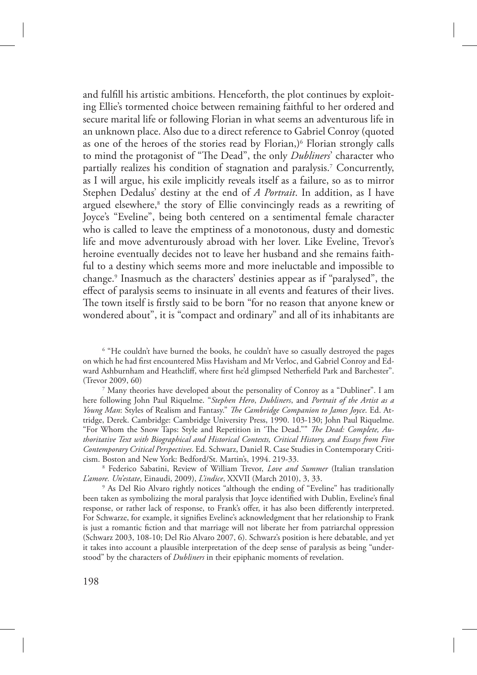and fulfill his artistic ambitions. Henceforth, the plot continues by exploiting Ellie's tormented choice between remaining faithful to her ordered and secure marital life or following Florian in what seems an adventurous life in an unknown place. Also due to a direct reference to Gabriel Conroy (quoted as one of the heroes of the stories read by Florian,)<sup>6</sup> Florian strongly calls to mind the protagonist of "The Dead", the only *Dubliners*' character who partially realizes his condition of stagnation and paralysis.<sup>7</sup> Concurrently, as I will argue, his exile implicitly reveals itself as a failure, so as to mirror Stephen Dedalus' destiny at the end of *A Portrait*. In addition, as I have argued elsewhere,<sup>8</sup> the story of Ellie convincingly reads as a rewriting of Joyce's "Eveline", being both centered on a sentimental female character who is called to leave the emptiness of a monotonous, dusty and domestic life and move adventurously abroad with her lover. Like Eveline, Trevor's heroine eventually decides not to leave her husband and she remains faithful to a destiny which seems more and more ineluctable and impossible to change.<sup>9</sup> Inasmuch as the characters' destinies appear as if "paralysed", the effect of paralysis seems to insinuate in all events and features of their lives. The town itself is firstly said to be born "for no reason that anyone knew or wondered about", it is "compact and ordinary" and all of its inhabitants are

<sup>6</sup> "He couldn't have burned the books, he couldn't have so casually destroyed the pages on which he had first encountered Miss Havisham and Mr Verloc, and Gabriel Conroy and Edward Ashburnham and Heathcliff, where first he'd glimpsed Netherfield Park and Barchester". (Trevor 2009, 60)

7 Many theories have developed about the personality of Conroy as a "Dubliner". I am here following John Paul Riquelme. "*Stephen Hero*, *Dubliners*, and *Portrait of the Artist as a Young Man*: Styles of Realism and Fantasy." *The Cambridge Companion to James Joyce*. Ed. Attridge, Derek. Cambridge: Cambridge University Press, 1990. 103-130; John Paul Riquelme. "For Whom the Snow Taps: Style and Repetition in 'The Dead."" *The Dead: Complete, Authoritative Text with Biographical and Historical Contexts, Critical History, and Essays from Five Contemporary Critical Perspectives*. Ed. Schwarz, Daniel R. Case Studies in Contemporary Criticism. Boston and New York: Bedford/St. Martin's, 1994. 219-33.

8 Federico Sabatini, Review of William Trevor, *Love and Summer* (Italian translation *L'amore. Un'estate*, Einaudi, 2009), *L'indice*, XXVII (March 2010), 3, 33.

<sup>9</sup> As Del Rio Alvaro rightly notices "although the ending of "Eveline" has traditionally been taken as symbolizing the moral paralysis that Joyce identified with Dublin, Eveline's final response, or rather lack of response, to Frank's offer, it has also been differently interpreted. For Schwarze, for example, it signifies Eveline's acknowledgment that her relationship to Frank is just a romantic fiction and that marriage will not liberate her from patriarchal oppression (Schwarz 2003, 108-10; Del Rio Alvaro 2007, 6). Schwarz's position is here debatable, and yet it takes into account a plausible interpretation of the deep sense of paralysis as being "understood" by the characters of *Dubliners* in their epiphanic moments of revelation.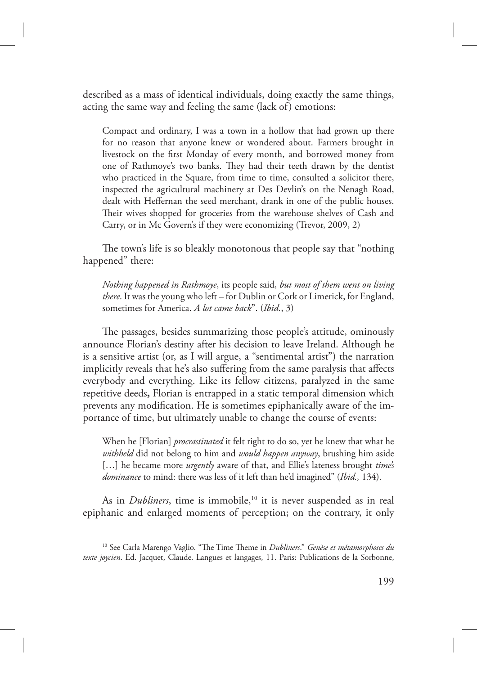described as a mass of identical individuals, doing exactly the same things, acting the same way and feeling the same (lack of) emotions:

Compact and ordinary, I was a town in a hollow that had grown up there for no reason that anyone knew or wondered about. Farmers brought in livestock on the first Monday of every month, and borrowed money from one of Rathmoye's two banks. They had their teeth drawn by the dentist who practiced in the Square, from time to time, consulted a solicitor there, inspected the agricultural machinery at Des Devlin's on the Nenagh Road, dealt with Heffernan the seed merchant, drank in one of the public houses. Their wives shopped for groceries from the warehouse shelves of Cash and Carry, or in Mc Govern's if they were economizing (Trevor, 2009, 2)

The town's life is so bleakly monotonous that people say that "nothing" happened" there:

*Nothing happened in Rathmoye*, its people said, *but most of them went on living there*. It was the young who left – for Dublin or Cork or Limerick, for England, sometimes for America. *A lot came back*". (*Ibid.*, 3)

The passages, besides summarizing those people's attitude, ominously announce Florian's destiny after his decision to leave Ireland. Although he is a sensitive artist (or, as I will argue, a "sentimental artist") the narration implicitly reveals that he's also suffering from the same paralysis that affects everybody and everything. Like its fellow citizens, paralyzed in the same repetitive deeds**,** Florian is entrapped in a static temporal dimension which prevents any modification. He is sometimes epiphanically aware of the importance of time, but ultimately unable to change the course of events:

When he [Florian] *procrastinated* it felt right to do so, yet he knew that what he *withheld* did not belong to him and *would happen anyway*, brushing him aside […] he became more *urgently* aware of that, and Ellie's lateness brought *time's dominance* to mind: there was less of it left than he'd imagined" (*Ibid.,* 134).

As in *Dubliners*, time is immobile,<sup>10</sup> it is never suspended as in real epiphanic and enlarged moments of perception; on the contrary, it only

<sup>&</sup>lt;sup>10</sup> See Carla Marengo Vaglio. "The Time Theme in *Dubliners." Genèse et métamorphoses du texte joycien*. Ed. Jacquet, Claude. Langues et langages, 11. Paris: Publications de la Sorbonne,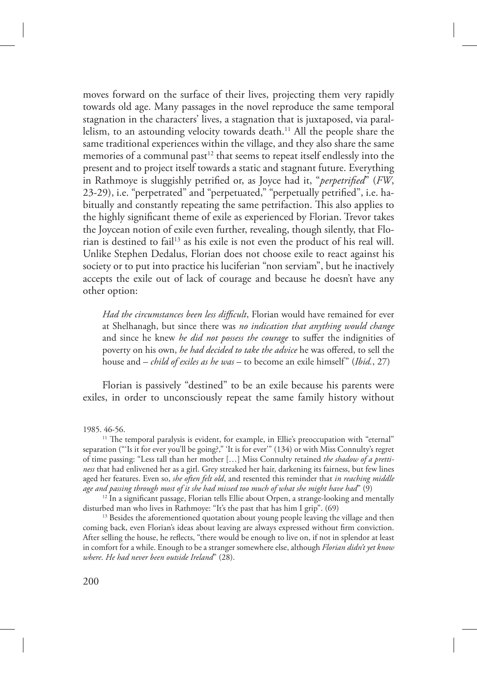moves forward on the surface of their lives, projecting them very rapidly towards old age. Many passages in the novel reproduce the same temporal stagnation in the characters' lives, a stagnation that is juxtaposed, via parallelism, to an astounding velocity towards death.<sup>11</sup> All the people share the same traditional experiences within the village, and they also share the same memories of a communal past<sup>12</sup> that seems to repeat itself endlessly into the present and to project itself towards a static and stagnant future. Everything in Rathmoye is sluggishly petrified or, as Joyce had it, "*perpetrified*" (*FW*, 23-29), i.e. "perpetrated" and "perpetuated," "perpetually petrified", i.e. habitually and constantly repeating the same petrifaction. This also applies to the highly significant theme of exile as experienced by Florian. Trevor takes the Joycean notion of exile even further, revealing, though silently, that Florian is destined to fail<sup>13</sup> as his exile is not even the product of his real will. Unlike Stephen Dedalus, Florian does not choose exile to react against his society or to put into practice his luciferian "non serviam", but he inactively accepts the exile out of lack of courage and because he doesn't have any other option:

*Had the circumstances been less difficult*, Florian would have remained for ever at Shelhanagh, but since there was *no indication that anything would change* and since he knew *he did not possess the courage* to suffer the indignities of poverty on his own, *he had decided to take the advice* he was offered, to sell the house and – *child of exiles as he was* – to become an exile himself" (*Ibid.*, 27)

Florian is passively "destined" to be an exile because his parents were exiles, in order to unconsciously repeat the same family history without

1985. 46-56.

<sup>11</sup> The temporal paralysis is evident, for example, in Ellie's preoccupation with "eternal" separation ("'Is it for ever you'll be going?," 'It is for ever'" (134) or with Miss Connulty's regret of time passing: "Less tall than her mother […] Miss Connulty retained *the shadow of a prettiness* that had enlivened her as a girl. Grey streaked her hair, darkening its fairness, but few lines aged her features. Even so, *she often felt old*, and resented this reminder that *in reaching middle age and passing through most of it she had missed too much of what she might have had*" (9)

 $12$  In a significant passage, Florian tells Ellie about Orpen, a strange-looking and mentally disturbed man who lives in Rathmoye: "It's the past that has him I grip". (69)

<sup>13</sup> Besides the aforementioned quotation about young people leaving the village and then coming back, even Florian's ideas about leaving are always expressed without firm conviction. After selling the house, he reflects, "there would be enough to live on, if not in splendor at least in comfort for a while. Enough to be a stranger somewhere else, although *Florian didn't yet know where*. *He had never been outside Ireland*" (28).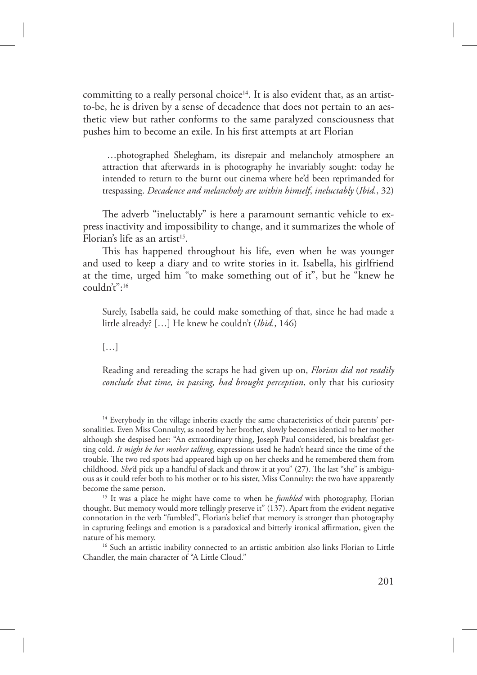committing to a really personal choice<sup>14</sup>. It is also evident that, as an artistto-be, he is driven by a sense of decadence that does not pertain to an aesthetic view but rather conforms to the same paralyzed consciousness that pushes him to become an exile. In his first attempts at art Florian

 …photographed Shelegham, its disrepair and melancholy atmosphere an attraction that afterwards in is photography he invariably sought: today he intended to return to the burnt out cinema where he'd been reprimanded for trespassing. *Decadence and melancholy are within himself*, *ineluctably* (*Ibid.*, 32)

The adverb "ineluctably" is here a paramount semantic vehicle to express inactivity and impossibility to change, and it summarizes the whole of Florian's life as an artist<sup>15</sup>.

This has happened throughout his life, even when he was younger and used to keep a diary and to write stories in it. Isabella, his girlfriend at the time, urged him "to make something out of it", but he "knew he couldn't":<sup>16</sup>

Surely, Isabella said, he could make something of that, since he had made a little already? […] He knew he couldn't (*Ibid.*, 146)

[…]

Reading and rereading the scraps he had given up on, *Florian did not readily conclude that time, in passing, had brought perception*, only that his curiosity

<sup>14</sup> Everybody in the village inherits exactly the same characteristics of their parents' personalities. Even Miss Connulty, as noted by her brother, slowly becomes identical to her mother although she despised her: "An extraordinary thing, Joseph Paul considered, his breakfast getting cold. *It might be her mother talking*, expressions used he hadn't heard since the time of the trouble. The two red spots had appeared high up on her cheeks and he remembered them from childhood. *She'*d pick up a handful of slack and throw it at you" (27). The last "she" is ambiguous as it could refer both to his mother or to his sister, Miss Connulty: the two have apparently become the same person.

<sup>15</sup> It was a place he might have come to when he *fumbled* with photography, Florian thought. But memory would more tellingly preserve it" (137). Apart from the evident negative connotation in the verb "fumbled", Florian's belief that memory is stronger than photography in capturing feelings and emotion is a paradoxical and bitterly ironical affirmation, given the nature of his memory.

<sup>16</sup> Such an artistic inability connected to an artistic ambition also links Florian to Little Chandler, the main character of "A Little Cloud."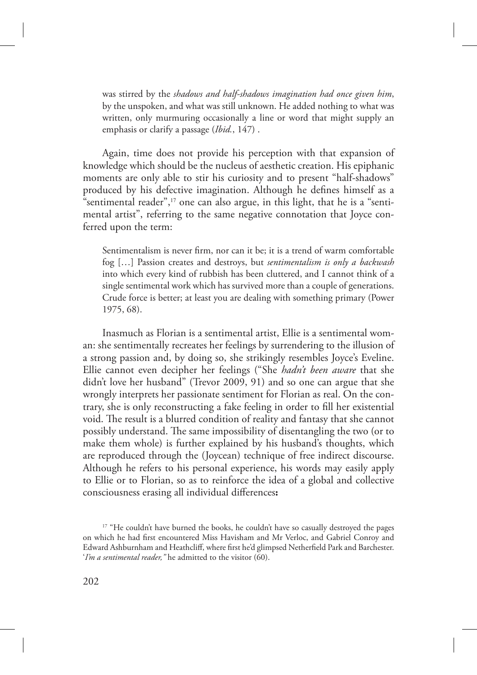was stirred by the *shadows and half-shadows imagination had once given him*, by the unspoken, and what was still unknown. He added nothing to what was written, only murmuring occasionally a line or word that might supply an emphasis or clarify a passage (*Ibid.*, 147) .

Again, time does not provide his perception with that expansion of knowledge which should be the nucleus of aesthetic creation. His epiphanic moments are only able to stir his curiosity and to present "half-shadows" produced by his defective imagination. Although he defines himself as a "sentimental reader", $17$  one can also argue, in this light, that he is a "sentimental artist", referring to the same negative connotation that Joyce conferred upon the term:

Sentimentalism is never firm, nor can it be; it is a trend of warm comfortable fog […] Passion creates and destroys, but *sentimentalism is only a backwash* into which every kind of rubbish has been cluttered, and I cannot think of a single sentimental work which has survived more than a couple of generations. Crude force is better; at least you are dealing with something primary (Power 1975, 68).

Inasmuch as Florian is a sentimental artist, Ellie is a sentimental woman: she sentimentally recreates her feelings by surrendering to the illusion of a strong passion and, by doing so, she strikingly resembles Joyce's Eveline. Ellie cannot even decipher her feelings ("She *hadn't been aware* that she didn't love her husband" (Trevor 2009, 91) and so one can argue that she wrongly interprets her passionate sentiment for Florian as real. On the contrary, she is only reconstructing a fake feeling in order to fill her existential void. The result is a blurred condition of reality and fantasy that she cannot possibly understand. The same impossibility of disentangling the two (or to make them whole) is further explained by his husband's thoughts, which are reproduced through the (Joycean) technique of free indirect discourse. Although he refers to his personal experience, his words may easily apply to Ellie or to Florian, so as to reinforce the idea of a global and collective consciousness erasing all individual differences**:**

<sup>&</sup>lt;sup>17</sup> "He couldn't have burned the books, he couldn't have so casually destroyed the pages on which he had first encountered Miss Havisham and Mr Verloc, and Gabriel Conroy and Edward Ashburnham and Heathcliff, where first he'd glimpsed Netherfield Park and Barchester. '*I'm a sentimental reader,"* he admitted to the visitor (60).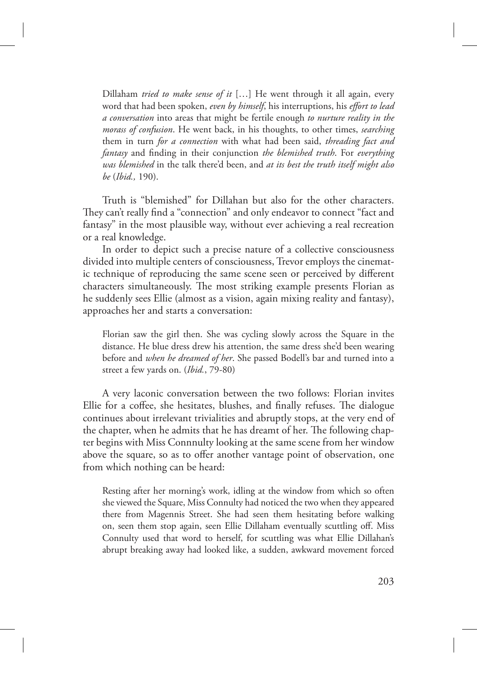Dillaham *tried to make sense of it* […] He went through it all again, every word that had been spoken, *even by himself*, his interruptions, his *effort to lead a conversation* into areas that might be fertile enough *to nurture reality in the morass of confusion*. He went back, in his thoughts, to other times, *searching*  them in turn *for a connection* with what had been said, *threading fact and fantasy* and finding in their conjunction *the blemished truth*. For *everything was blemished* in the talk there'd been, and *at its best the truth itself might also be* (*Ibid.,* 190).

Truth is "blemished" for Dillahan but also for the other characters. They can't really find a "connection" and only endeavor to connect "fact and fantasy" in the most plausible way, without ever achieving a real recreation or a real knowledge.

In order to depict such a precise nature of a collective consciousness divided into multiple centers of consciousness, Trevor employs the cinematic technique of reproducing the same scene seen or perceived by different characters simultaneously. The most striking example presents Florian as he suddenly sees Ellie (almost as a vision, again mixing reality and fantasy), approaches her and starts a conversation:

Florian saw the girl then. She was cycling slowly across the Square in the distance. He blue dress drew his attention, the same dress she'd been wearing before and *when he dreamed of her*. She passed Bodell's bar and turned into a street a few yards on. (*Ibid.*, 79-80)

A very laconic conversation between the two follows: Florian invites Ellie for a coffee, she hesitates, blushes, and finally refuses. The dialogue continues about irrelevant trivialities and abruptly stops, at the very end of the chapter, when he admits that he has dreamt of her. The following chapter begins with Miss Connnulty looking at the same scene from her window above the square, so as to offer another vantage point of observation, one from which nothing can be heard:

Resting after her morning's work, idling at the window from which so often she viewed the Square, Miss Connulty had noticed the two when they appeared there from Magennis Street. She had seen them hesitating before walking on, seen them stop again, seen Ellie Dillaham eventually scuttling off. Miss Connulty used that word to herself, for scuttling was what Ellie Dillahan's abrupt breaking away had looked like, a sudden, awkward movement forced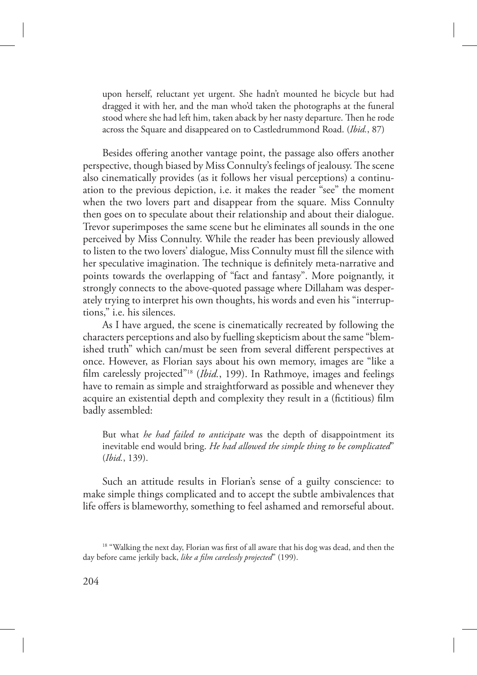upon herself, reluctant yet urgent. She hadn't mounted he bicycle but had dragged it with her, and the man who'd taken the photographs at the funeral stood where she had left him, taken aback by her nasty departure. Then he rode across the Square and disappeared on to Castledrummond Road. (*Ibid.*, 87)

Besides offering another vantage point, the passage also offers another perspective, though biased by Miss Connulty's feelings of jealousy. The scene also cinematically provides (as it follows her visual perceptions) a continuation to the previous depiction, i.e. it makes the reader "see" the moment when the two lovers part and disappear from the square. Miss Connulty then goes on to speculate about their relationship and about their dialogue. Trevor superimposes the same scene but he eliminates all sounds in the one perceived by Miss Connulty. While the reader has been previously allowed to listen to the two lovers' dialogue, Miss Connulty must fill the silence with her speculative imagination. The technique is definitely meta-narrative and points towards the overlapping of "fact and fantasy". More poignantly, it strongly connects to the above-quoted passage where Dillaham was desperately trying to interpret his own thoughts, his words and even his "interruptions," i.e. his silences.

As I have argued, the scene is cinematically recreated by following the characters perceptions and also by fuelling skepticism about the same "blemished truth" which can/must be seen from several different perspectives at once. However, as Florian says about his own memory, images are "like a film carelessly projected"18 (*Ibid.*, 199). In Rathmoye, images and feelings have to remain as simple and straightforward as possible and whenever they acquire an existential depth and complexity they result in a (fictitious) film badly assembled:

But what *he had failed to anticipate* was the depth of disappointment its inevitable end would bring. *He had allowed the simple thing to be complicated*" (*Ibid.*, 139).

Such an attitude results in Florian's sense of a guilty conscience: to make simple things complicated and to accept the subtle ambivalences that life offers is blameworthy, something to feel ashamed and remorseful about.

<sup>&</sup>lt;sup>18</sup> "Walking the next day, Florian was first of all aware that his dog was dead, and then the day before came jerkily back, *like a film carelessly projected*" (199).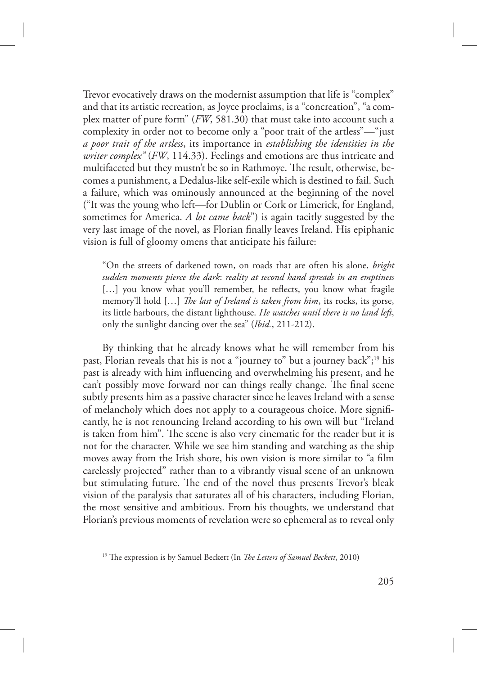Trevor evocatively draws on the modernist assumption that life is "complex" and that its artistic recreation, as Joyce proclaims, is a "concreation", "a complex matter of pure form" (*FW*, 581.30) that must take into account such a complexity in order not to become only a "poor trait of the artless"—"just *a poor trait of the artless*, its importance in *establishing the identities in the writer complex"* (*FW*, 114.33). Feelings and emotions are thus intricate and multifaceted but they mustn't be so in Rathmoye. The result, otherwise, becomes a punishment, a Dedalus-like self-exile which is destined to fail. Such a failure, which was ominously announced at the beginning of the novel ("It was the young who left—for Dublin or Cork or Limerick, for England, sometimes for America. *A lot came back*") is again tacitly suggested by the very last image of the novel, as Florian finally leaves Ireland. His epiphanic vision is full of gloomy omens that anticipate his failure:

"On the streets of darkened town, on roads that are often his alone, *bright sudden moments pierce the dark*: *reality at second hand spreads in an emptiness* [...] you know what you'll remember, he reflects, you know what fragile memory'll hold [...] *The last of Ireland is taken from him*, its rocks, its gorse, its little harbours, the distant lighthouse. *He watches until there is no land left*, only the sunlight dancing over the sea" (*Ibid.*, 211-212).

By thinking that he already knows what he will remember from his past, Florian reveals that his is not a "journey to" but a journey back";19 his past is already with him influencing and overwhelming his present, and he can't possibly move forward nor can things really change. The final scene subtly presents him as a passive character since he leaves Ireland with a sense of melancholy which does not apply to a courageous choice. More significantly, he is not renouncing Ireland according to his own will but "Ireland is taken from him". The scene is also very cinematic for the reader but it is not for the character. While we see him standing and watching as the ship moves away from the Irish shore, his own vision is more similar to "a film carelessly projected" rather than to a vibrantly visual scene of an unknown but stimulating future. The end of the novel thus presents Trevor's bleak vision of the paralysis that saturates all of his characters, including Florian, the most sensitive and ambitious. From his thoughts, we understand that Florian's previous moments of revelation were so ephemeral as to reveal only

<sup>&</sup>lt;sup>19</sup> The expression is by Samuel Beckett (In *The Letters of Samuel Beckett*, 2010)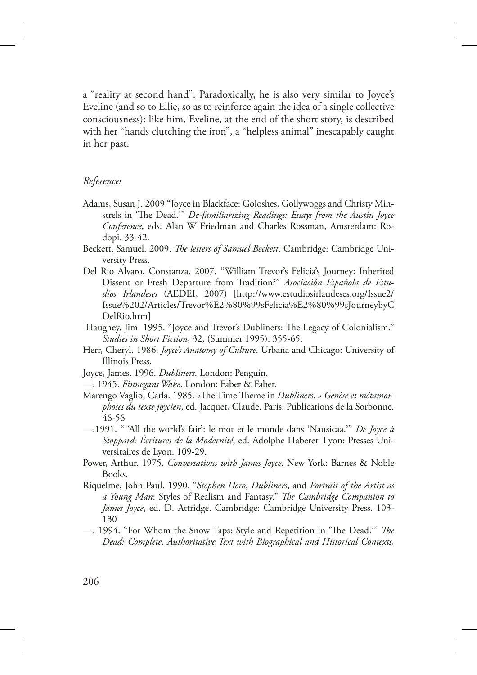a "reality at second hand". Paradoxically, he is also very similar to Joyce's Eveline (and so to Ellie, so as to reinforce again the idea of a single collective consciousness): like him, Eveline, at the end of the short story, is described with her "hands clutching the iron", a "helpless animal" inescapably caught in her past.

### *References*

- Adams, Susan J. 2009 "Joyce in Blackface: Goloshes, Gollywoggs and Christy Minstrels in 'The Dead.'" *De-familiarizing Readings: Essays from the Austin Joyce Conference*, eds. Alan W Friedman and Charles Rossman, Amsterdam: Rodopi. 33-42.
- Beckett, Samuel. 2009. *The letters of Samuel Beckett*. Cambridge: Cambridge University Press.
- Del Rio Alvaro, Constanza. 2007. "William Trevor's Felicia's Journey: Inherited Dissent or Fresh Departure from Tradition?" *Asociación Española de Estudios Irlandeses* (AEDEI, 2007) [http://www.estudiosirlandeses.org/Issue2/ Issue%202/Articles/Trevor%E2%80%99sFelicia%E2%80%99sJourneybyC DelRio.htm]
- Haughey, Jim. 1995. "Joyce and Trevor's Dubliners: The Legacy of Colonialism." *Studies in Short Fiction*, 32, (Summer 1995). 355-65.
- Herr, Cheryl. 1986. *Joyce's Anatomy of Culture*. Urbana and Chicago: University of Illinois Press.
- Joyce, James. 1996. *Dubliners*. London: Penguin.
- —. 1945. *Finnegans Wake*. London: Faber & Faber.
- Marengo Vaglio, Carla. 1985. «The Time Theme in *Dubliners*. » *Genèse et métamorphoses du texte joycien*, ed. Jacquet, Claude. Paris: Publications de la Sorbonne. 46-56
- —.1991. " 'All the world's fair': le mot et le monde dans 'Nausicaa.'" *De Joyce à Stoppard: Écritures de la Modernité*, ed. Adolphe Haberer. Lyon: Presses Universitaires de Lyon. 109-29.
- Power, Arthur. 1975. *Conversations with James Joyce*. New York: Barnes & Noble Books.
- Riquelme, John Paul. 1990. "*Stephen Hero*, *Dubliners*, and *Portrait of the Artist as*  a Young Man: Styles of Realism and Fantasy." *The Cambridge Companion to James Joyce*, ed. D. Attridge. Cambridge: Cambridge University Press. 103- 130
- —. 1994. "For Whom the Snow Taps: Style and Repetition in 'The Dead.'" *The Dead: Complete, Authoritative Text with Biographical and Historical Contexts,*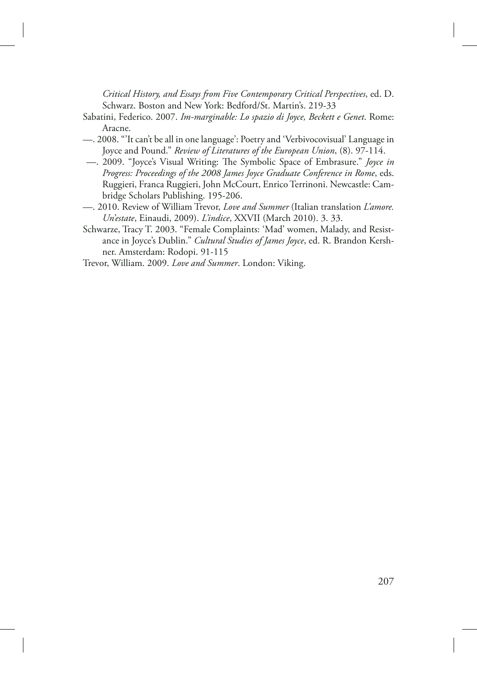*Critical History, and Essays from Five Contemporary Critical Perspectives*, ed. D. Schwarz. Boston and New York: Bedford/St. Martin's. 219-33

- Sabatini, Federico. 2007. *Im-marginable: Lo spazio di Joyce, Beckett e Genet*. Rome: Aracne.
- —. 2008. "'It can't be all in one language': Poetry and 'Verbivocovisual' Language in Joyce and Pound." *Review of Literatures of the European Union*, (8). 97-114.
- —. 2009. "Joyce's Visual Writing: The Symbolic Space of Embrasure." *Joyce in Progress: Proceedings of the 2008 James Joyce Graduate Conference in Rome*, eds. Ruggieri, Franca Ruggieri, John McCourt, Enrico Terrinoni. Newcastle: Cambridge Scholars Publishing. 195-206.
- —. 2010. Review of William Trevor, *Love and Summer* (Italian translation *L'amore. Un'estate*, Einaudi, 2009). *L'indice*, XXVII (March 2010). 3. 33.
- Schwarze, Tracy T. 2003. "Female Complaints: 'Mad' women, Malady, and Resistance in Joyce's Dublin." *Cultural Studies of James Joyce*, ed. R. Brandon Kershner. Amsterdam: Rodopi. 91-115
- Trevor, William. 2009. *Love and Summer*. London: Viking.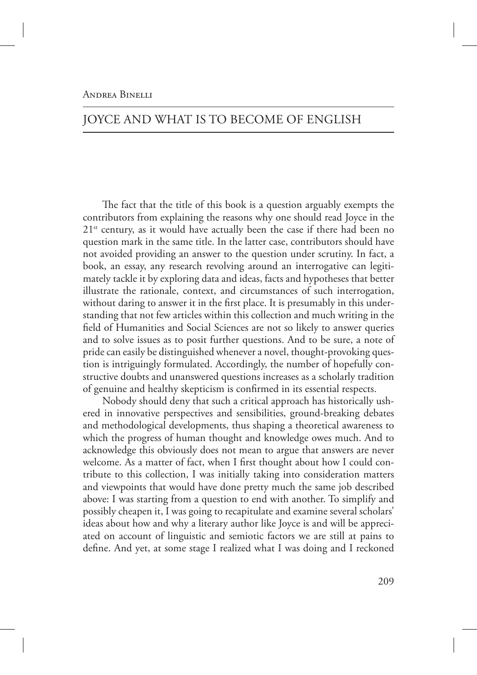# JOYCE AND WHAT IS TO BECOME OF ENGLISH

The fact that the title of this book is a question arguably exempts the contributors from explaining the reasons why one should read Joyce in the  $21<sup>st</sup>$  century, as it would have actually been the case if there had been no question mark in the same title. In the latter case, contributors should have not avoided providing an answer to the question under scrutiny. In fact, a book, an essay, any research revolving around an interrogative can legitimately tackle it by exploring data and ideas, facts and hypotheses that better illustrate the rationale, context, and circumstances of such interrogation, without daring to answer it in the first place. It is presumably in this understanding that not few articles within this collection and much writing in the field of Humanities and Social Sciences are not so likely to answer queries and to solve issues as to posit further questions. And to be sure, a note of pride can easily be distinguished whenever a novel, thought-provoking question is intriguingly formulated. Accordingly, the number of hopefully constructive doubts and unanswered questions increases as a scholarly tradition of genuine and healthy skepticism is confirmed in its essential respects.

Nobody should deny that such a critical approach has historically ushered in innovative perspectives and sensibilities, ground-breaking debates and methodological developments, thus shaping a theoretical awareness to which the progress of human thought and knowledge owes much. And to acknowledge this obviously does not mean to argue that answers are never welcome. As a matter of fact, when I first thought about how I could contribute to this collection, I was initially taking into consideration matters and viewpoints that would have done pretty much the same job described above: I was starting from a question to end with another. To simplify and possibly cheapen it, I was going to recapitulate and examine several scholars' ideas about how and why a literary author like Joyce is and will be appreciated on account of linguistic and semiotic factors we are still at pains to define. And yet, at some stage I realized what I was doing and I reckoned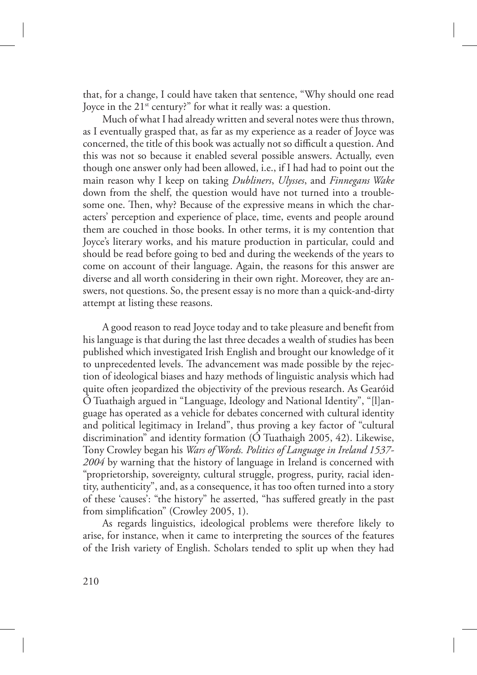that, for a change, I could have taken that sentence, "Why should one read Joyce in the 21<sup>st</sup> century?" for what it really was: a question.

Much of what I had already written and several notes were thus thrown, as I eventually grasped that, as far as my experience as a reader of Joyce was concerned, the title of this book was actually not so difficult a question. And this was not so because it enabled several possible answers. Actually, even though one answer only had been allowed, i.e., if I had had to point out the main reason why I keep on taking *Dubliners*, *Ulysses*, and *Finnegans Wake* down from the shelf, the question would have not turned into a troublesome one. Then, why? Because of the expressive means in which the characters' perception and experience of place, time, events and people around them are couched in those books. In other terms, it is my contention that Joyce's literary works, and his mature production in particular, could and should be read before going to bed and during the weekends of the years to come on account of their language. Again, the reasons for this answer are diverse and all worth considering in their own right. Moreover, they are answers, not questions. So, the present essay is no more than a quick-and-dirty attempt at listing these reasons.

A good reason to read Joyce today and to take pleasure and benefit from his language is that during the last three decades a wealth of studies has been published which investigated Irish English and brought our knowledge of it to unprecedented levels. The advancement was made possible by the rejection of ideological biases and hazy methods of linguistic analysis which had quite often jeopardized the objectivity of the previous research. As Gearóid Ó Tuathaigh argued in "Language, Ideology and National Identity", "[l]anguage has operated as a vehicle for debates concerned with cultural identity and political legitimacy in Ireland", thus proving a key factor of "cultural discrimination" and identity formation (Ó Tuathaigh 2005, 42). Likewise, Tony Crowley began his *Wars of Words. Politics of Language in Ireland 1537- 2004* by warning that the history of language in Ireland is concerned with "proprietorship, sovereignty, cultural struggle, progress, purity, racial identity, authenticity", and, as a consequence, it has too often turned into a story of these 'causes': "the history" he asserted, "has suffered greatly in the past from simplification" (Crowley 2005, 1).

As regards linguistics, ideological problems were therefore likely to arise, for instance, when it came to interpreting the sources of the features of the Irish variety of English. Scholars tended to split up when they had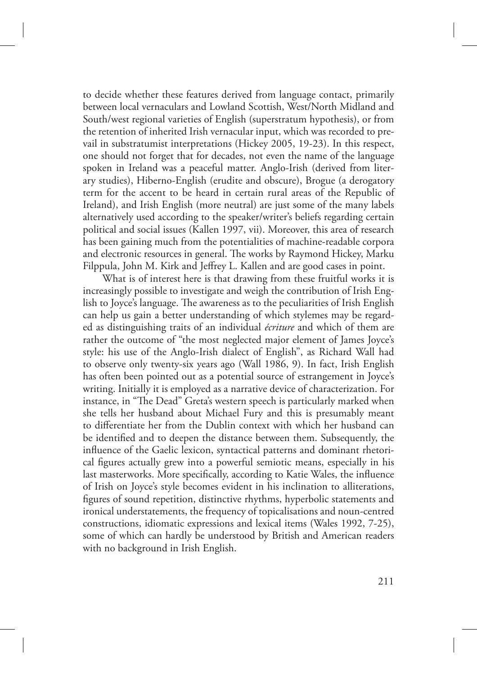to decide whether these features derived from language contact, primarily between local vernaculars and Lowland Scottish, West/North Midland and South/west regional varieties of English (superstratum hypothesis), or from the retention of inherited Irish vernacular input, which was recorded to prevail in substratumist interpretations (Hickey 2005, 19-23). In this respect, one should not forget that for decades, not even the name of the language spoken in Ireland was a peaceful matter. Anglo-Irish (derived from literary studies), Hiberno-English (erudite and obscure), Brogue (a derogatory term for the accent to be heard in certain rural areas of the Republic of Ireland), and Irish English (more neutral) are just some of the many labels alternatively used according to the speaker/writer's beliefs regarding certain political and social issues (Kallen 1997, vii). Moreover, this area of research has been gaining much from the potentialities of machine-readable corpora and electronic resources in general. The works by Raymond Hickey, Marku Filppula, John M. Kirk and Jeffrey L. Kallen and are good cases in point.

What is of interest here is that drawing from these fruitful works it is increasingly possible to investigate and weigh the contribution of Irish English to Joyce's language. The awareness as to the peculiarities of Irish English can help us gain a better understanding of which stylemes may be regarded as distinguishing traits of an individual *écriture* and which of them are rather the outcome of "the most neglected major element of James Joyce's style: his use of the Anglo-Irish dialect of English", as Richard Wall had to observe only twenty-six years ago (Wall 1986, 9). In fact, Irish English has often been pointed out as a potential source of estrangement in Joyce's writing. Initially it is employed as a narrative device of characterization. For instance, in "The Dead" Greta's western speech is particularly marked when she tells her husband about Michael Fury and this is presumably meant to differentiate her from the Dublin context with which her husband can be identified and to deepen the distance between them. Subsequently, the influence of the Gaelic lexicon, syntactical patterns and dominant rhetorical figures actually grew into a powerful semiotic means, especially in his last masterworks. More specifically, according to Katie Wales, the influence of Irish on Joyce's style becomes evident in his inclination to alliterations, figures of sound repetition, distinctive rhythms, hyperbolic statements and ironical understatements, the frequency of topicalisations and noun-centred constructions, idiomatic expressions and lexical items (Wales 1992, 7-25), some of which can hardly be understood by British and American readers with no background in Irish English.

211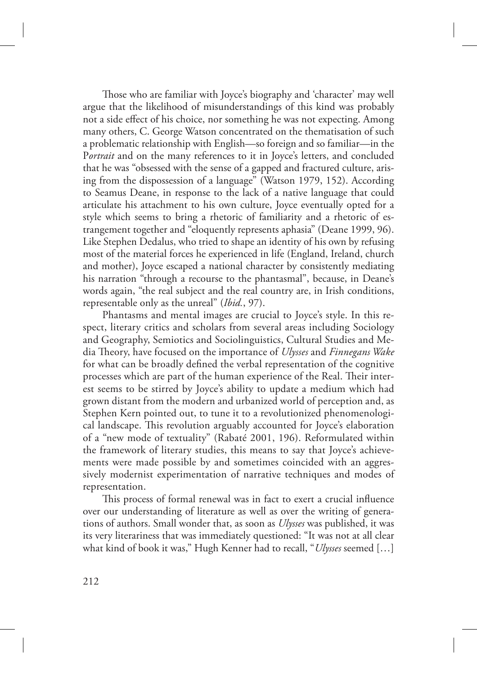Those who are familiar with Joyce's biography and 'character' may well argue that the likelihood of misunderstandings of this kind was probably not a side effect of his choice, nor something he was not expecting. Among many others, C. George Watson concentrated on the thematisation of such a problematic relationship with English—so foreign and so familiar—in the P*ortrait* and on the many references to it in Joyce's letters, and concluded that he was "obsessed with the sense of a gapped and fractured culture, arising from the dispossession of a language" (Watson 1979, 152). According to Seamus Deane, in response to the lack of a native language that could articulate his attachment to his own culture, Joyce eventually opted for a style which seems to bring a rhetoric of familiarity and a rhetoric of estrangement together and "eloquently represents aphasia" (Deane 1999, 96). Like Stephen Dedalus, who tried to shape an identity of his own by refusing most of the material forces he experienced in life (England, Ireland, church and mother), Joyce escaped a national character by consistently mediating his narration "through a recourse to the phantasmal", because, in Deane's words again, "the real subject and the real country are, in Irish conditions, representable only as the unreal" (*Ibid.*, 97).

Phantasms and mental images are crucial to Joyce's style. In this respect, literary critics and scholars from several areas including Sociology and Geography, Semiotics and Sociolinguistics, Cultural Studies and Media eory, have focused on the importance of *Ulysses* and *Finnegans Wake* for what can be broadly defined the verbal representation of the cognitive processes which are part of the human experience of the Real. Their interest seems to be stirred by Joyce's ability to update a medium which had grown distant from the modern and urbanized world of perception and, as Stephen Kern pointed out, to tune it to a revolutionized phenomenological landscape. This revolution arguably accounted for Joyce's elaboration of a "new mode of textuality" (Rabaté 2001, 196). Reformulated within the framework of literary studies, this means to say that Joyce's achievements were made possible by and sometimes coincided with an aggressively modernist experimentation of narrative techniques and modes of representation.

This process of formal renewal was in fact to exert a crucial influence over our understanding of literature as well as over the writing of generations of authors. Small wonder that, as soon as *Ulysses* was published, it was its very literariness that was immediately questioned: "It was not at all clear what kind of book it was," Hugh Kenner had to recall, "*Ulysses* seemed […]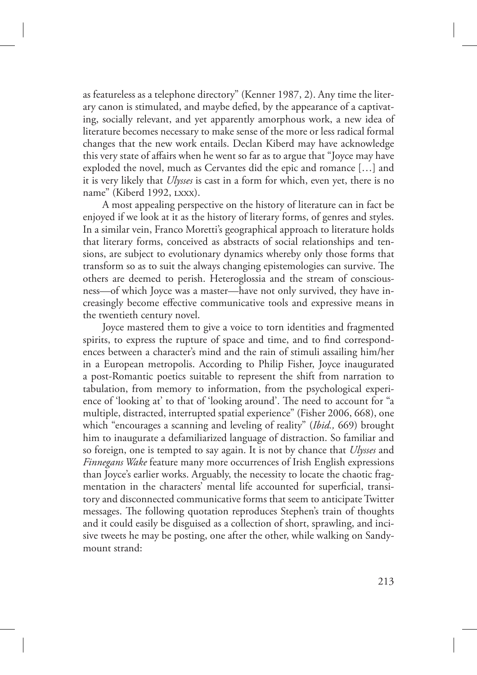as featureless as a telephone directory" (Kenner 1987, 2). Any time the literary canon is stimulated, and maybe defied, by the appearance of a captivating, socially relevant, and yet apparently amorphous work, a new idea of literature becomes necessary to make sense of the more or less radical formal changes that the new work entails. Declan Kiberd may have acknowledge this very state of affairs when he went so far as to argue that "Joyce may have exploded the novel, much as Cervantes did the epic and romance […] and it is very likely that *Ulysses* is cast in a form for which, even yet, there is no name" (Kiberd 1992, LXXX).

A most appealing perspective on the history of literature can in fact be enjoyed if we look at it as the history of literary forms, of genres and styles. In a similar vein, Franco Moretti's geographical approach to literature holds that literary forms, conceived as abstracts of social relationships and tensions, are subject to evolutionary dynamics whereby only those forms that transform so as to suit the always changing epistemologies can survive. The others are deemed to perish. Heteroglossia and the stream of consciousness—of which Joyce was a master—have not only survived, they have increasingly become effective communicative tools and expressive means in the twentieth century novel.

Joyce mastered them to give a voice to torn identities and fragmented spirits, to express the rupture of space and time, and to find correspondences between a character's mind and the rain of stimuli assailing him/her in a European metropolis. According to Philip Fisher, Joyce inaugurated a post-Romantic poetics suitable to represent the shift from narration to tabulation, from memory to information, from the psychological experience of 'looking at' to that of 'looking around'. The need to account for "a multiple, distracted, interrupted spatial experience" (Fisher 2006, 668), one which "encourages a scanning and leveling of reality" (*Ibid.,* 669) brought him to inaugurate a defamiliarized language of distraction. So familiar and so foreign, one is tempted to say again. It is not by chance that *Ulysses* and *Finnegans Wake* feature many more occurrences of Irish English expressions than Joyce's earlier works. Arguably, the necessity to locate the chaotic fragmentation in the characters' mental life accounted for superficial, transitory and disconnected communicative forms that seem to anticipate Twitter messages. The following quotation reproduces Stephen's train of thoughts and it could easily be disguised as a collection of short, sprawling, and incisive tweets he may be posting, one after the other, while walking on Sandymount strand:

213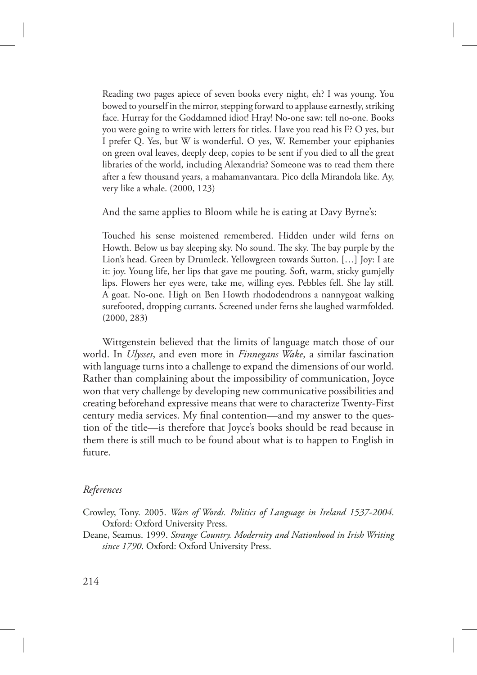Reading two pages apiece of seven books every night, eh? I was young. You bowed to yourself in the mirror, stepping forward to applause earnestly, striking face. Hurray for the Goddamned idiot! Hray! No-one saw: tell no-one. Books you were going to write with letters for titles. Have you read his F? O yes, but I prefer Q. Yes, but W is wonderful. O yes, W. Remember your epiphanies on green oval leaves, deeply deep, copies to be sent if you died to all the great libraries of the world, including Alexandria? Someone was to read them there after a few thousand years, a mahamanvantara. Pico della Mirandola like. Ay, very like a whale. (2000, 123)

And the same applies to Bloom while he is eating at Davy Byrne's:

Touched his sense moistened remembered. Hidden under wild ferns on Howth. Below us bay sleeping sky. No sound. The sky. The bay purple by the Lion's head. Green by Drumleck. Yellowgreen towards Sutton. […] Joy: I ate it: joy. Young life, her lips that gave me pouting. Soft, warm, sticky gumjelly lips. Flowers her eyes were, take me, willing eyes. Pebbles fell. She lay still. A goat. No-one. High on Ben Howth rhododendrons a nannygoat walking surefooted, dropping currants. Screened under ferns she laughed warmfolded. (2000, 283)

Wittgenstein believed that the limits of language match those of our world. In *Ulysses*, and even more in *Finnegans Wake*, a similar fascination with language turns into a challenge to expand the dimensions of our world. Rather than complaining about the impossibility of communication, Joyce won that very challenge by developing new communicative possibilities and creating beforehand expressive means that were to characterize Twenty-First century media services. My final contention—and my answer to the question of the title—is therefore that Joyce's books should be read because in them there is still much to be found about what is to happen to English in future.

## *References*

Crowley, Tony. 2005. *Wars of Words. Politics of Language in Ireland 1537-2004*. Oxford: Oxford University Press.

Deane, Seamus. 1999. *Strange Country. Modernity and Nationhood in Irish Writing since 1790*. Oxford: Oxford University Press.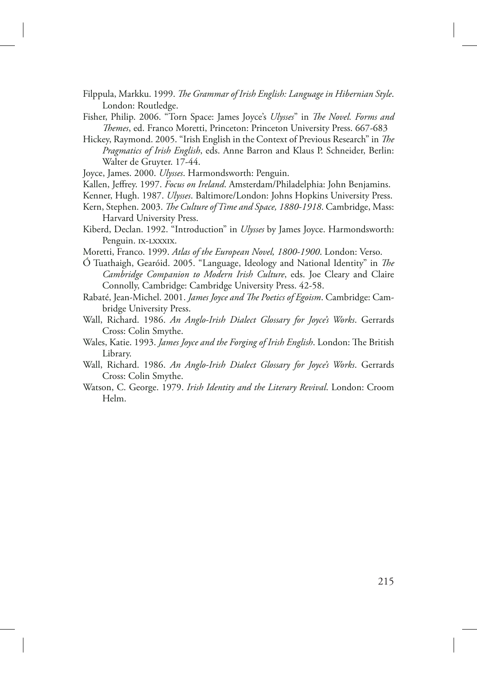- Filppula, Markku. 1999. *The Grammar of Irish English: Language in Hibernian Style*. London: Routledge.
- Fisher, Philip. 2006. "Torn Space: James Joyce's *Ulysses*" in *The Novel. Forms and emes*, ed. Franco Moretti, Princeton: Princeton University Press. 667-683
- Hickey, Raymond. 2005. "Irish English in the Context of Previous Research" in *The Pragmatics of Irish English*, eds. Anne Barron and Klaus P. Schneider, Berlin: Walter de Gruyter. 17-44.

Joyce, James. 2000. *Ulysses*. Harmondsworth: Penguin.

- Kallen, Jeffrey. 1997. *Focus on Ireland*. Amsterdam/Philadelphia: John Benjamins.
- Kenner, Hugh. 1987. *Ulysses*. Baltimore/London: Johns Hopkins University Press.
- Kern, Stephen. 2003. *The Culture of Time and Space, 1880-1918*. Cambridge, Mass: Harvard University Press.
- Kiberd, Declan. 1992. "Introduction" in *Ulysses* by James Joyce. Harmondsworth: Penguin. IX-LXXXIX.
- Moretti, Franco. 1999. *Atlas of the European Novel, 1800-1900*. London: Verso.
- Ó Tuathaigh, Gearóid. 2005. "Language, Ideology and National Identity" in *The Cambridge Companion to Modern Irish Culture*, eds. Joe Cleary and Claire Connolly, Cambridge: Cambridge University Press. 42-58.
- Rabaté, Jean-Michel. 2001. *James Joyce and The Poetics of Egoism*. Cambridge: Cambridge University Press.
- Wall, Richard. 1986. *An Anglo-Irish Dialect Glossary for Joyce's Works*. Gerrards Cross: Colin Smythe.
- Wales, Katie. 1993. *James Joyce and the Forging of Irish English*. London: The British Library.
- Wall, Richard. 1986. *An Anglo-Irish Dialect Glossary for Joyce's Works*. Gerrards Cross: Colin Smythe.
- Watson, C. George. 1979. *Irish Identity and the Literary Revival*. London: Croom Helm.